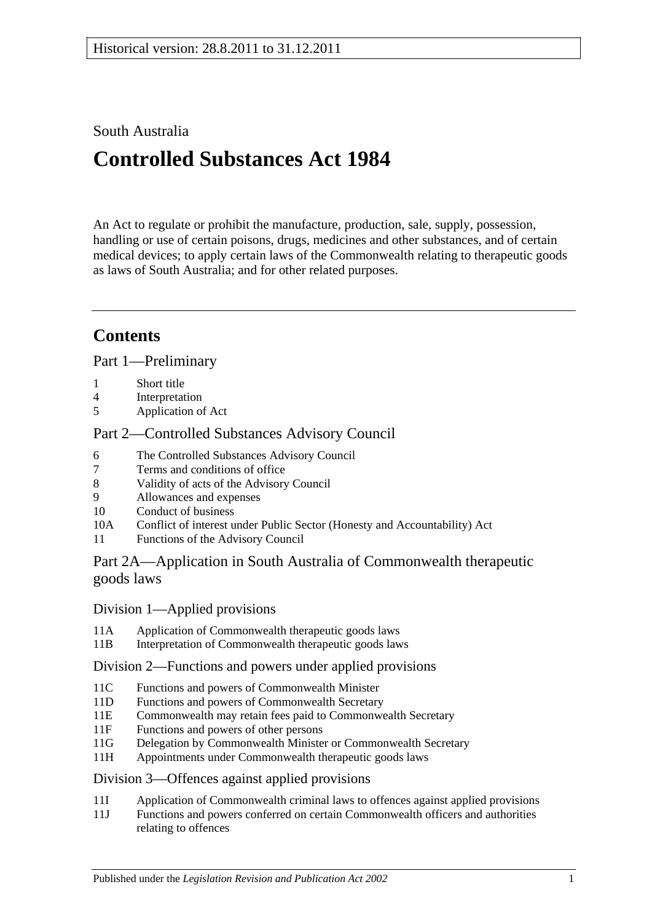## South Australia

# **Controlled Substances Act 1984**

An Act to regulate or prohibit the manufacture, production, sale, supply, possession, handling or use of certain poisons, drugs, medicines and other substances, and of certain medical devices; to apply certain laws of the Commonwealth relating to therapeutic goods as laws of South Australia; and for other related purposes.

## **Contents**

[Part 1—Preliminary](#page-3-0)

- 1 [Short title](#page-3-1)
- 4 [Interpretation](#page-3-2)
- 5 [Application of Act](#page-10-0)

## [Part 2—Controlled Substances Advisory Council](#page-10-1)

- 6 [The Controlled Substances Advisory Council](#page-10-2)
- 7 [Terms and conditions of office](#page-10-3)
- 8 [Validity of acts of the Advisory Council](#page-11-0)
- 9 [Allowances and expenses](#page-11-1)<br>10 Conduct of business
- [Conduct of business](#page-11-2)
- 10A Conflict of interest [under Public Sector \(Honesty and Accountability\) Act](#page-12-0)
- 11 [Functions of the Advisory Council](#page-12-1)

## [Part 2A—Application in South Australia of Commonwealth therapeutic](#page-13-0)  [goods laws](#page-13-0)

## Division [1—Applied provisions](#page-13-1)

- 11A [Application of Commonwealth therapeutic goods laws](#page-13-2)
- 11B [Interpretation of Commonwealth therapeutic goods laws](#page-13-3)

## Division [2—Functions and powers under applied provisions](#page-13-4)

- 11C [Functions and powers of Commonwealth Minister](#page-13-5)<br>11D Functions and powers of Commonwealth Secretary
- [Functions and powers of Commonwealth Secretary](#page-13-6)
- 11E [Commonwealth may retain fees paid to Commonwealth Secretary](#page-14-0)
- 11F [Functions and powers of other persons](#page-14-1)
- 11G [Delegation by Commonwealth Minister or Commonwealth Secretary](#page-14-2)
- 11H [Appointments under Commonwealth therapeutic goods laws](#page-14-3)

## Division [3—Offences against applied provisions](#page-14-4)

- 11I [Application of Commonwealth criminal laws to offences against applied provisions](#page-14-5)
- 11J [Functions and powers conferred on certain Commonwealth officers and authorities](#page-15-0)  [relating to offences](#page-15-0)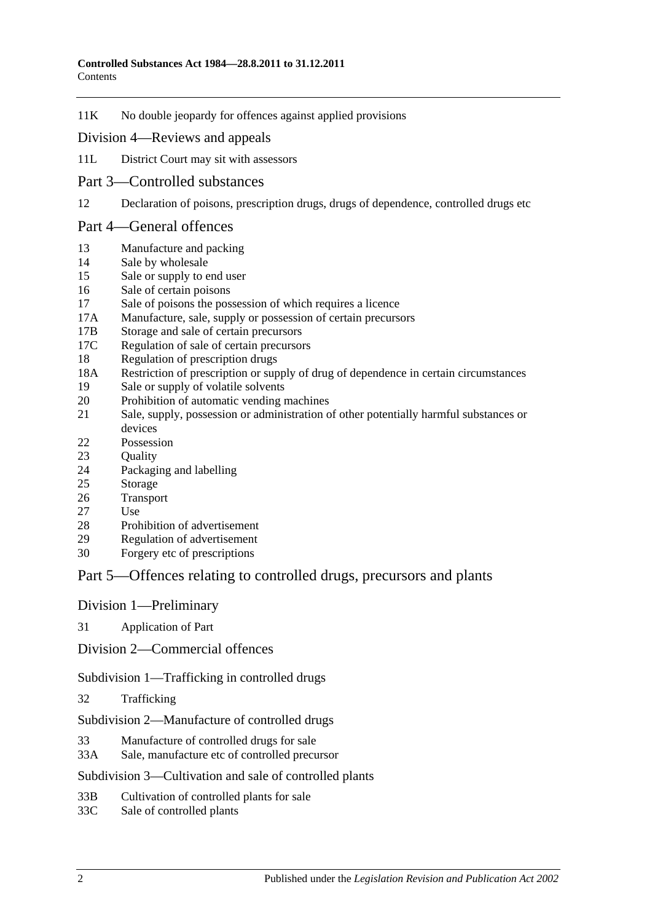11K [No double jeopardy for offences against applied provisions](#page-15-1)

### Division [4—Reviews and appeals](#page-15-2)

- 11L [District Court may sit with assessors](#page-15-3)
- [Part 3—Controlled substances](#page-16-0)
- 12 [Declaration of poisons, prescription drugs, drugs of dependence, controlled drugs etc](#page-16-1)

### [Part 4—General offences](#page-16-2)

- 13 [Manufacture and packing](#page-16-3)
- 14 [Sale by wholesale](#page-17-0)
- 15 [Sale or supply to end user](#page-17-1)
- 16 [Sale of certain poisons](#page-18-0)
- 17 [Sale of poisons the possession of which requires a licence](#page-18-1)
- 17A [Manufacture, sale, supply or possession of certain precursors](#page-18-2)
- 17B [Storage and sale of certain precursors](#page-19-0)
- 17C [Regulation of sale of certain precursors](#page-20-0)
- 18 [Regulation of prescription drugs](#page-20-1)
- 18A [Restriction of prescription or supply of drug of dependence in certain circumstances](#page-24-0)
- 19 Sale or [supply of volatile solvents](#page-26-0)
- 20 [Prohibition of automatic vending machines](#page-26-1)
- 21 [Sale, supply, possession or administration of other potentially harmful substances or](#page-27-0)  [devices](#page-27-0)
- 22 [Possession](#page-27-1)
- 23 Ouality
- 24 [Packaging and labelling](#page-27-3)
- 25 [Storage](#page-28-0)
- 26 [Transport](#page-28-1)
- 27 [Use](#page-28-2)
- 28 [Prohibition of advertisement](#page-28-3)
- 29 [Regulation of advertisement](#page-28-4)
- 30 [Forgery etc of prescriptions](#page-28-5)

## [Part 5—Offences relating to controlled drugs, precursors and plants](#page-29-0)

### [Division 1—Preliminary](#page-29-1)

31 [Application of Part](#page-29-2)

[Division 2—Commercial offences](#page-31-0)

[Subdivision 1—Trafficking in controlled drugs](#page-31-1)

32 [Trafficking](#page-31-2)

[Subdivision 2—Manufacture of controlled drugs](#page-32-0)

- 33 [Manufacture of controlled drugs for sale](#page-32-1)
- 33A [Sale, manufacture etc of controlled precursor](#page-33-0)

### [Subdivision 3—Cultivation and sale of controlled plants](#page-34-0)

- 33B [Cultivation of controlled plants for sale](#page-34-1)
- 33C [Sale of controlled plants](#page-34-2)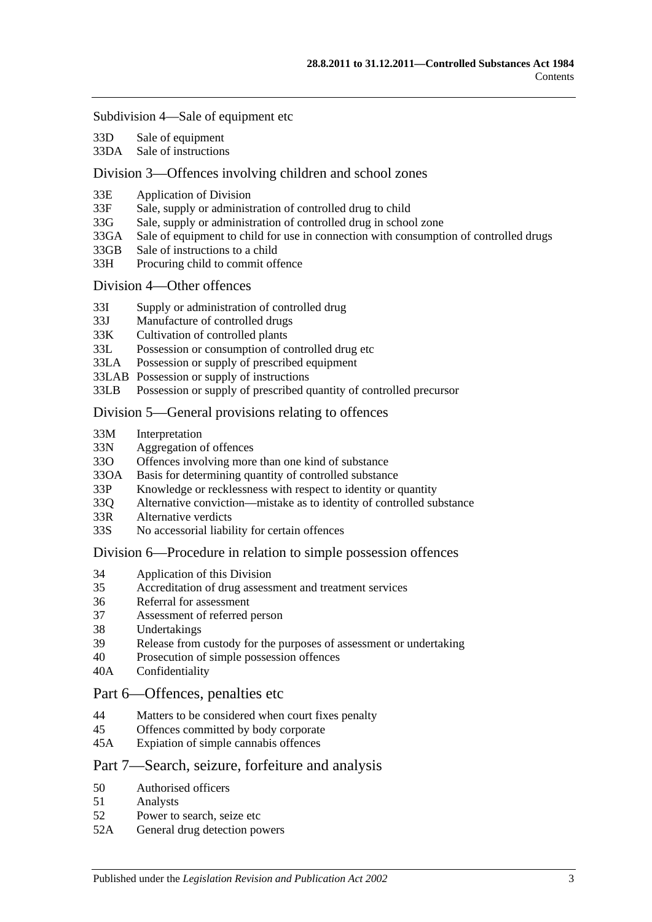#### [Subdivision 4—Sale of equipment etc](#page-35-0)

- 33D [Sale of equipment](#page-35-1)
- 33DA [Sale of instructions](#page-35-2)

### [Division 3—Offences involving children and school zones](#page-36-0)

- 33E [Application of Division](#page-36-1)
- 33F [Sale, supply or administration of controlled drug to child](#page-36-2)
- 33G [Sale, supply or administration of controlled drug in school zone](#page-36-3)
- 33GA [Sale of equipment to child for use in connection with consumption of controlled drugs](#page-36-4)
- 33GB [Sale of instructions to a child](#page-37-0)
- 33H [Procuring child to commit offence](#page-37-1)

### [Division 4—Other offences](#page-37-2)

- 33I [Supply or administration of controlled drug](#page-37-3)
- 33J [Manufacture of controlled drugs](#page-38-0)
- 33K [Cultivation of controlled plants](#page-38-1)
- 33L [Possession or consumption of controlled drug etc](#page-38-2)
- 33LA [Possession or supply of prescribed equipment](#page-39-0)
- 33LAB [Possession or supply of instructions](#page-39-1)
- 33LB [Possession or supply of prescribed quantity of controlled precursor](#page-39-2)

### [Division 5—General provisions relating to offences](#page-40-0)

- 33M [Interpretation](#page-40-1)
- 33N [Aggregation of offences](#page-40-2)
- 33O [Offences involving more than one kind of substance](#page-41-0)
- 33OA [Basis for determining quantity of controlled substance](#page-42-0)
- 33P [Knowledge or recklessness with respect to identity or quantity](#page-43-0)
- 33Q [Alternative conviction—mistake as to identity of controlled substance](#page-43-1)
- 33R [Alternative verdicts](#page-43-2)
- 33S [No accessorial liability for certain offences](#page-44-0)

### [Division 6—Procedure in relation to simple possession offences](#page-44-1)

- 34 [Application of this Division](#page-44-2)
- 35 [Accreditation of drug assessment and treatment services](#page-44-3)
- 36 [Referral for assessment](#page-44-4)
- 37 [Assessment of referred person](#page-44-5)
- 38 [Undertakings](#page-46-0)
- 39 [Release from custody for the purposes of assessment or undertaking](#page-46-1)
- 40 [Prosecution of simple possession offences](#page-46-2)
- 40A [Confidentiality](#page-47-0)

### [Part 6—Offences, penalties etc](#page-47-1)

- 44 [Matters to be considered when court fixes penalty](#page-47-2)
- 45 [Offences committed by body corporate](#page-48-0)
- 45A [Expiation of simple cannabis offences](#page-48-1)

### [Part 7—Search, seizure, forfeiture and analysis](#page-49-0)

- 50 [Authorised officers](#page-49-1)
- 51 [Analysts](#page-49-2)
- 52 [Power to search, seize etc](#page-49-3)
- 52A [General drug detection powers](#page-51-0)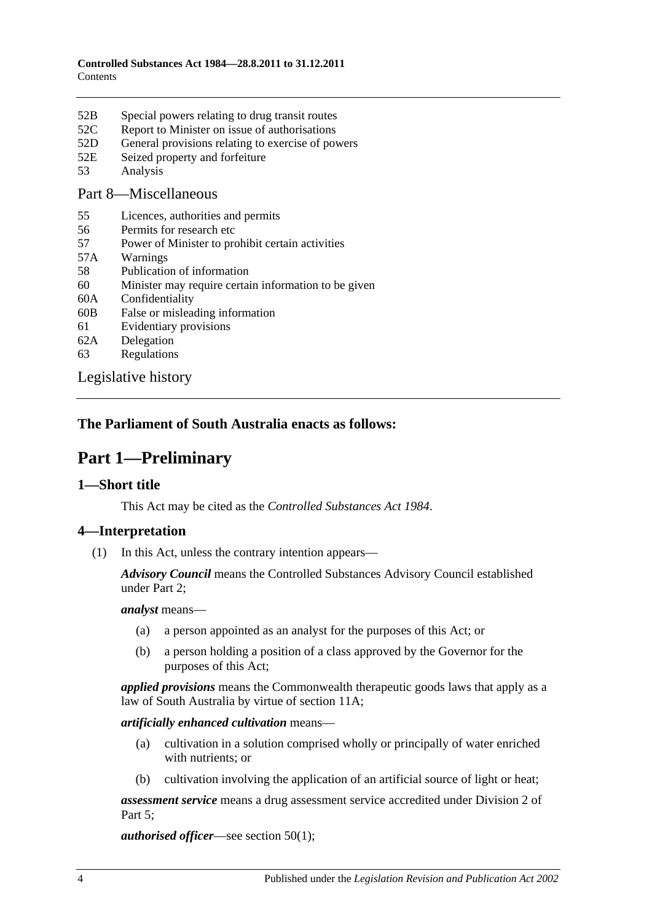- 52B [Special powers relating to drug transit routes](#page-52-0)
- 52C [Report to Minister on issue of authorisations](#page-54-0)
- 52D [General provisions relating to exercise of powers](#page-54-1)
- 52E [Seized property and forfeiture](#page-55-0)
- 53 [Analysis](#page-56-0)

### [Part 8—Miscellaneous](#page-57-0)

- 55 [Licences, authorities and permits](#page-57-1)
- 56 [Permits for research etc](#page-58-0)
- 57 [Power of Minister to prohibit certain activities](#page-58-1)
- 57A [Warnings](#page-59-0)
- 58 [Publication of information](#page-59-1)
- 60 [Minister may require certain information to be given](#page-60-0)
- 60A [Confidentiality](#page-60-1)
- 60B [False or misleading information](#page-61-0)
- 61 [Evidentiary provisions](#page-61-1)
- 62A [Delegation](#page-62-0)
- 63 [Regulations](#page-62-1)

[Legislative history](#page-65-0)

## <span id="page-3-0"></span>**The Parliament of South Australia enacts as follows:**

## **Part 1—Preliminary**

## <span id="page-3-1"></span>**1—Short title**

This Act may be cited as the *Controlled Substances Act 1984*.

## <span id="page-3-2"></span>**4—Interpretation**

(1) In this Act, unless the contrary intention appears—

*Advisory Council* means the Controlled Substances Advisory Council established under [Part 2;](#page-10-1)

*analyst* means—

- (a) a person appointed as an analyst for the purposes of this Act; or
- (b) a person holding a position of a class approved by the Governor for the purposes of this Act;

*applied provisions* means the Commonwealth therapeutic goods laws that apply as a law of South Australia by virtue of [section](#page-13-2) 11A;

*artificially enhanced cultivation* means—

- (a) cultivation in a solution comprised wholly or principally of water enriched with nutrients; or
- (b) cultivation involving the application of an artificial source of light or heat;

*assessment service* means a drug assessment service accredited under [Division](#page-44-1) 2 of [Part 5;](#page-29-0)

*authorised officer*—see [section](#page-49-4) 50(1);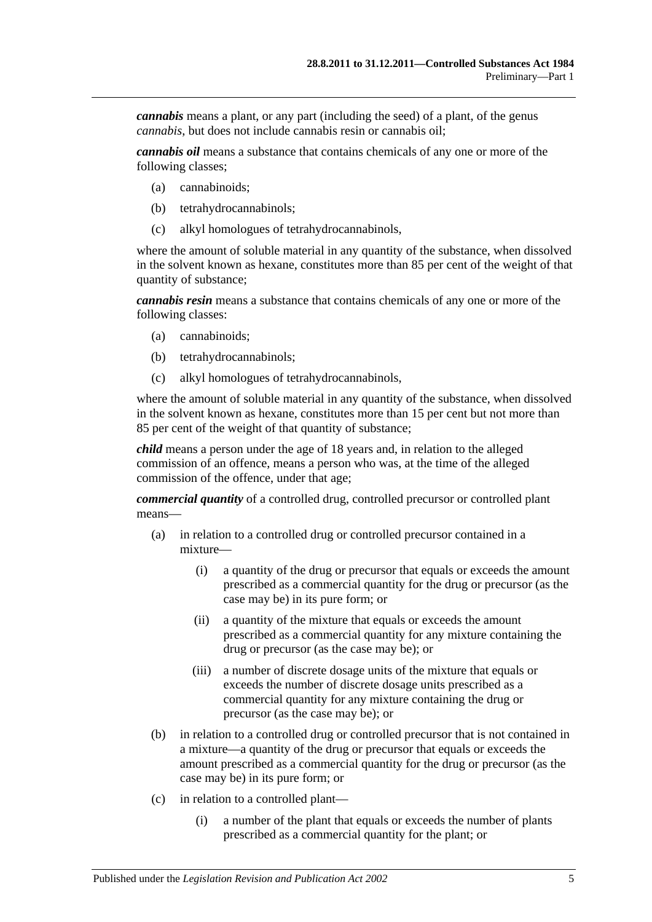*cannabis* means a plant, or any part (including the seed) of a plant, of the genus *cannabis*, but does not include cannabis resin or cannabis oil;

*cannabis oil* means a substance that contains chemicals of any one or more of the following classes;

- (a) cannabinoids;
- (b) tetrahydrocannabinols;
- (c) alkyl homologues of tetrahydrocannabinols,

where the amount of soluble material in any quantity of the substance, when dissolved in the solvent known as hexane, constitutes more than 85 per cent of the weight of that quantity of substance;

*cannabis resin* means a substance that contains chemicals of any one or more of the following classes:

- (a) cannabinoids;
- (b) tetrahydrocannabinols;
- (c) alkyl homologues of tetrahydrocannabinols,

where the amount of soluble material in any quantity of the substance, when dissolved in the solvent known as hexane, constitutes more than 15 per cent but not more than 85 per cent of the weight of that quantity of substance;

*child* means a person under the age of 18 years and, in relation to the alleged commission of an offence, means a person who was, at the time of the alleged commission of the offence, under that age;

*commercial quantity* of a controlled drug, controlled precursor or controlled plant means—

- (a) in relation to a controlled drug or controlled precursor contained in a mixture—
	- (i) a quantity of the drug or precursor that equals or exceeds the amount prescribed as a commercial quantity for the drug or precursor (as the case may be) in its pure form; or
	- (ii) a quantity of the mixture that equals or exceeds the amount prescribed as a commercial quantity for any mixture containing the drug or precursor (as the case may be); or
	- (iii) a number of discrete dosage units of the mixture that equals or exceeds the number of discrete dosage units prescribed as a commercial quantity for any mixture containing the drug or precursor (as the case may be); or
- (b) in relation to a controlled drug or controlled precursor that is not contained in a mixture—a quantity of the drug or precursor that equals or exceeds the amount prescribed as a commercial quantity for the drug or precursor (as the case may be) in its pure form; or
- (c) in relation to a controlled plant—
	- (i) a number of the plant that equals or exceeds the number of plants prescribed as a commercial quantity for the plant; or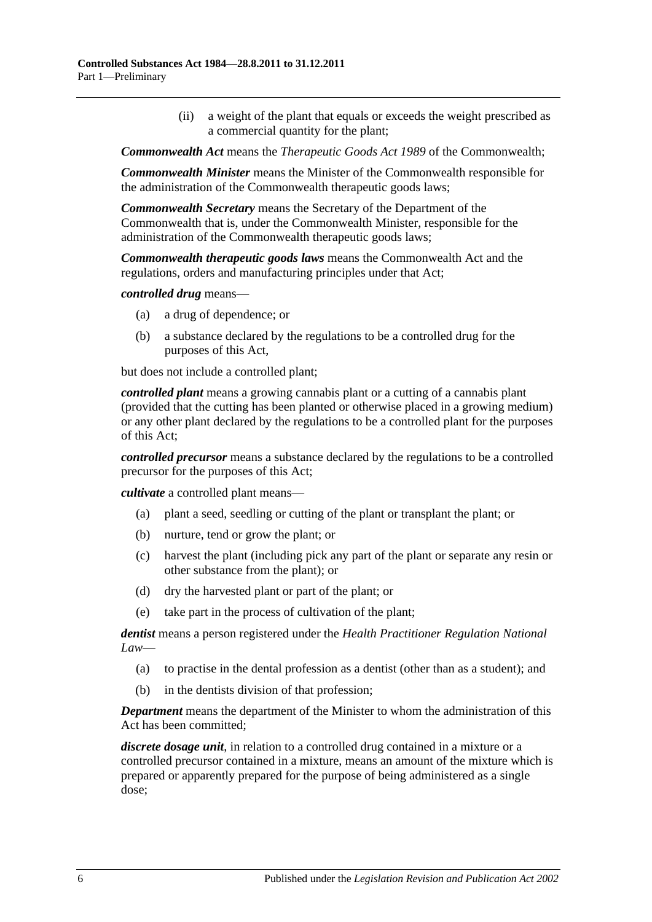(ii) a weight of the plant that equals or exceeds the weight prescribed as a commercial quantity for the plant;

*Commonwealth Act* means the *Therapeutic Goods Act 1989* of the Commonwealth;

*Commonwealth Minister* means the Minister of the Commonwealth responsible for the administration of the Commonwealth therapeutic goods laws;

*Commonwealth Secretary* means the Secretary of the Department of the Commonwealth that is, under the Commonwealth Minister, responsible for the administration of the Commonwealth therapeutic goods laws;

*Commonwealth therapeutic goods laws* means the Commonwealth Act and the regulations, orders and manufacturing principles under that Act;

*controlled drug* means—

- (a) a drug of dependence; or
- (b) a substance declared by the regulations to be a controlled drug for the purposes of this Act,

but does not include a controlled plant;

*controlled plant* means a growing cannabis plant or a cutting of a cannabis plant (provided that the cutting has been planted or otherwise placed in a growing medium) or any other plant declared by the regulations to be a controlled plant for the purposes of this Act;

*controlled precursor* means a substance declared by the regulations to be a controlled precursor for the purposes of this Act;

*cultivate* a controlled plant means—

- (a) plant a seed, seedling or cutting of the plant or transplant the plant; or
- (b) nurture, tend or grow the plant; or
- (c) harvest the plant (including pick any part of the plant or separate any resin or other substance from the plant); or
- (d) dry the harvested plant or part of the plant; or
- (e) take part in the process of cultivation of the plant;

*dentist* means a person registered under the *Health Practitioner Regulation National Law*—

- (a) to practise in the dental profession as a dentist (other than as a student); and
- (b) in the dentists division of that profession;

*Department* means the department of the Minister to whom the administration of this Act has been committed;

*discrete dosage unit*, in relation to a controlled drug contained in a mixture or a controlled precursor contained in a mixture, means an amount of the mixture which is prepared or apparently prepared for the purpose of being administered as a single dose;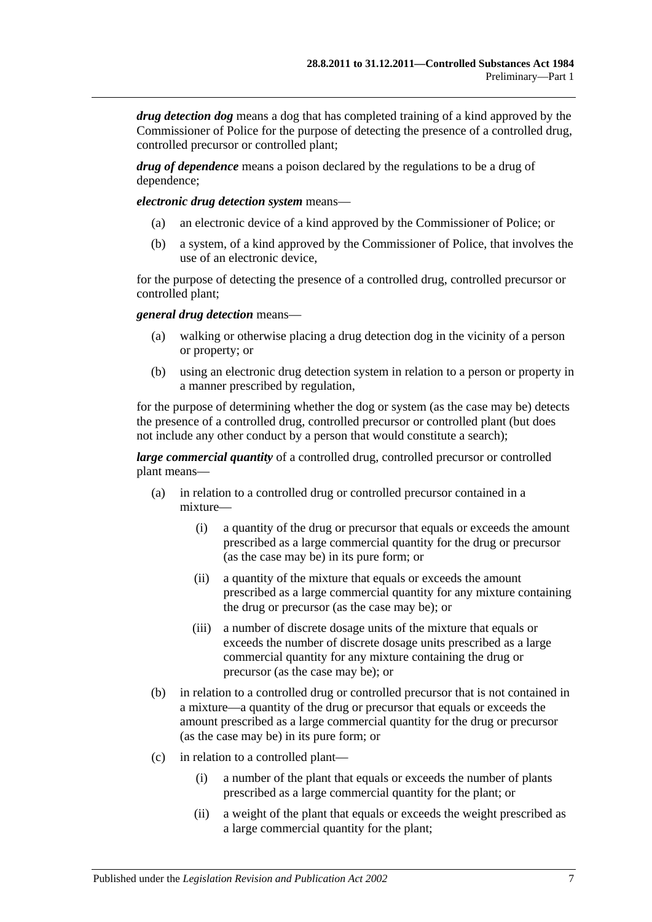*drug detection dog* means a dog that has completed training of a kind approved by the Commissioner of Police for the purpose of detecting the presence of a controlled drug, controlled precursor or controlled plant;

*drug of dependence* means a poison declared by the regulations to be a drug of dependence;

*electronic drug detection system* means—

- (a) an electronic device of a kind approved by the Commissioner of Police; or
- (b) a system, of a kind approved by the Commissioner of Police, that involves the use of an electronic device,

for the purpose of detecting the presence of a controlled drug, controlled precursor or controlled plant;

*general drug detection* means—

- (a) walking or otherwise placing a drug detection dog in the vicinity of a person or property; or
- (b) using an electronic drug detection system in relation to a person or property in a manner prescribed by regulation,

for the purpose of determining whether the dog or system (as the case may be) detects the presence of a controlled drug, controlled precursor or controlled plant (but does not include any other conduct by a person that would constitute a search);

*large commercial quantity* of a controlled drug, controlled precursor or controlled plant means—

- (a) in relation to a controlled drug or controlled precursor contained in a mixture—
	- (i) a quantity of the drug or precursor that equals or exceeds the amount prescribed as a large commercial quantity for the drug or precursor (as the case may be) in its pure form; or
	- (ii) a quantity of the mixture that equals or exceeds the amount prescribed as a large commercial quantity for any mixture containing the drug or precursor (as the case may be); or
	- (iii) a number of discrete dosage units of the mixture that equals or exceeds the number of discrete dosage units prescribed as a large commercial quantity for any mixture containing the drug or precursor (as the case may be); or
- (b) in relation to a controlled drug or controlled precursor that is not contained in a mixture—a quantity of the drug or precursor that equals or exceeds the amount prescribed as a large commercial quantity for the drug or precursor (as the case may be) in its pure form; or
- (c) in relation to a controlled plant—
	- (i) a number of the plant that equals or exceeds the number of plants prescribed as a large commercial quantity for the plant; or
	- (ii) a weight of the plant that equals or exceeds the weight prescribed as a large commercial quantity for the plant;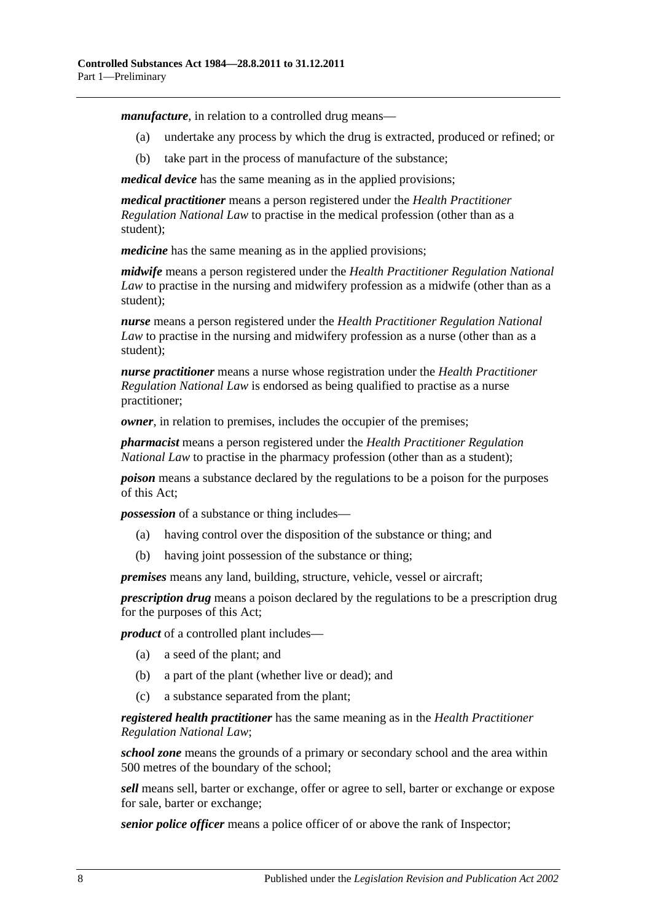*manufacture*, in relation to a controlled drug means—

- (a) undertake any process by which the drug is extracted, produced or refined; or
- (b) take part in the process of manufacture of the substance;

*medical device* has the same meaning as in the applied provisions;

*medical practitioner* means a person registered under the *Health Practitioner Regulation National Law* to practise in the medical profession (other than as a student);

*medicine* has the same meaning as in the applied provisions;

*midwife* means a person registered under the *Health Practitioner Regulation National Law* to practise in the nursing and midwifery profession as a midwife (other than as a student);

*nurse* means a person registered under the *Health Practitioner Regulation National Law* to practise in the nursing and midwifery profession as a nurse (other than as a student);

*nurse practitioner* means a nurse whose registration under the *Health Practitioner Regulation National Law* is endorsed as being qualified to practise as a nurse practitioner;

*owner*, in relation to premises, includes the occupier of the premises;

*pharmacist* means a person registered under the *Health Practitioner Regulation National Law* to practise in the pharmacy profession (other than as a student);

*poison* means a substance declared by the regulations to be a poison for the purposes of this Act;

*possession* of a substance or thing includes—

- (a) having control over the disposition of the substance or thing; and
- (b) having joint possession of the substance or thing;

*premises* means any land, building, structure, vehicle, vessel or aircraft;

*prescription drug* means a poison declared by the regulations to be a prescription drug for the purposes of this Act;

*product* of a controlled plant includes—

- (a) a seed of the plant; and
- (b) a part of the plant (whether live or dead); and
- (c) a substance separated from the plant;

*registered health practitioner* has the same meaning as in the *Health Practitioner Regulation National Law*;

*school zone* means the grounds of a primary or secondary school and the area within 500 metres of the boundary of the school;

*sell* means sell, barter or exchange, offer or agree to sell, barter or exchange or expose for sale, barter or exchange;

*senior police officer* means a police officer of or above the rank of Inspector;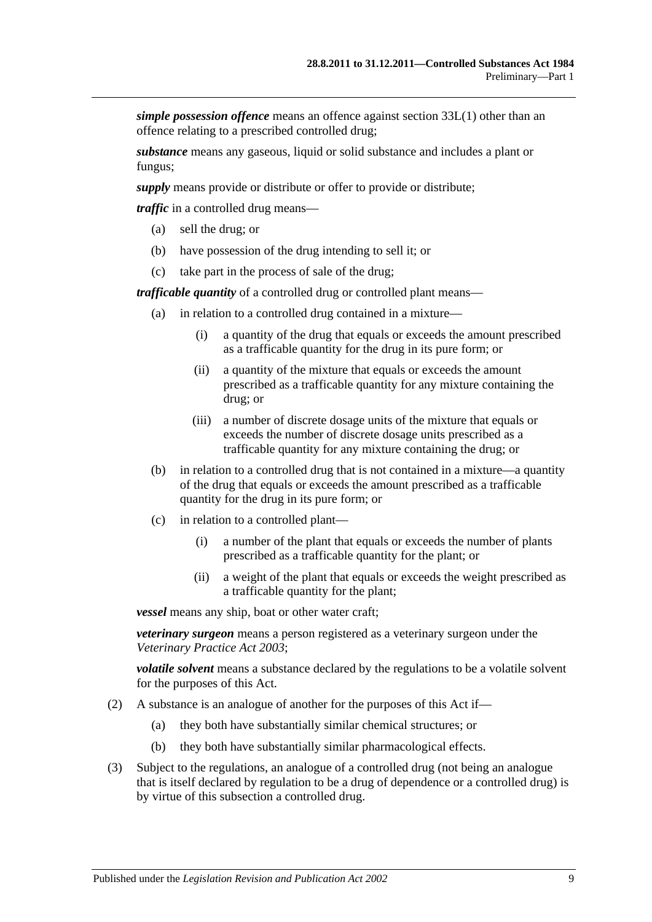*simple possession offence* means an offence against [section](#page-38-3) 33L(1) other than an offence relating to a prescribed controlled drug;

*substance* means any gaseous, liquid or solid substance and includes a plant or fungus;

*supply* means provide or distribute or offer to provide or distribute;

*traffic* in a controlled drug means—

- (a) sell the drug; or
- (b) have possession of the drug intending to sell it; or
- (c) take part in the process of sale of the drug;

*trafficable quantity* of a controlled drug or controlled plant means—

- (a) in relation to a controlled drug contained in a mixture—
	- (i) a quantity of the drug that equals or exceeds the amount prescribed as a trafficable quantity for the drug in its pure form; or
	- (ii) a quantity of the mixture that equals or exceeds the amount prescribed as a trafficable quantity for any mixture containing the drug; or
	- (iii) a number of discrete dosage units of the mixture that equals or exceeds the number of discrete dosage units prescribed as a trafficable quantity for any mixture containing the drug; or
- (b) in relation to a controlled drug that is not contained in a mixture—a quantity of the drug that equals or exceeds the amount prescribed as a trafficable quantity for the drug in its pure form; or
- (c) in relation to a controlled plant—
	- (i) a number of the plant that equals or exceeds the number of plants prescribed as a trafficable quantity for the plant; or
	- (ii) a weight of the plant that equals or exceeds the weight prescribed as a trafficable quantity for the plant;

*vessel* means any ship, boat or other water craft;

*veterinary surgeon* means a person registered as a veterinary surgeon under the *[Veterinary Practice Act](http://www.legislation.sa.gov.au/index.aspx?action=legref&type=act&legtitle=Veterinary%20Practice%20Act%202003) 2003*;

*volatile solvent* means a substance declared by the regulations to be a volatile solvent for the purposes of this Act.

- (2) A substance is an analogue of another for the purposes of this Act if—
	- (a) they both have substantially similar chemical structures; or
	- (b) they both have substantially similar pharmacological effects.
- (3) Subject to the regulations, an analogue of a controlled drug (not being an analogue that is itself declared by regulation to be a drug of dependence or a controlled drug) is by virtue of this subsection a controlled drug.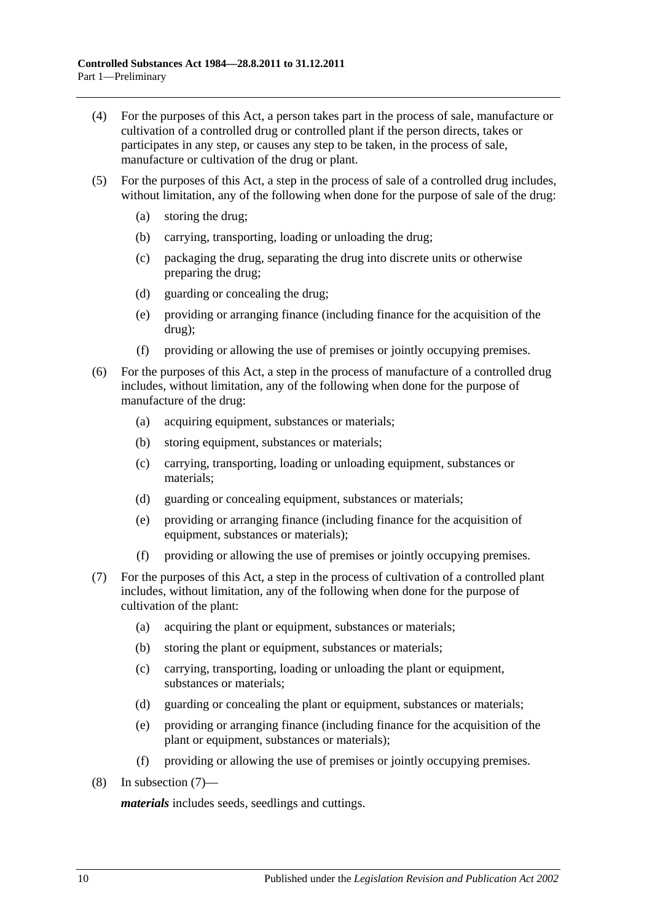- (4) For the purposes of this Act, a person takes part in the process of sale, manufacture or cultivation of a controlled drug or controlled plant if the person directs, takes or participates in any step, or causes any step to be taken, in the process of sale, manufacture or cultivation of the drug or plant.
- (5) For the purposes of this Act, a step in the process of sale of a controlled drug includes, without limitation, any of the following when done for the purpose of sale of the drug:
	- (a) storing the drug;
	- (b) carrying, transporting, loading or unloading the drug;
	- (c) packaging the drug, separating the drug into discrete units or otherwise preparing the drug;
	- (d) guarding or concealing the drug;
	- (e) providing or arranging finance (including finance for the acquisition of the drug);
	- (f) providing or allowing the use of premises or jointly occupying premises.
- (6) For the purposes of this Act, a step in the process of manufacture of a controlled drug includes, without limitation, any of the following when done for the purpose of manufacture of the drug:
	- (a) acquiring equipment, substances or materials;
	- (b) storing equipment, substances or materials;
	- (c) carrying, transporting, loading or unloading equipment, substances or materials;
	- (d) guarding or concealing equipment, substances or materials;
	- (e) providing or arranging finance (including finance for the acquisition of equipment, substances or materials);
	- (f) providing or allowing the use of premises or jointly occupying premises.
- <span id="page-9-0"></span>(7) For the purposes of this Act, a step in the process of cultivation of a controlled plant includes, without limitation, any of the following when done for the purpose of cultivation of the plant:
	- (a) acquiring the plant or equipment, substances or materials;
	- (b) storing the plant or equipment, substances or materials;
	- (c) carrying, transporting, loading or unloading the plant or equipment, substances or materials;
	- (d) guarding or concealing the plant or equipment, substances or materials;
	- (e) providing or arranging finance (including finance for the acquisition of the plant or equipment, substances or materials);
	- (f) providing or allowing the use of premises or jointly occupying premises.
- (8) In [subsection](#page-9-0) (7)—

*materials* includes seeds, seedlings and cuttings.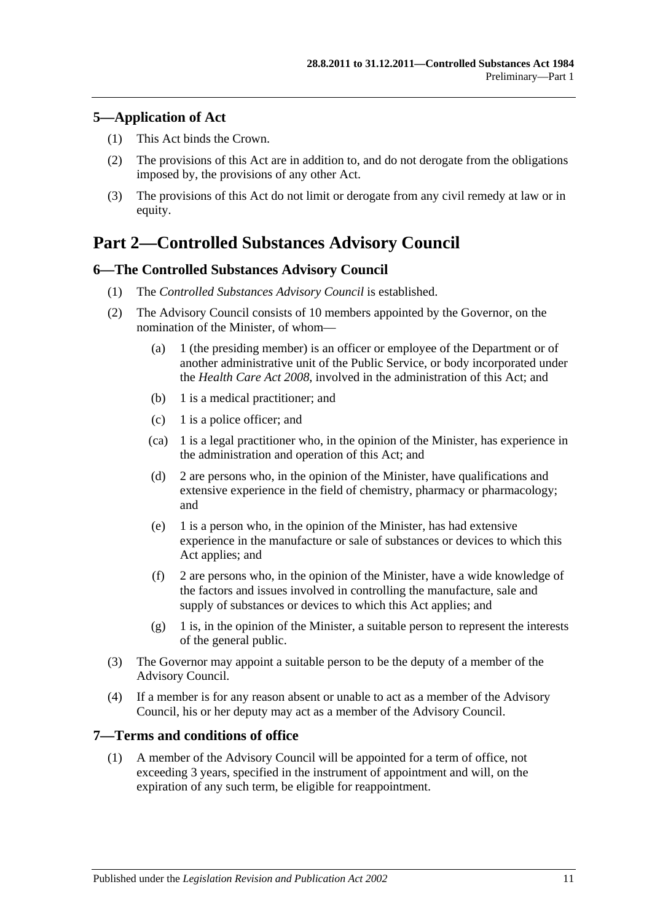## <span id="page-10-0"></span>**5—Application of Act**

- (1) This Act binds the Crown.
- (2) The provisions of this Act are in addition to, and do not derogate from the obligations imposed by, the provisions of any other Act.
- (3) The provisions of this Act do not limit or derogate from any civil remedy at law or in equity.

## <span id="page-10-1"></span>**Part 2—Controlled Substances Advisory Council**

## <span id="page-10-2"></span>**6—The Controlled Substances Advisory Council**

- (1) The *Controlled Substances Advisory Council* is established.
- (2) The Advisory Council consists of 10 members appointed by the Governor, on the nomination of the Minister, of whom—
	- (a) 1 (the presiding member) is an officer or employee of the Department or of another administrative unit of the Public Service, or body incorporated under the *[Health Care Act](http://www.legislation.sa.gov.au/index.aspx?action=legref&type=act&legtitle=Health%20Care%20Act%202008) 2008*, involved in the administration of this Act; and
	- (b) 1 is a medical practitioner; and
	- (c) 1 is a police officer; and
	- (ca) 1 is a legal practitioner who, in the opinion of the Minister, has experience in the administration and operation of this Act; and
	- (d) 2 are persons who, in the opinion of the Minister, have qualifications and extensive experience in the field of chemistry, pharmacy or pharmacology; and
	- (e) 1 is a person who, in the opinion of the Minister, has had extensive experience in the manufacture or sale of substances or devices to which this Act applies; and
	- (f) 2 are persons who, in the opinion of the Minister, have a wide knowledge of the factors and issues involved in controlling the manufacture, sale and supply of substances or devices to which this Act applies; and
	- (g) 1 is, in the opinion of the Minister, a suitable person to represent the interests of the general public.
- (3) The Governor may appoint a suitable person to be the deputy of a member of the Advisory Council.
- (4) If a member is for any reason absent or unable to act as a member of the Advisory Council, his or her deputy may act as a member of the Advisory Council.

## <span id="page-10-3"></span>**7—Terms and conditions of office**

(1) A member of the Advisory Council will be appointed for a term of office, not exceeding 3 years, specified in the instrument of appointment and will, on the expiration of any such term, be eligible for reappointment.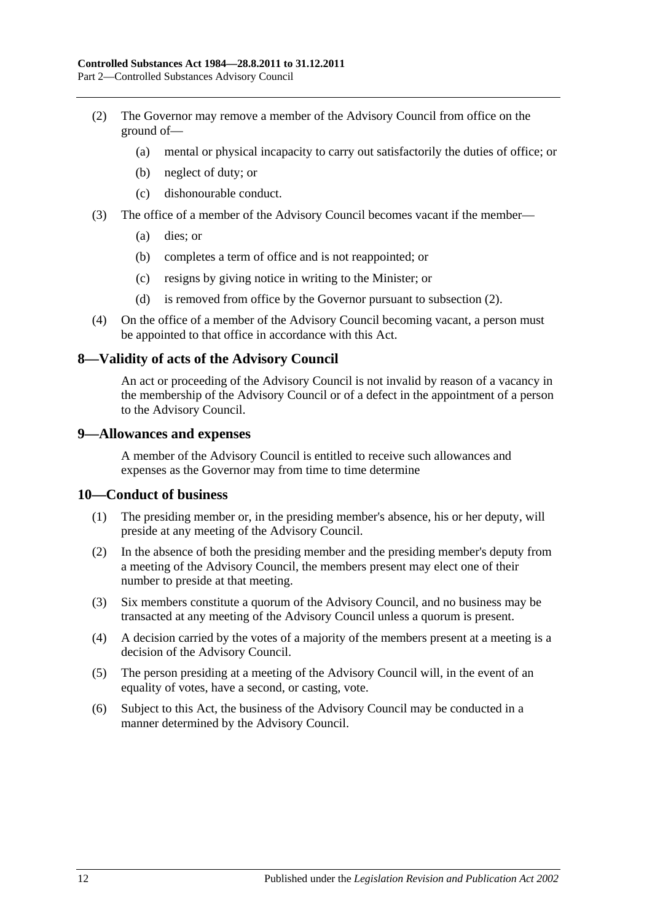- <span id="page-11-3"></span>(2) The Governor may remove a member of the Advisory Council from office on the ground of—
	- (a) mental or physical incapacity to carry out satisfactorily the duties of office; or
	- (b) neglect of duty; or
	- (c) dishonourable conduct.
- (3) The office of a member of the Advisory Council becomes vacant if the member—
	- (a) dies; or
	- (b) completes a term of office and is not reappointed; or
	- (c) resigns by giving notice in writing to the Minister; or
	- (d) is removed from office by the Governor pursuant to [subsection](#page-11-3) (2).
- (4) On the office of a member of the Advisory Council becoming vacant, a person must be appointed to that office in accordance with this Act.

### <span id="page-11-0"></span>**8—Validity of acts of the Advisory Council**

An act or proceeding of the Advisory Council is not invalid by reason of a vacancy in the membership of the Advisory Council or of a defect in the appointment of a person to the Advisory Council.

### <span id="page-11-1"></span>**9—Allowances and expenses**

A member of the Advisory Council is entitled to receive such allowances and expenses as the Governor may from time to time determine

### <span id="page-11-2"></span>**10—Conduct of business**

- (1) The presiding member or, in the presiding member's absence, his or her deputy, will preside at any meeting of the Advisory Council.
- (2) In the absence of both the presiding member and the presiding member's deputy from a meeting of the Advisory Council, the members present may elect one of their number to preside at that meeting.
- (3) Six members constitute a quorum of the Advisory Council, and no business may be transacted at any meeting of the Advisory Council unless a quorum is present.
- (4) A decision carried by the votes of a majority of the members present at a meeting is a decision of the Advisory Council.
- (5) The person presiding at a meeting of the Advisory Council will, in the event of an equality of votes, have a second, or casting, vote.
- (6) Subject to this Act, the business of the Advisory Council may be conducted in a manner determined by the Advisory Council.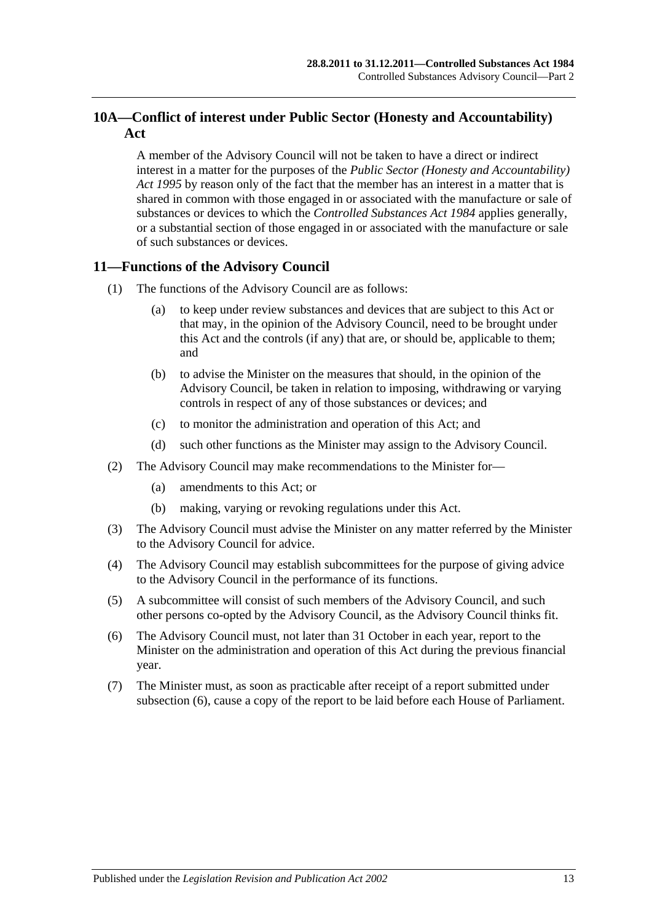## <span id="page-12-0"></span>**10A—Conflict of interest under Public Sector (Honesty and Accountability) Act**

A member of the Advisory Council will not be taken to have a direct or indirect interest in a matter for the purposes of the *[Public Sector \(Honesty and Accountability\)](http://www.legislation.sa.gov.au/index.aspx?action=legref&type=act&legtitle=Public%20Sector%20(Honesty%20and%20Accountability)%20Act%201995)  Act [1995](http://www.legislation.sa.gov.au/index.aspx?action=legref&type=act&legtitle=Public%20Sector%20(Honesty%20and%20Accountability)%20Act%201995)* by reason only of the fact that the member has an interest in a matter that is shared in common with those engaged in or associated with the manufacture or sale of substances or devices to which the *[Controlled Substances Act](http://www.legislation.sa.gov.au/index.aspx?action=legref&type=act&legtitle=Controlled%20Substances%20Act%201984) 1984* applies generally, or a substantial section of those engaged in or associated with the manufacture or sale of such substances or devices.

## <span id="page-12-1"></span>**11—Functions of the Advisory Council**

- (1) The functions of the Advisory Council are as follows:
	- (a) to keep under review substances and devices that are subject to this Act or that may, in the opinion of the Advisory Council, need to be brought under this Act and the controls (if any) that are, or should be, applicable to them; and
	- (b) to advise the Minister on the measures that should, in the opinion of the Advisory Council, be taken in relation to imposing, withdrawing or varying controls in respect of any of those substances or devices; and
	- (c) to monitor the administration and operation of this Act; and
	- (d) such other functions as the Minister may assign to the Advisory Council.
- (2) The Advisory Council may make recommendations to the Minister for—
	- (a) amendments to this Act; or
	- (b) making, varying or revoking regulations under this Act.
- (3) The Advisory Council must advise the Minister on any matter referred by the Minister to the Advisory Council for advice.
- (4) The Advisory Council may establish subcommittees for the purpose of giving advice to the Advisory Council in the performance of its functions.
- (5) A subcommittee will consist of such members of the Advisory Council, and such other persons co-opted by the Advisory Council, as the Advisory Council thinks fit.
- <span id="page-12-2"></span>(6) The Advisory Council must, not later than 31 October in each year, report to the Minister on the administration and operation of this Act during the previous financial year.
- (7) The Minister must, as soon as practicable after receipt of a report submitted under [subsection](#page-12-2) (6), cause a copy of the report to be laid before each House of Parliament.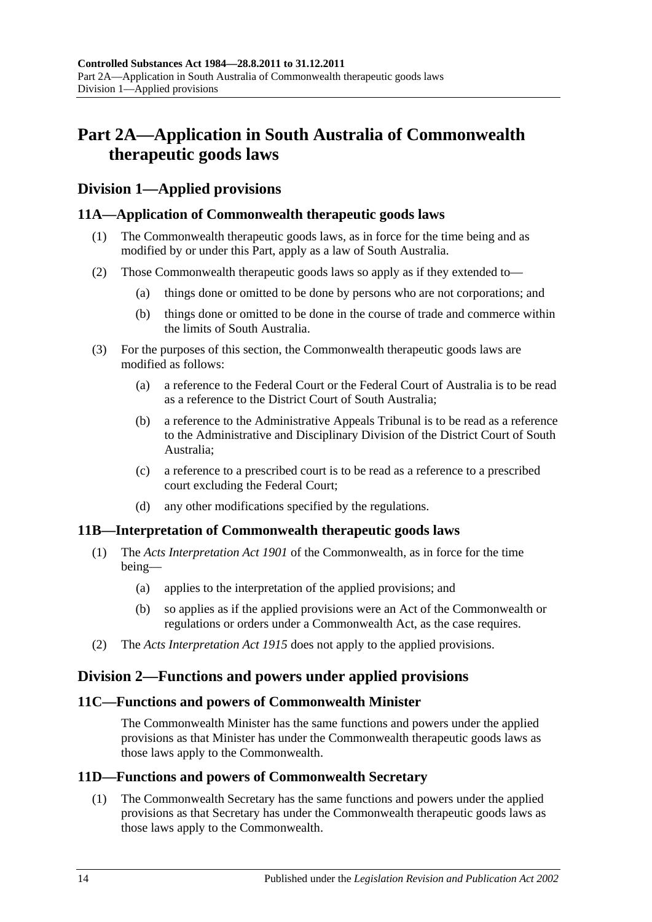## <span id="page-13-0"></span>**Part 2A—Application in South Australia of Commonwealth therapeutic goods laws**

## <span id="page-13-1"></span>**Division 1—Applied provisions**

## <span id="page-13-2"></span>**11A—Application of Commonwealth therapeutic goods laws**

- (1) The Commonwealth therapeutic goods laws, as in force for the time being and as modified by or under this Part, apply as a law of South Australia.
- (2) Those Commonwealth therapeutic goods laws so apply as if they extended to—
	- (a) things done or omitted to be done by persons who are not corporations; and
	- (b) things done or omitted to be done in the course of trade and commerce within the limits of South Australia.
- (3) For the purposes of this section, the Commonwealth therapeutic goods laws are modified as follows:
	- (a) a reference to the Federal Court or the Federal Court of Australia is to be read as a reference to the District Court of South Australia;
	- (b) a reference to the Administrative Appeals Tribunal is to be read as a reference to the Administrative and Disciplinary Division of the District Court of South Australia;
	- (c) a reference to a prescribed court is to be read as a reference to a prescribed court excluding the Federal Court;
	- (d) any other modifications specified by the regulations.

## <span id="page-13-3"></span>**11B—Interpretation of Commonwealth therapeutic goods laws**

- (1) The *Acts Interpretation Act 1901* of the Commonwealth, as in force for the time being—
	- (a) applies to the interpretation of the applied provisions; and
	- (b) so applies as if the applied provisions were an Act of the Commonwealth or regulations or orders under a Commonwealth Act, as the case requires.
- (2) The *[Acts Interpretation Act](http://www.legislation.sa.gov.au/index.aspx?action=legref&type=act&legtitle=Acts%20Interpretation%20Act%201915) 1915* does not apply to the applied provisions.

## <span id="page-13-4"></span>**Division 2—Functions and powers under applied provisions**

## <span id="page-13-5"></span>**11C—Functions and powers of Commonwealth Minister**

The Commonwealth Minister has the same functions and powers under the applied provisions as that Minister has under the Commonwealth therapeutic goods laws as those laws apply to the Commonwealth.

## <span id="page-13-7"></span><span id="page-13-6"></span>**11D—Functions and powers of Commonwealth Secretary**

(1) The Commonwealth Secretary has the same functions and powers under the applied provisions as that Secretary has under the Commonwealth therapeutic goods laws as those laws apply to the Commonwealth.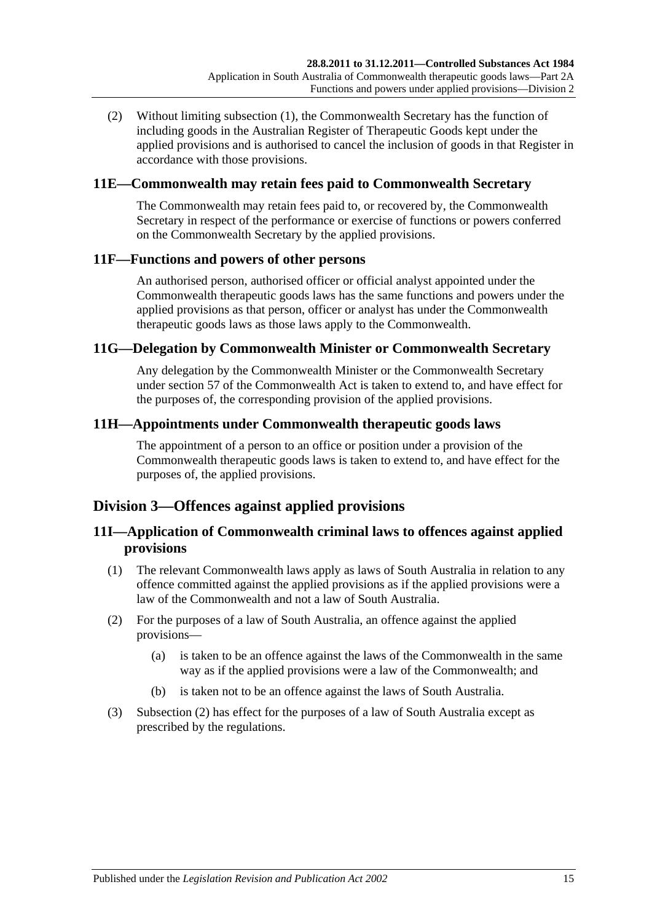(2) Without limiting [subsection](#page-13-7) (1), the Commonwealth Secretary has the function of including goods in the Australian Register of Therapeutic Goods kept under the applied provisions and is authorised to cancel the inclusion of goods in that Register in accordance with those provisions.

## <span id="page-14-0"></span>**11E—Commonwealth may retain fees paid to Commonwealth Secretary**

The Commonwealth may retain fees paid to, or recovered by, the Commonwealth Secretary in respect of the performance or exercise of functions or powers conferred on the Commonwealth Secretary by the applied provisions.

## <span id="page-14-1"></span>**11F—Functions and powers of other persons**

An authorised person, authorised officer or official analyst appointed under the Commonwealth therapeutic goods laws has the same functions and powers under the applied provisions as that person, officer or analyst has under the Commonwealth therapeutic goods laws as those laws apply to the Commonwealth.

### <span id="page-14-2"></span>**11G—Delegation by Commonwealth Minister or Commonwealth Secretary**

Any delegation by the Commonwealth Minister or the Commonwealth Secretary under section 57 of the Commonwealth Act is taken to extend to, and have effect for the purposes of, the corresponding provision of the applied provisions.

### <span id="page-14-3"></span>**11H—Appointments under Commonwealth therapeutic goods laws**

The appointment of a person to an office or position under a provision of the Commonwealth therapeutic goods laws is taken to extend to, and have effect for the purposes of, the applied provisions.

## <span id="page-14-4"></span>**Division 3—Offences against applied provisions**

## <span id="page-14-5"></span>**11I—Application of Commonwealth criminal laws to offences against applied provisions**

- (1) The relevant Commonwealth laws apply as laws of South Australia in relation to any offence committed against the applied provisions as if the applied provisions were a law of the Commonwealth and not a law of South Australia.
- <span id="page-14-6"></span>(2) For the purposes of a law of South Australia, an offence against the applied provisions—
	- (a) is taken to be an offence against the laws of the Commonwealth in the same way as if the applied provisions were a law of the Commonwealth; and
	- (b) is taken not to be an offence against the laws of South Australia.
- (3) [Subsection](#page-14-6) (2) has effect for the purposes of a law of South Australia except as prescribed by the regulations.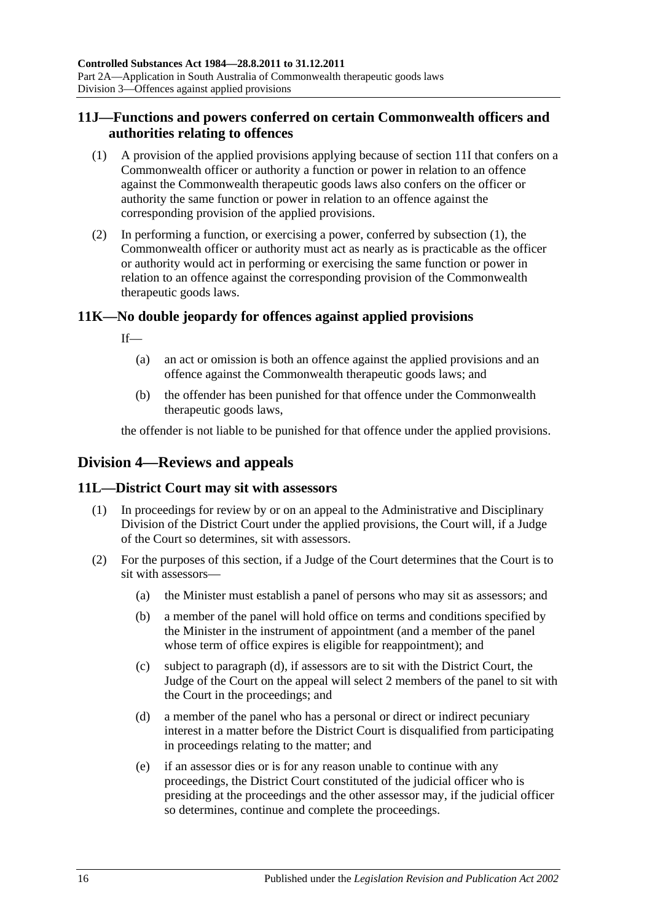## <span id="page-15-0"></span>**11J—Functions and powers conferred on certain Commonwealth officers and authorities relating to offences**

- <span id="page-15-4"></span>(1) A provision of the applied provisions applying because of [section](#page-14-5) 11I that confers on a Commonwealth officer or authority a function or power in relation to an offence against the Commonwealth therapeutic goods laws also confers on the officer or authority the same function or power in relation to an offence against the corresponding provision of the applied provisions.
- (2) In performing a function, or exercising a power, conferred by [subsection](#page-15-4) (1), the Commonwealth officer or authority must act as nearly as is practicable as the officer or authority would act in performing or exercising the same function or power in relation to an offence against the corresponding provision of the Commonwealth therapeutic goods laws.

## <span id="page-15-1"></span>**11K—No double jeopardy for offences against applied provisions**

If—

- (a) an act or omission is both an offence against the applied provisions and an offence against the Commonwealth therapeutic goods laws; and
- (b) the offender has been punished for that offence under the Commonwealth therapeutic goods laws,

the offender is not liable to be punished for that offence under the applied provisions.

## <span id="page-15-2"></span>**Division 4—Reviews and appeals**

## <span id="page-15-3"></span>**11L—District Court may sit with assessors**

- (1) In proceedings for review by or on an appeal to the Administrative and Disciplinary Division of the District Court under the applied provisions, the Court will, if a Judge of the Court so determines, sit with assessors.
- <span id="page-15-5"></span>(2) For the purposes of this section, if a Judge of the Court determines that the Court is to sit with assessors—
	- (a) the Minister must establish a panel of persons who may sit as assessors; and
	- (b) a member of the panel will hold office on terms and conditions specified by the Minister in the instrument of appointment (and a member of the panel whose term of office expires is eligible for reappointment); and
	- (c) subject to [paragraph](#page-15-5) (d), if assessors are to sit with the District Court, the Judge of the Court on the appeal will select 2 members of the panel to sit with the Court in the proceedings; and
	- (d) a member of the panel who has a personal or direct or indirect pecuniary interest in a matter before the District Court is disqualified from participating in proceedings relating to the matter; and
	- (e) if an assessor dies or is for any reason unable to continue with any proceedings, the District Court constituted of the judicial officer who is presiding at the proceedings and the other assessor may, if the judicial officer so determines, continue and complete the proceedings.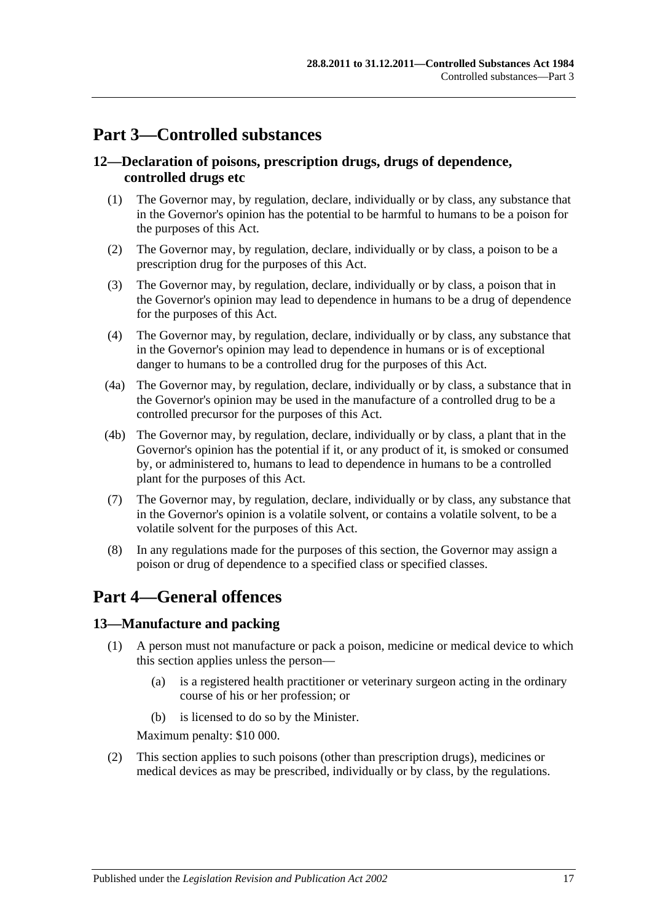## <span id="page-16-0"></span>**Part 3—Controlled substances**

## <span id="page-16-1"></span>**12—Declaration of poisons, prescription drugs, drugs of dependence, controlled drugs etc**

- (1) The Governor may, by regulation, declare, individually or by class, any substance that in the Governor's opinion has the potential to be harmful to humans to be a poison for the purposes of this Act.
- (2) The Governor may, by regulation, declare, individually or by class, a poison to be a prescription drug for the purposes of this Act.
- (3) The Governor may, by regulation, declare, individually or by class, a poison that in the Governor's opinion may lead to dependence in humans to be a drug of dependence for the purposes of this Act.
- (4) The Governor may, by regulation, declare, individually or by class, any substance that in the Governor's opinion may lead to dependence in humans or is of exceptional danger to humans to be a controlled drug for the purposes of this Act.
- (4a) The Governor may, by regulation, declare, individually or by class, a substance that in the Governor's opinion may be used in the manufacture of a controlled drug to be a controlled precursor for the purposes of this Act.
- (4b) The Governor may, by regulation, declare, individually or by class, a plant that in the Governor's opinion has the potential if it, or any product of it, is smoked or consumed by, or administered to, humans to lead to dependence in humans to be a controlled plant for the purposes of this Act.
- (7) The Governor may, by regulation, declare, individually or by class, any substance that in the Governor's opinion is a volatile solvent, or contains a volatile solvent, to be a volatile solvent for the purposes of this Act.
- (8) In any regulations made for the purposes of this section, the Governor may assign a poison or drug of dependence to a specified class or specified classes.

## <span id="page-16-2"></span>**Part 4—General offences**

## <span id="page-16-4"></span><span id="page-16-3"></span>**13—Manufacture and packing**

- (1) A person must not manufacture or pack a poison, medicine or medical device to which this section applies unless the person—
	- (a) is a registered health practitioner or veterinary surgeon acting in the ordinary course of his or her profession; or
	- (b) is licensed to do so by the Minister.

Maximum penalty: \$10 000.

(2) This section applies to such poisons (other than prescription drugs), medicines or medical devices as may be prescribed, individually or by class, by the regulations.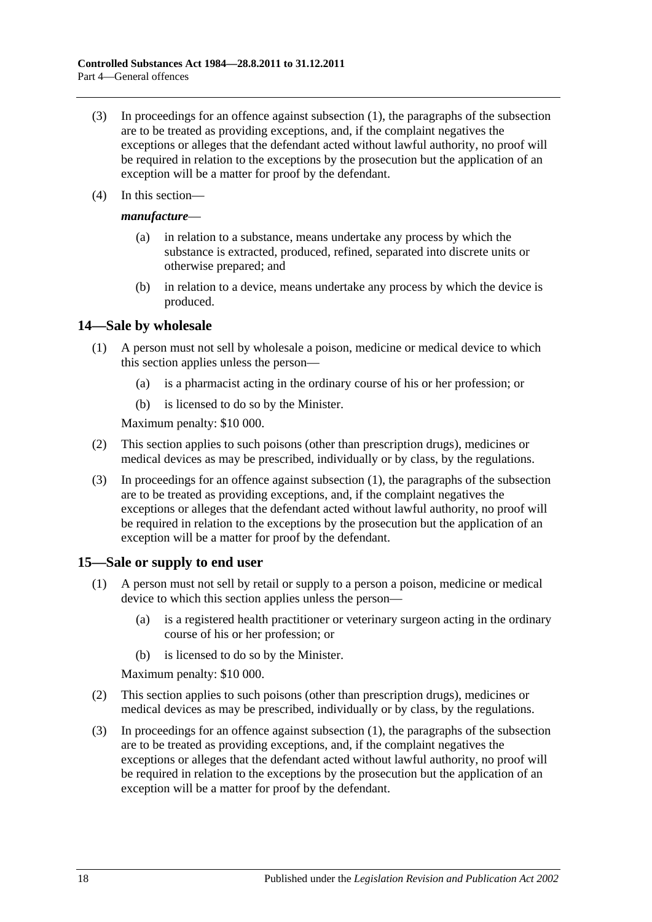- (3) In proceedings for an offence against [subsection](#page-16-4) (1), the paragraphs of the subsection are to be treated as providing exceptions, and, if the complaint negatives the exceptions or alleges that the defendant acted without lawful authority, no proof will be required in relation to the exceptions by the prosecution but the application of an exception will be a matter for proof by the defendant.
- (4) In this section—

### *manufacture*—

- (a) in relation to a substance, means undertake any process by which the substance is extracted, produced, refined, separated into discrete units or otherwise prepared; and
- (b) in relation to a device, means undertake any process by which the device is produced.

### <span id="page-17-2"></span><span id="page-17-0"></span>**14—Sale by wholesale**

- (1) A person must not sell by wholesale a poison, medicine or medical device to which this section applies unless the person—
	- (a) is a pharmacist acting in the ordinary course of his or her profession; or
	- (b) is licensed to do so by the Minister.

Maximum penalty: \$10 000.

- (2) This section applies to such poisons (other than prescription drugs), medicines or medical devices as may be prescribed, individually or by class, by the regulations.
- (3) In proceedings for an offence against [subsection](#page-17-2) (1), the paragraphs of the subsection are to be treated as providing exceptions, and, if the complaint negatives the exceptions or alleges that the defendant acted without lawful authority, no proof will be required in relation to the exceptions by the prosecution but the application of an exception will be a matter for proof by the defendant.

## <span id="page-17-3"></span><span id="page-17-1"></span>**15—Sale or supply to end user**

- (1) A person must not sell by retail or supply to a person a poison, medicine or medical device to which this section applies unless the person—
	- (a) is a registered health practitioner or veterinary surgeon acting in the ordinary course of his or her profession; or
	- (b) is licensed to do so by the Minister.

Maximum penalty: \$10 000.

- (2) This section applies to such poisons (other than prescription drugs), medicines or medical devices as may be prescribed, individually or by class, by the regulations.
- (3) In proceedings for an offence against [subsection](#page-17-3) (1), the paragraphs of the subsection are to be treated as providing exceptions, and, if the complaint negatives the exceptions or alleges that the defendant acted without lawful authority, no proof will be required in relation to the exceptions by the prosecution but the application of an exception will be a matter for proof by the defendant.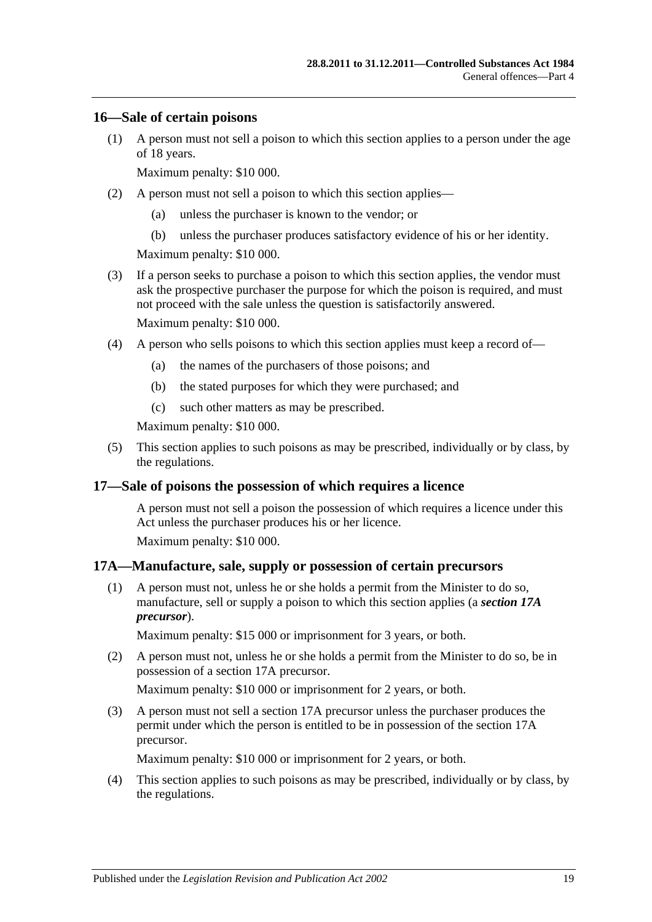### <span id="page-18-0"></span>**16—Sale of certain poisons**

(1) A person must not sell a poison to which this section applies to a person under the age of 18 years.

Maximum penalty: \$10 000.

- (2) A person must not sell a poison to which this section applies—
	- (a) unless the purchaser is known to the vendor; or
	- (b) unless the purchaser produces satisfactory evidence of his or her identity.

Maximum penalty: \$10 000.

(3) If a person seeks to purchase a poison to which this section applies, the vendor must ask the prospective purchaser the purpose for which the poison is required, and must not proceed with the sale unless the question is satisfactorily answered.

Maximum penalty: \$10 000.

- (4) A person who sells poisons to which this section applies must keep a record of—
	- (a) the names of the purchasers of those poisons; and
	- (b) the stated purposes for which they were purchased; and
	- (c) such other matters as may be prescribed.

Maximum penalty: \$10 000.

(5) This section applies to such poisons as may be prescribed, individually or by class, by the regulations.

### <span id="page-18-1"></span>**17—Sale of poisons the possession of which requires a licence**

A person must not sell a poison the possession of which requires a licence under this Act unless the purchaser produces his or her licence.

Maximum penalty: \$10 000.

### <span id="page-18-2"></span>**17A—Manufacture, sale, supply or possession of certain precursors**

(1) A person must not, unless he or she holds a permit from the Minister to do so, manufacture, sell or supply a poison to which this section applies (a *section 17A precursor*).

Maximum penalty: \$15 000 or imprisonment for 3 years, or both.

(2) A person must not, unless he or she holds a permit from the Minister to do so, be in possession of a section 17A precursor.

Maximum penalty: \$10 000 or imprisonment for 2 years, or both.

(3) A person must not sell a section 17A precursor unless the purchaser produces the permit under which the person is entitled to be in possession of the section 17A precursor.

Maximum penalty: \$10 000 or imprisonment for 2 years, or both.

(4) This section applies to such poisons as may be prescribed, individually or by class, by the regulations.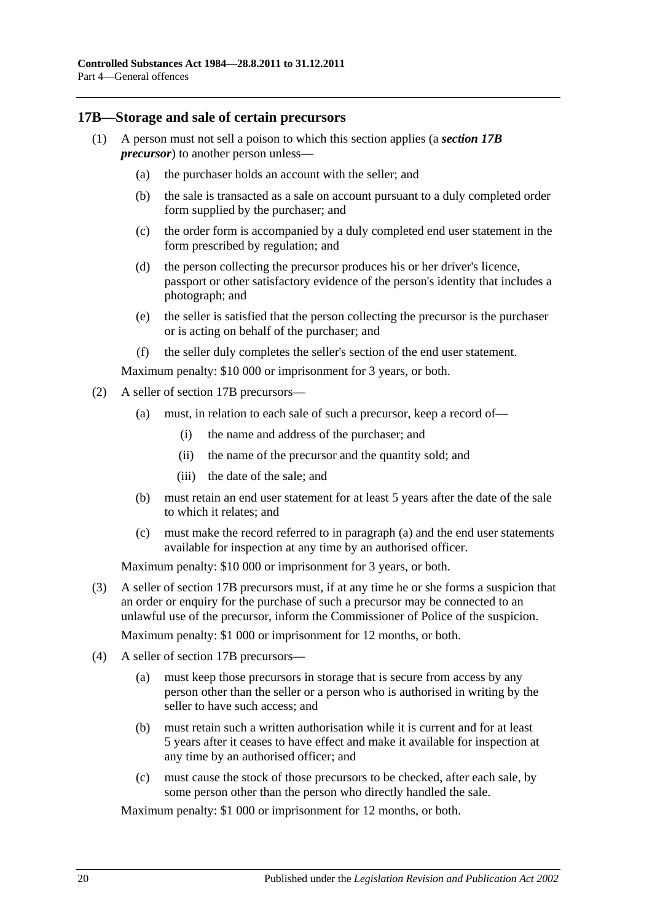### <span id="page-19-0"></span>**17B—Storage and sale of certain precursors**

- (1) A person must not sell a poison to which this section applies (a *section 17B precursor*) to another person unless—
	- (a) the purchaser holds an account with the seller; and
	- (b) the sale is transacted as a sale on account pursuant to a duly completed order form supplied by the purchaser; and
	- (c) the order form is accompanied by a duly completed end user statement in the form prescribed by regulation; and
	- (d) the person collecting the precursor produces his or her driver's licence, passport or other satisfactory evidence of the person's identity that includes a photograph; and
	- (e) the seller is satisfied that the person collecting the precursor is the purchaser or is acting on behalf of the purchaser; and
	- (f) the seller duly completes the seller's section of the end user statement.

Maximum penalty: \$10 000 or imprisonment for 3 years, or both.

- <span id="page-19-1"></span>(2) A seller of section 17B precursors—
	- (a) must, in relation to each sale of such a precursor, keep a record of—
		- (i) the name and address of the purchaser; and
		- (ii) the name of the precursor and the quantity sold; and
		- (iii) the date of the sale; and
	- (b) must retain an end user statement for at least 5 years after the date of the sale to which it relates; and
	- (c) must make the record referred to in [paragraph](#page-19-1) (a) and the end user statements available for inspection at any time by an authorised officer.

Maximum penalty: \$10 000 or imprisonment for 3 years, or both.

(3) A seller of section 17B precursors must, if at any time he or she forms a suspicion that an order or enquiry for the purchase of such a precursor may be connected to an unlawful use of the precursor, inform the Commissioner of Police of the suspicion.

Maximum penalty: \$1 000 or imprisonment for 12 months, or both.

- (4) A seller of section 17B precursors—
	- (a) must keep those precursors in storage that is secure from access by any person other than the seller or a person who is authorised in writing by the seller to have such access; and
	- (b) must retain such a written authorisation while it is current and for at least 5 years after it ceases to have effect and make it available for inspection at any time by an authorised officer; and
	- (c) must cause the stock of those precursors to be checked, after each sale, by some person other than the person who directly handled the sale.

Maximum penalty: \$1 000 or imprisonment for 12 months, or both.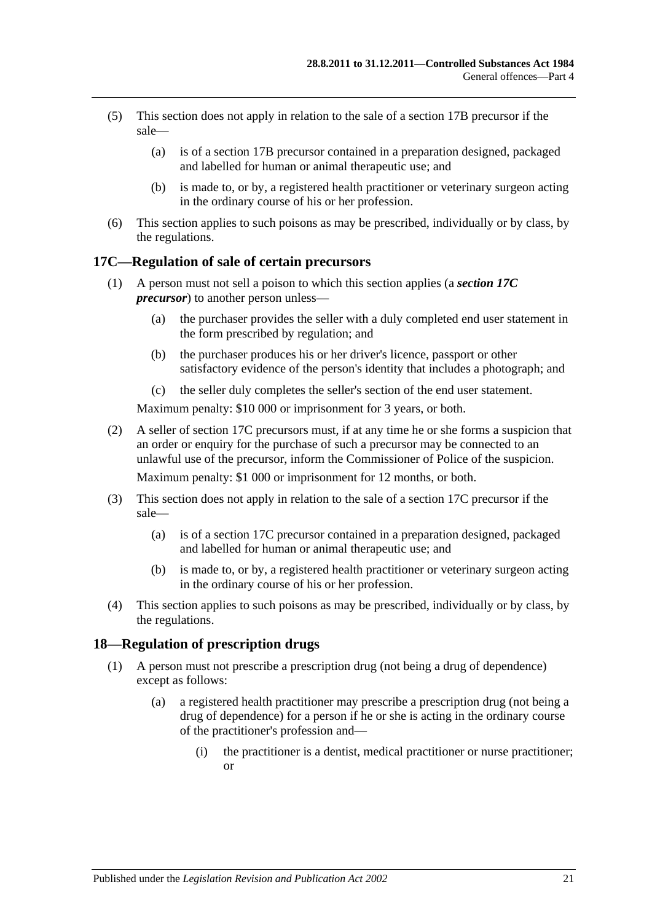- (5) This section does not apply in relation to the sale of a section 17B precursor if the sale—
	- (a) is of a section 17B precursor contained in a preparation designed, packaged and labelled for human or animal therapeutic use; and
	- (b) is made to, or by, a registered health practitioner or veterinary surgeon acting in the ordinary course of his or her profession.
- (6) This section applies to such poisons as may be prescribed, individually or by class, by the regulations.

## <span id="page-20-0"></span>**17C—Regulation of sale of certain precursors**

- (1) A person must not sell a poison to which this section applies (a *section 17C precursor*) to another person unless—
	- (a) the purchaser provides the seller with a duly completed end user statement in the form prescribed by regulation; and
	- (b) the purchaser produces his or her driver's licence, passport or other satisfactory evidence of the person's identity that includes a photograph; and
	- (c) the seller duly completes the seller's section of the end user statement.

Maximum penalty: \$10 000 or imprisonment for 3 years, or both.

(2) A seller of section 17C precursors must, if at any time he or she forms a suspicion that an order or enquiry for the purchase of such a precursor may be connected to an unlawful use of the precursor, inform the Commissioner of Police of the suspicion.

Maximum penalty: \$1 000 or imprisonment for 12 months, or both.

- (3) This section does not apply in relation to the sale of a section 17C precursor if the sale—
	- (a) is of a section 17C precursor contained in a preparation designed, packaged and labelled for human or animal therapeutic use; and
	- (b) is made to, or by, a registered health practitioner or veterinary surgeon acting in the ordinary course of his or her profession.
- (4) This section applies to such poisons as may be prescribed, individually or by class, by the regulations.

### <span id="page-20-2"></span><span id="page-20-1"></span>**18—Regulation of prescription drugs**

- (1) A person must not prescribe a prescription drug (not being a drug of dependence) except as follows:
	- (a) a registered health practitioner may prescribe a prescription drug (not being a drug of dependence) for a person if he or she is acting in the ordinary course of the practitioner's profession and—
		- (i) the practitioner is a dentist, medical practitioner or nurse practitioner; or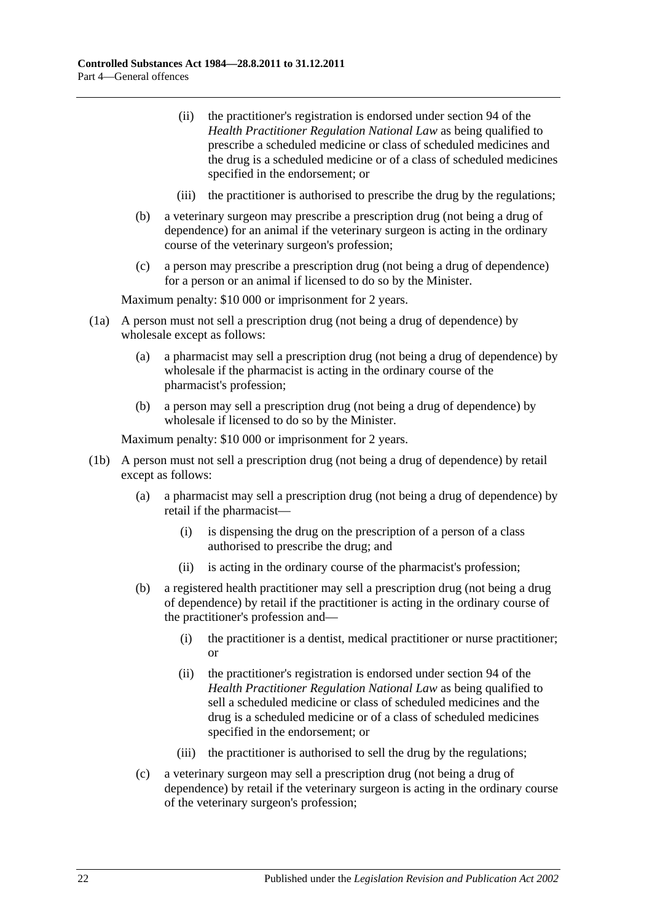- (ii) the practitioner's registration is endorsed under section 94 of the *Health Practitioner Regulation National Law* as being qualified to prescribe a scheduled medicine or class of scheduled medicines and the drug is a scheduled medicine or of a class of scheduled medicines specified in the endorsement; or
- (iii) the practitioner is authorised to prescribe the drug by the regulations;
- (b) a veterinary surgeon may prescribe a prescription drug (not being a drug of dependence) for an animal if the veterinary surgeon is acting in the ordinary course of the veterinary surgeon's profession;
- (c) a person may prescribe a prescription drug (not being a drug of dependence) for a person or an animal if licensed to do so by the Minister.

Maximum penalty: \$10 000 or imprisonment for 2 years.

- (1a) A person must not sell a prescription drug (not being a drug of dependence) by wholesale except as follows:
	- (a) a pharmacist may sell a prescription drug (not being a drug of dependence) by wholesale if the pharmacist is acting in the ordinary course of the pharmacist's profession;
	- (b) a person may sell a prescription drug (not being a drug of dependence) by wholesale if licensed to do so by the Minister.

- (1b) A person must not sell a prescription drug (not being a drug of dependence) by retail except as follows:
	- (a) a pharmacist may sell a prescription drug (not being a drug of dependence) by retail if the pharmacist—
		- (i) is dispensing the drug on the prescription of a person of a class authorised to prescribe the drug; and
		- (ii) is acting in the ordinary course of the pharmacist's profession;
	- (b) a registered health practitioner may sell a prescription drug (not being a drug of dependence) by retail if the practitioner is acting in the ordinary course of the practitioner's profession and—
		- (i) the practitioner is a dentist, medical practitioner or nurse practitioner; or
		- (ii) the practitioner's registration is endorsed under section 94 of the *Health Practitioner Regulation National Law* as being qualified to sell a scheduled medicine or class of scheduled medicines and the drug is a scheduled medicine or of a class of scheduled medicines specified in the endorsement; or
		- (iii) the practitioner is authorised to sell the drug by the regulations;
	- (c) a veterinary surgeon may sell a prescription drug (not being a drug of dependence) by retail if the veterinary surgeon is acting in the ordinary course of the veterinary surgeon's profession;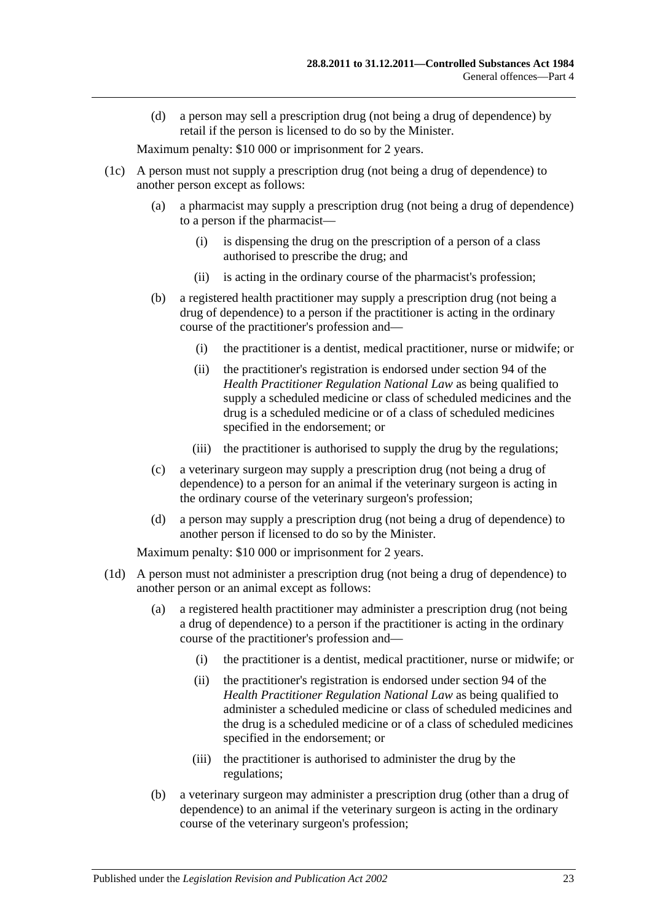(d) a person may sell a prescription drug (not being a drug of dependence) by retail if the person is licensed to do so by the Minister.

Maximum penalty: \$10 000 or imprisonment for 2 years.

- (1c) A person must not supply a prescription drug (not being a drug of dependence) to another person except as follows:
	- (a) a pharmacist may supply a prescription drug (not being a drug of dependence) to a person if the pharmacist—
		- (i) is dispensing the drug on the prescription of a person of a class authorised to prescribe the drug; and
		- (ii) is acting in the ordinary course of the pharmacist's profession;
	- (b) a registered health practitioner may supply a prescription drug (not being a drug of dependence) to a person if the practitioner is acting in the ordinary course of the practitioner's profession and—
		- (i) the practitioner is a dentist, medical practitioner, nurse or midwife; or
		- (ii) the practitioner's registration is endorsed under section 94 of the *Health Practitioner Regulation National Law* as being qualified to supply a scheduled medicine or class of scheduled medicines and the drug is a scheduled medicine or of a class of scheduled medicines specified in the endorsement; or
		- (iii) the practitioner is authorised to supply the drug by the regulations;
	- (c) a veterinary surgeon may supply a prescription drug (not being a drug of dependence) to a person for an animal if the veterinary surgeon is acting in the ordinary course of the veterinary surgeon's profession;
	- (d) a person may supply a prescription drug (not being a drug of dependence) to another person if licensed to do so by the Minister.

- (1d) A person must not administer a prescription drug (not being a drug of dependence) to another person or an animal except as follows:
	- (a) a registered health practitioner may administer a prescription drug (not being a drug of dependence) to a person if the practitioner is acting in the ordinary course of the practitioner's profession and—
		- (i) the practitioner is a dentist, medical practitioner, nurse or midwife; or
		- (ii) the practitioner's registration is endorsed under section 94 of the *Health Practitioner Regulation National Law* as being qualified to administer a scheduled medicine or class of scheduled medicines and the drug is a scheduled medicine or of a class of scheduled medicines specified in the endorsement; or
		- (iii) the practitioner is authorised to administer the drug by the regulations;
	- (b) a veterinary surgeon may administer a prescription drug (other than a drug of dependence) to an animal if the veterinary surgeon is acting in the ordinary course of the veterinary surgeon's profession;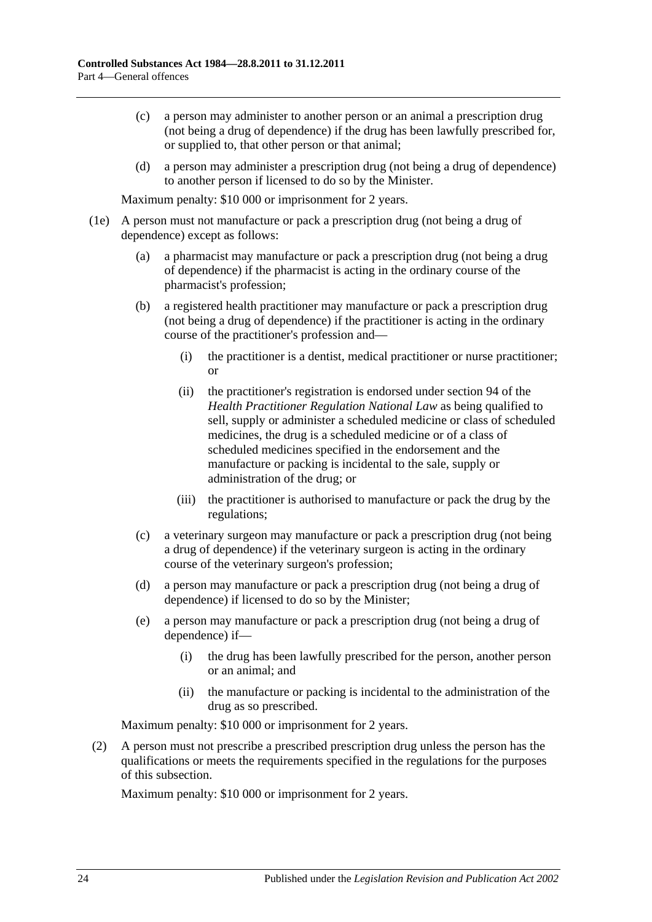- (c) a person may administer to another person or an animal a prescription drug (not being a drug of dependence) if the drug has been lawfully prescribed for, or supplied to, that other person or that animal;
- (d) a person may administer a prescription drug (not being a drug of dependence) to another person if licensed to do so by the Minister.

Maximum penalty: \$10 000 or imprisonment for 2 years.

- (1e) A person must not manufacture or pack a prescription drug (not being a drug of dependence) except as follows:
	- (a) a pharmacist may manufacture or pack a prescription drug (not being a drug of dependence) if the pharmacist is acting in the ordinary course of the pharmacist's profession;
	- (b) a registered health practitioner may manufacture or pack a prescription drug (not being a drug of dependence) if the practitioner is acting in the ordinary course of the practitioner's profession and—
		- (i) the practitioner is a dentist, medical practitioner or nurse practitioner; or
		- (ii) the practitioner's registration is endorsed under section 94 of the *Health Practitioner Regulation National Law* as being qualified to sell, supply or administer a scheduled medicine or class of scheduled medicines, the drug is a scheduled medicine or of a class of scheduled medicines specified in the endorsement and the manufacture or packing is incidental to the sale, supply or administration of the drug; or
		- (iii) the practitioner is authorised to manufacture or pack the drug by the regulations;
	- (c) a veterinary surgeon may manufacture or pack a prescription drug (not being a drug of dependence) if the veterinary surgeon is acting in the ordinary course of the veterinary surgeon's profession;
	- (d) a person may manufacture or pack a prescription drug (not being a drug of dependence) if licensed to do so by the Minister;
	- (e) a person may manufacture or pack a prescription drug (not being a drug of dependence) if—
		- (i) the drug has been lawfully prescribed for the person, another person or an animal; and
		- (ii) the manufacture or packing is incidental to the administration of the drug as so prescribed.

Maximum penalty: \$10 000 or imprisonment for 2 years.

(2) A person must not prescribe a prescribed prescription drug unless the person has the qualifications or meets the requirements specified in the regulations for the purposes of this subsection.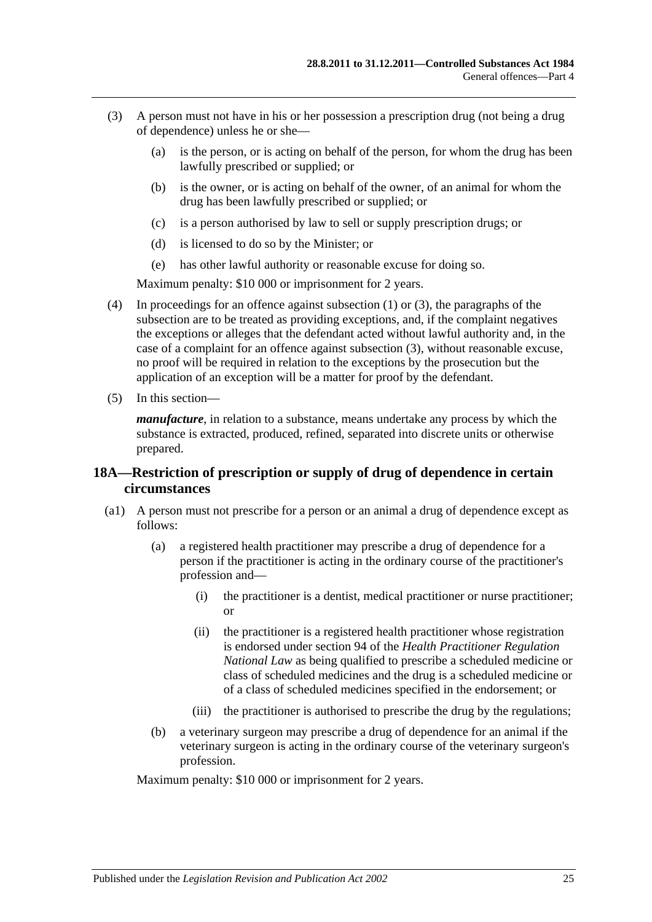- <span id="page-24-1"></span>(3) A person must not have in his or her possession a prescription drug (not being a drug of dependence) unless he or she—
	- (a) is the person, or is acting on behalf of the person, for whom the drug has been lawfully prescribed or supplied; or
	- (b) is the owner, or is acting on behalf of the owner, of an animal for whom the drug has been lawfully prescribed or supplied; or
	- (c) is a person authorised by law to sell or supply prescription drugs; or
	- (d) is licensed to do so by the Minister; or
	- (e) has other lawful authority or reasonable excuse for doing so.

Maximum penalty: \$10 000 or imprisonment for 2 years.

- (4) In proceedings for an offence against [subsection](#page-20-2) (1) or [\(3\),](#page-24-1) the paragraphs of the subsection are to be treated as providing exceptions, and, if the complaint negatives the exceptions or alleges that the defendant acted without lawful authority and, in the case of a complaint for an offence against [subsection](#page-24-1) (3), without reasonable excuse, no proof will be required in relation to the exceptions by the prosecution but the application of an exception will be a matter for proof by the defendant.
- (5) In this section—

*manufacture*, in relation to a substance, means undertake any process by which the substance is extracted, produced, refined, separated into discrete units or otherwise prepared.

## <span id="page-24-0"></span>**18A—Restriction of prescription or supply of drug of dependence in certain circumstances**

- (a1) A person must not prescribe for a person or an animal a drug of dependence except as follows:
	- (a) a registered health practitioner may prescribe a drug of dependence for a person if the practitioner is acting in the ordinary course of the practitioner's profession and—
		- (i) the practitioner is a dentist, medical practitioner or nurse practitioner; or
		- (ii) the practitioner is a registered health practitioner whose registration is endorsed under section 94 of the *Health Practitioner Regulation National Law* as being qualified to prescribe a scheduled medicine or class of scheduled medicines and the drug is a scheduled medicine or of a class of scheduled medicines specified in the endorsement; or
		- (iii) the practitioner is authorised to prescribe the drug by the regulations;
	- (b) a veterinary surgeon may prescribe a drug of dependence for an animal if the veterinary surgeon is acting in the ordinary course of the veterinary surgeon's profession.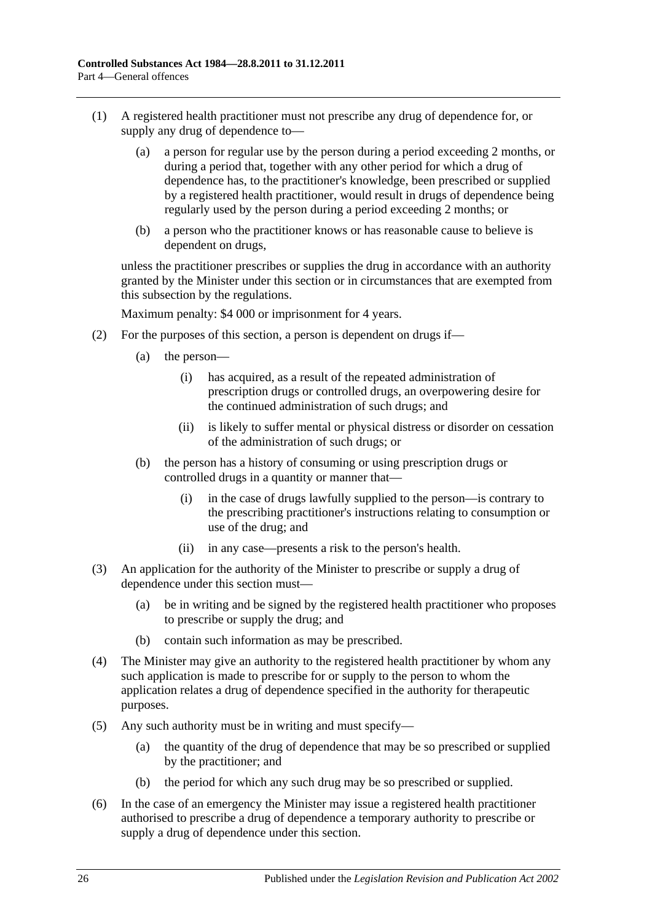- (1) A registered health practitioner must not prescribe any drug of dependence for, or supply any drug of dependence to—
	- (a) a person for regular use by the person during a period exceeding 2 months, or during a period that, together with any other period for which a drug of dependence has, to the practitioner's knowledge, been prescribed or supplied by a registered health practitioner, would result in drugs of dependence being regularly used by the person during a period exceeding 2 months; or
	- (b) a person who the practitioner knows or has reasonable cause to believe is dependent on drugs,

unless the practitioner prescribes or supplies the drug in accordance with an authority granted by the Minister under this section or in circumstances that are exempted from this subsection by the regulations.

- (2) For the purposes of this section, a person is dependent on drugs if—
	- (a) the person—
		- (i) has acquired, as a result of the repeated administration of prescription drugs or controlled drugs, an overpowering desire for the continued administration of such drugs; and
		- (ii) is likely to suffer mental or physical distress or disorder on cessation of the administration of such drugs; or
	- (b) the person has a history of consuming or using prescription drugs or controlled drugs in a quantity or manner that—
		- (i) in the case of drugs lawfully supplied to the person—is contrary to the prescribing practitioner's instructions relating to consumption or use of the drug; and
		- (ii) in any case—presents a risk to the person's health.
- (3) An application for the authority of the Minister to prescribe or supply a drug of dependence under this section must—
	- (a) be in writing and be signed by the registered health practitioner who proposes to prescribe or supply the drug; and
	- (b) contain such information as may be prescribed.
- (4) The Minister may give an authority to the registered health practitioner by whom any such application is made to prescribe for or supply to the person to whom the application relates a drug of dependence specified in the authority for therapeutic purposes.
- (5) Any such authority must be in writing and must specify—
	- (a) the quantity of the drug of dependence that may be so prescribed or supplied by the practitioner; and
	- (b) the period for which any such drug may be so prescribed or supplied.
- (6) In the case of an emergency the Minister may issue a registered health practitioner authorised to prescribe a drug of dependence a temporary authority to prescribe or supply a drug of dependence under this section.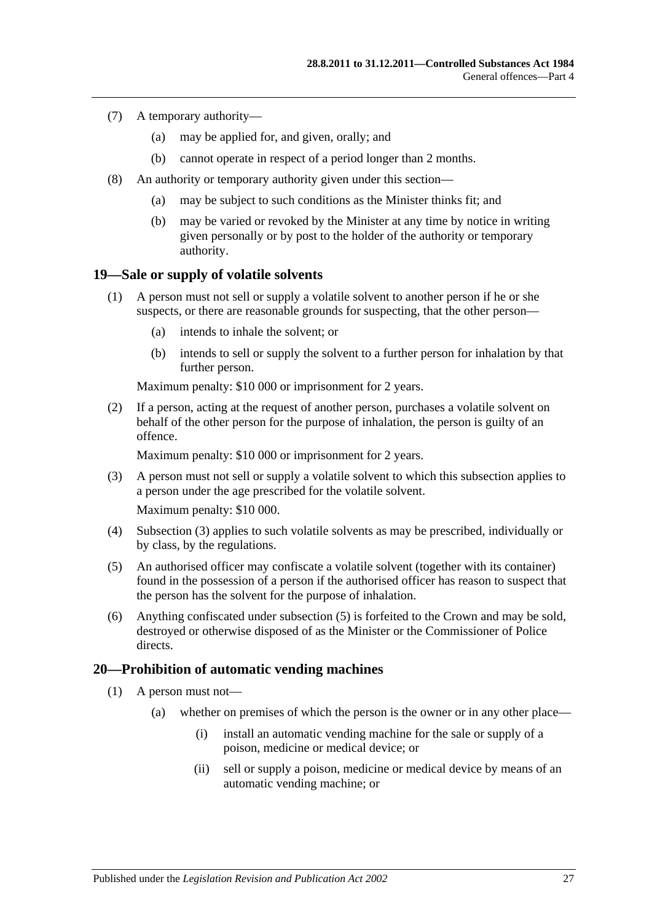- (7) A temporary authority—
	- (a) may be applied for, and given, orally; and
	- (b) cannot operate in respect of a period longer than 2 months.
- (8) An authority or temporary authority given under this section—
	- (a) may be subject to such conditions as the Minister thinks fit; and
	- (b) may be varied or revoked by the Minister at any time by notice in writing given personally or by post to the holder of the authority or temporary authority.

### <span id="page-26-0"></span>**19—Sale or supply of volatile solvents**

- (1) A person must not sell or supply a volatile solvent to another person if he or she suspects, or there are reasonable grounds for suspecting, that the other person—
	- (a) intends to inhale the solvent; or
	- (b) intends to sell or supply the solvent to a further person for inhalation by that further person.

Maximum penalty: \$10 000 or imprisonment for 2 years.

(2) If a person, acting at the request of another person, purchases a volatile solvent on behalf of the other person for the purpose of inhalation, the person is guilty of an offence.

Maximum penalty: \$10 000 or imprisonment for 2 years.

- <span id="page-26-2"></span>(3) A person must not sell or supply a volatile solvent to which this subsection applies to a person under the age prescribed for the volatile solvent. Maximum penalty: \$10 000.
- (4) [Subsection](#page-26-2) (3) applies to such volatile solvents as may be prescribed, individually or by class, by the regulations.
- <span id="page-26-3"></span>(5) An authorised officer may confiscate a volatile solvent (together with its container) found in the possession of a person if the authorised officer has reason to suspect that the person has the solvent for the purpose of inhalation.
- (6) Anything confiscated under [subsection](#page-26-3) (5) is forfeited to the Crown and may be sold, destroyed or otherwise disposed of as the Minister or the Commissioner of Police directs.

### <span id="page-26-1"></span>**20—Prohibition of automatic vending machines**

- (1) A person must not—
	- (a) whether on premises of which the person is the owner or in any other place—
		- (i) install an automatic vending machine for the sale or supply of a poison, medicine or medical device; or
		- (ii) sell or supply a poison, medicine or medical device by means of an automatic vending machine; or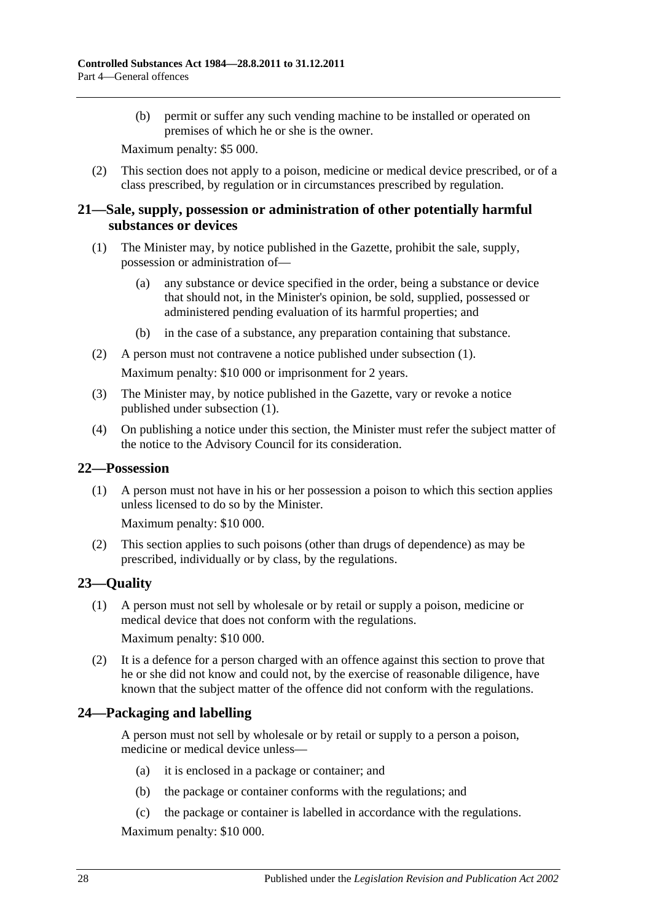(b) permit or suffer any such vending machine to be installed or operated on premises of which he or she is the owner.

Maximum penalty: \$5 000.

(2) This section does not apply to a poison, medicine or medical device prescribed, or of a class prescribed, by regulation or in circumstances prescribed by regulation.

### <span id="page-27-0"></span>**21—Sale, supply, possession or administration of other potentially harmful substances or devices**

- <span id="page-27-4"></span>(1) The Minister may, by notice published in the Gazette, prohibit the sale, supply, possession or administration of—
	- (a) any substance or device specified in the order, being a substance or device that should not, in the Minister's opinion, be sold, supplied, possessed or administered pending evaluation of its harmful properties; and
	- (b) in the case of a substance, any preparation containing that substance.
- (2) A person must not contravene a notice published under [subsection](#page-27-4) (1).

Maximum penalty: \$10 000 or imprisonment for 2 years.

- (3) The Minister may, by notice published in the Gazette, vary or revoke a notice published under [subsection](#page-27-4) (1).
- (4) On publishing a notice under this section, the Minister must refer the subject matter of the notice to the Advisory Council for its consideration.

### <span id="page-27-1"></span>**22—Possession**

(1) A person must not have in his or her possession a poison to which this section applies unless licensed to do so by the Minister.

Maximum penalty: \$10 000.

(2) This section applies to such poisons (other than drugs of dependence) as may be prescribed, individually or by class, by the regulations.

## <span id="page-27-2"></span>**23—Quality**

(1) A person must not sell by wholesale or by retail or supply a poison, medicine or medical device that does not conform with the regulations. Maximum penalty: \$10 000.

(2) It is a defence for a person charged with an offence against this section to prove that he or she did not know and could not, by the exercise of reasonable diligence, have known that the subject matter of the offence did not conform with the regulations.

## <span id="page-27-3"></span>**24—Packaging and labelling**

A person must not sell by wholesale or by retail or supply to a person a poison, medicine or medical device unless—

- (a) it is enclosed in a package or container; and
- (b) the package or container conforms with the regulations; and
- (c) the package or container is labelled in accordance with the regulations.

Maximum penalty: \$10 000.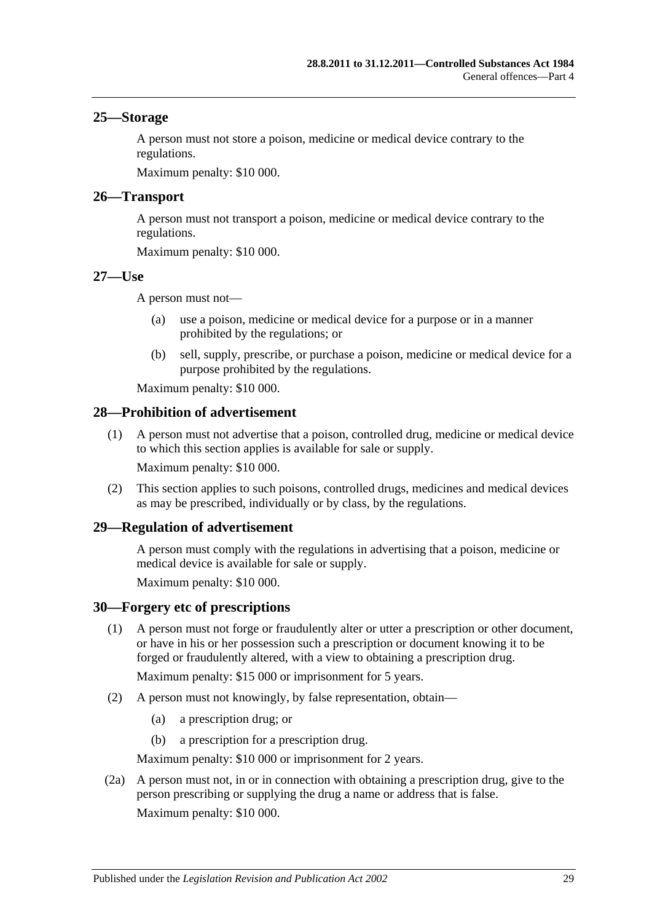### <span id="page-28-0"></span>**25—Storage**

A person must not store a poison, medicine or medical device contrary to the regulations.

Maximum penalty: \$10 000.

### <span id="page-28-1"></span>**26—Transport**

A person must not transport a poison, medicine or medical device contrary to the regulations.

Maximum penalty: \$10 000.

### <span id="page-28-2"></span>**27—Use**

A person must not—

- (a) use a poison, medicine or medical device for a purpose or in a manner prohibited by the regulations; or
- (b) sell, supply, prescribe, or purchase a poison, medicine or medical device for a purpose prohibited by the regulations.

Maximum penalty: \$10 000.

### <span id="page-28-3"></span>**28—Prohibition of advertisement**

(1) A person must not advertise that a poison, controlled drug, medicine or medical device to which this section applies is available for sale or supply. Maximum penalty: \$10 000.

(2) This section applies to such poisons, controlled drugs, medicines and medical devices as may be prescribed, individually or by class, by the regulations.

### <span id="page-28-4"></span>**29—Regulation of advertisement**

A person must comply with the regulations in advertising that a poison, medicine or medical device is available for sale or supply.

Maximum penalty: \$10 000.

### <span id="page-28-5"></span>**30—Forgery etc of prescriptions**

(1) A person must not forge or fraudulently alter or utter a prescription or other document, or have in his or her possession such a prescription or document knowing it to be forged or fraudulently altered, with a view to obtaining a prescription drug.

Maximum penalty: \$15 000 or imprisonment for 5 years.

- (2) A person must not knowingly, by false representation, obtain—
	- (a) a prescription drug; or
	- (b) a prescription for a prescription drug.

Maximum penalty: \$10 000 or imprisonment for 2 years.

(2a) A person must not, in or in connection with obtaining a prescription drug, give to the person prescribing or supplying the drug a name or address that is false. Maximum penalty: \$10 000.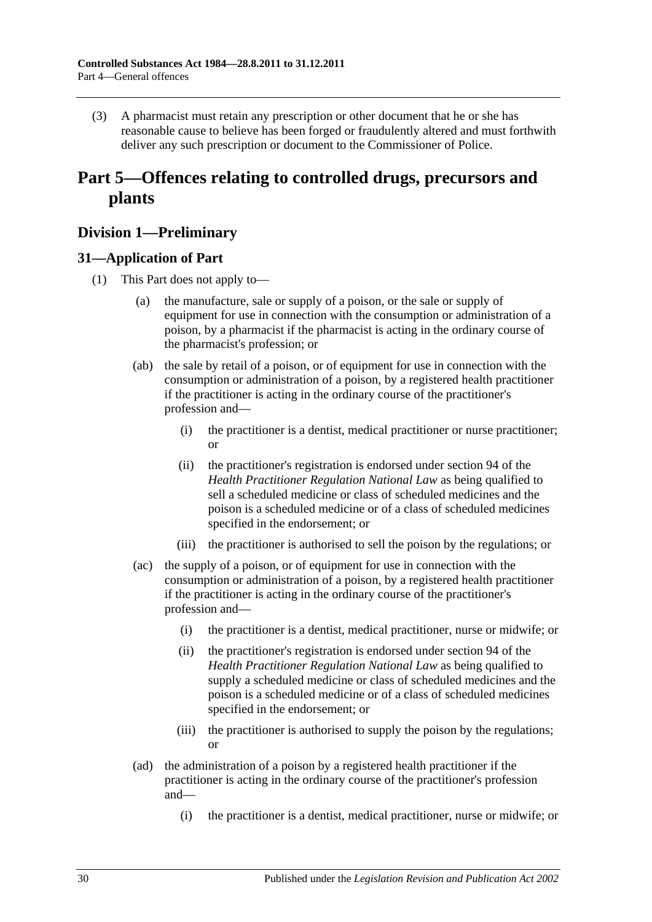(3) A pharmacist must retain any prescription or other document that he or she has reasonable cause to believe has been forged or fraudulently altered and must forthwith deliver any such prescription or document to the Commissioner of Police.

## <span id="page-29-0"></span>**Part 5—Offences relating to controlled drugs, precursors and plants**

## <span id="page-29-1"></span>**Division 1—Preliminary**

## <span id="page-29-3"></span><span id="page-29-2"></span>**31—Application of Part**

- (1) This Part does not apply to—
	- (a) the manufacture, sale or supply of a poison, or the sale or supply of equipment for use in connection with the consumption or administration of a poison, by a pharmacist if the pharmacist is acting in the ordinary course of the pharmacist's profession; or
	- (ab) the sale by retail of a poison, or of equipment for use in connection with the consumption or administration of a poison, by a registered health practitioner if the practitioner is acting in the ordinary course of the practitioner's profession and—
		- (i) the practitioner is a dentist, medical practitioner or nurse practitioner; or
		- (ii) the practitioner's registration is endorsed under section 94 of the *Health Practitioner Regulation National Law* as being qualified to sell a scheduled medicine or class of scheduled medicines and the poison is a scheduled medicine or of a class of scheduled medicines specified in the endorsement; or
		- (iii) the practitioner is authorised to sell the poison by the regulations; or
	- (ac) the supply of a poison, or of equipment for use in connection with the consumption or administration of a poison, by a registered health practitioner if the practitioner is acting in the ordinary course of the practitioner's profession and—
		- (i) the practitioner is a dentist, medical practitioner, nurse or midwife; or
		- (ii) the practitioner's registration is endorsed under section 94 of the *Health Practitioner Regulation National Law* as being qualified to supply a scheduled medicine or class of scheduled medicines and the poison is a scheduled medicine or of a class of scheduled medicines specified in the endorsement; or
		- (iii) the practitioner is authorised to supply the poison by the regulations; or
	- (ad) the administration of a poison by a registered health practitioner if the practitioner is acting in the ordinary course of the practitioner's profession and—
		- (i) the practitioner is a dentist, medical practitioner, nurse or midwife; or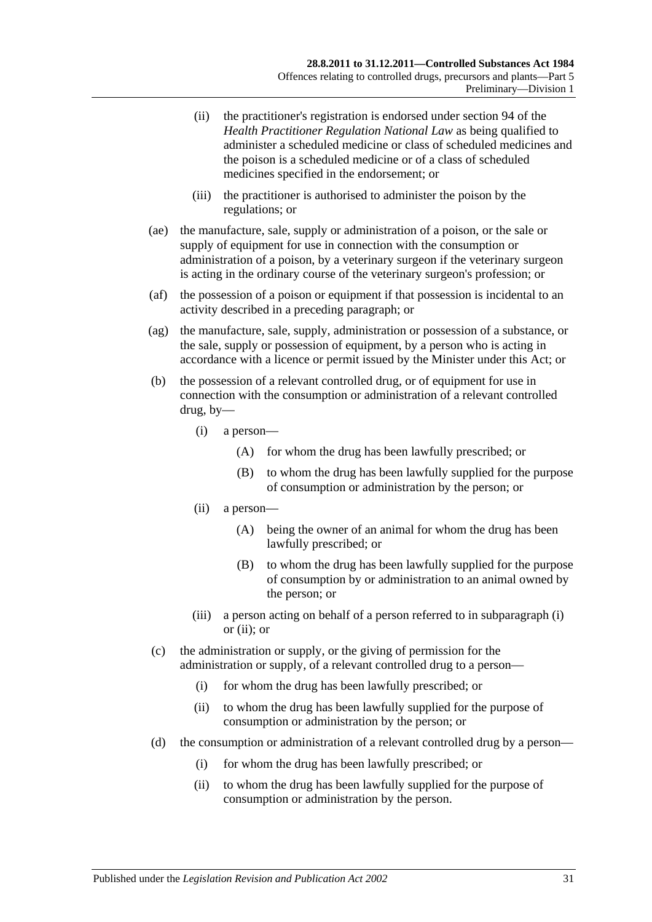- (ii) the practitioner's registration is endorsed under section 94 of the *Health Practitioner Regulation National Law* as being qualified to administer a scheduled medicine or class of scheduled medicines and the poison is a scheduled medicine or of a class of scheduled medicines specified in the endorsement; or
- (iii) the practitioner is authorised to administer the poison by the regulations; or
- (ae) the manufacture, sale, supply or administration of a poison, or the sale or supply of equipment for use in connection with the consumption or administration of a poison, by a veterinary surgeon if the veterinary surgeon is acting in the ordinary course of the veterinary surgeon's profession; or
- (af) the possession of a poison or equipment if that possession is incidental to an activity described in a preceding paragraph; or
- (ag) the manufacture, sale, supply, administration or possession of a substance, or the sale, supply or possession of equipment, by a person who is acting in accordance with a licence or permit issued by the Minister under this Act; or
- <span id="page-30-1"></span><span id="page-30-0"></span>(b) the possession of a relevant controlled drug, or of equipment for use in connection with the consumption or administration of a relevant controlled drug, by—
	- (i) a person—
		- (A) for whom the drug has been lawfully prescribed; or
		- (B) to whom the drug has been lawfully supplied for the purpose of consumption or administration by the person; or
	- (ii) a person—
		- (A) being the owner of an animal for whom the drug has been lawfully prescribed; or
		- (B) to whom the drug has been lawfully supplied for the purpose of consumption by or administration to an animal owned by the person; or
	- (iii) a person acting on behalf of a person referred to in [subparagraph](#page-30-0) (i) or [\(ii\);](#page-30-1) or
- (c) the administration or supply, or the giving of permission for the administration or supply, of a relevant controlled drug to a person—
	- (i) for whom the drug has been lawfully prescribed; or
	- (ii) to whom the drug has been lawfully supplied for the purpose of consumption or administration by the person; or
- (d) the consumption or administration of a relevant controlled drug by a person—
	- (i) for whom the drug has been lawfully prescribed; or
	- (ii) to whom the drug has been lawfully supplied for the purpose of consumption or administration by the person.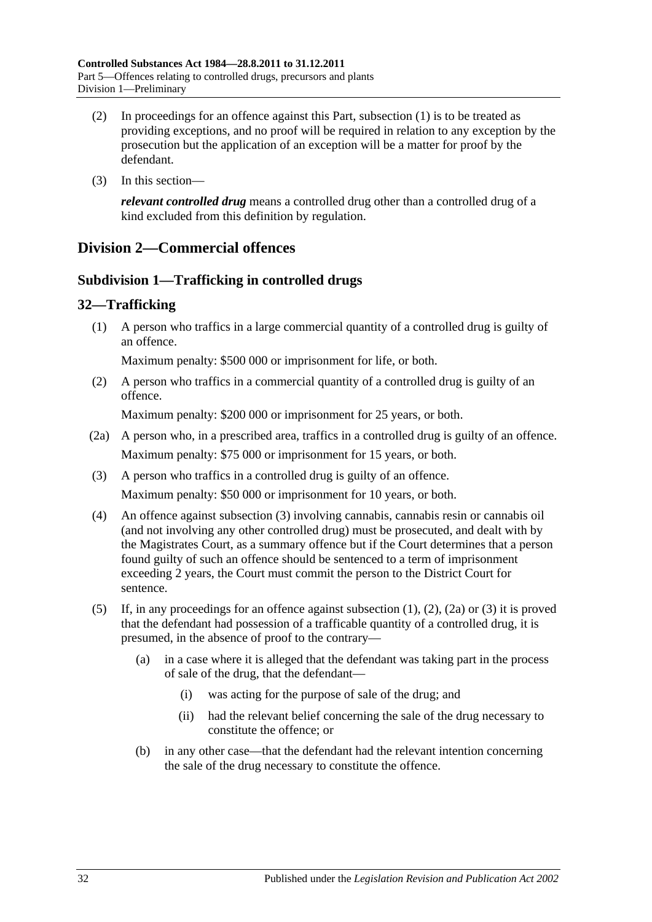- (2) In proceedings for an offence against this Part, [subsection](#page-29-3) (1) is to be treated as providing exceptions, and no proof will be required in relation to any exception by the prosecution but the application of an exception will be a matter for proof by the defendant.
- (3) In this section—

*relevant controlled drug* means a controlled drug other than a controlled drug of a kind excluded from this definition by regulation.

## <span id="page-31-1"></span><span id="page-31-0"></span>**Division 2—Commercial offences**

## **Subdivision 1—Trafficking in controlled drugs**

## <span id="page-31-4"></span><span id="page-31-2"></span>**32—Trafficking**

(1) A person who traffics in a large commercial quantity of a controlled drug is guilty of an offence.

Maximum penalty: \$500 000 or imprisonment for life, or both.

<span id="page-31-5"></span>(2) A person who traffics in a commercial quantity of a controlled drug is guilty of an offence.

Maximum penalty: \$200 000 or imprisonment for 25 years, or both.

- <span id="page-31-6"></span>(2a) A person who, in a prescribed area, traffics in a controlled drug is guilty of an offence. Maximum penalty: \$75 000 or imprisonment for 15 years, or both.
- <span id="page-31-3"></span>(3) A person who traffics in a controlled drug is guilty of an offence. Maximum penalty: \$50 000 or imprisonment for 10 years, or both.
- (4) An offence against [subsection](#page-31-3) (3) involving cannabis, cannabis resin or cannabis oil (and not involving any other controlled drug) must be prosecuted, and dealt with by the Magistrates Court, as a summary offence but if the Court determines that a person found guilty of such an offence should be sentenced to a term of imprisonment exceeding 2 years, the Court must commit the person to the District Court for sentence.
- (5) If, in any proceedings for an offence against [subsection](#page-31-4) (1), [\(2\),](#page-31-5) [\(2a\)](#page-31-6) or [\(3\)](#page-31-3) it is proved that the defendant had possession of a trafficable quantity of a controlled drug, it is presumed, in the absence of proof to the contrary—
	- (a) in a case where it is alleged that the defendant was taking part in the process of sale of the drug, that the defendant—
		- (i) was acting for the purpose of sale of the drug; and
		- (ii) had the relevant belief concerning the sale of the drug necessary to constitute the offence; or
	- (b) in any other case—that the defendant had the relevant intention concerning the sale of the drug necessary to constitute the offence.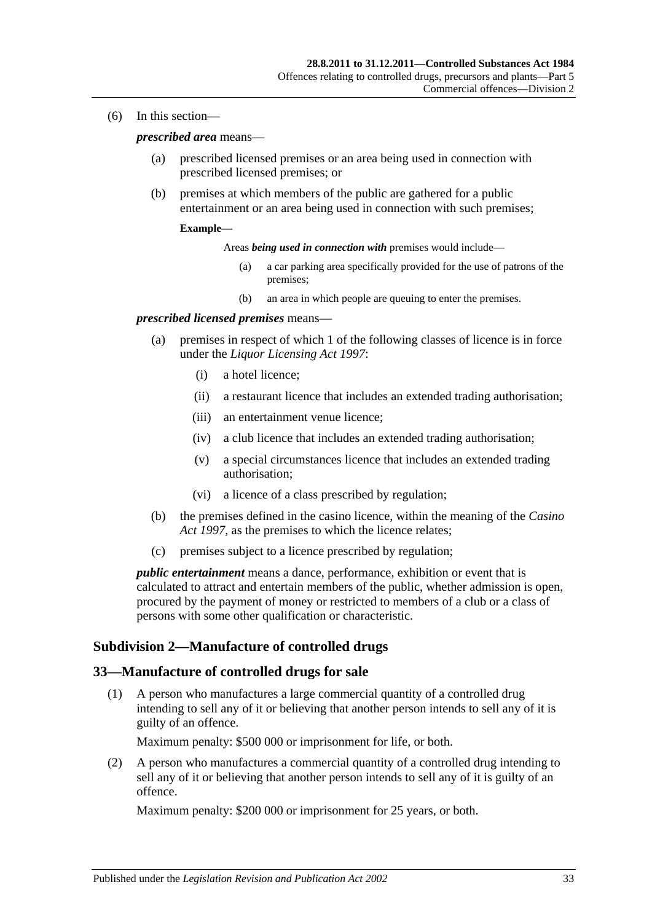(6) In this section—

*prescribed area* means—

- (a) prescribed licensed premises or an area being used in connection with prescribed licensed premises; or
- (b) premises at which members of the public are gathered for a public entertainment or an area being used in connection with such premises;

#### **Example—**

Areas *being used in connection with* premises would include—

- (a) a car parking area specifically provided for the use of patrons of the premises;
- (b) an area in which people are queuing to enter the premises.

#### *prescribed licensed premises* means—

- (a) premises in respect of which 1 of the following classes of licence is in force under the *[Liquor Licensing Act](http://www.legislation.sa.gov.au/index.aspx?action=legref&type=act&legtitle=Liquor%20Licensing%20Act%201997) 1997*:
	- (i) a hotel licence;
	- (ii) a restaurant licence that includes an extended trading authorisation;
	- (iii) an entertainment venue licence;
	- (iv) a club licence that includes an extended trading authorisation;
	- (v) a special circumstances licence that includes an extended trading authorisation;
	- (vi) a licence of a class prescribed by regulation;
- (b) the premises defined in the casino licence, within the meaning of the *[Casino](http://www.legislation.sa.gov.au/index.aspx?action=legref&type=act&legtitle=Casino%20Act%201997)  Act [1997](http://www.legislation.sa.gov.au/index.aspx?action=legref&type=act&legtitle=Casino%20Act%201997)*, as the premises to which the licence relates;
- (c) premises subject to a licence prescribed by regulation;

*public entertainment* means a dance, performance, exhibition or event that is calculated to attract and entertain members of the public, whether admission is open, procured by the payment of money or restricted to members of a club or a class of persons with some other qualification or characteristic.

### <span id="page-32-0"></span>**Subdivision 2—Manufacture of controlled drugs**

#### <span id="page-32-2"></span><span id="page-32-1"></span>**33—Manufacture of controlled drugs for sale**

(1) A person who manufactures a large commercial quantity of a controlled drug intending to sell any of it or believing that another person intends to sell any of it is guilty of an offence.

Maximum penalty: \$500 000 or imprisonment for life, or both.

<span id="page-32-3"></span>(2) A person who manufactures a commercial quantity of a controlled drug intending to sell any of it or believing that another person intends to sell any of it is guilty of an offence.

Maximum penalty: \$200 000 or imprisonment for 25 years, or both.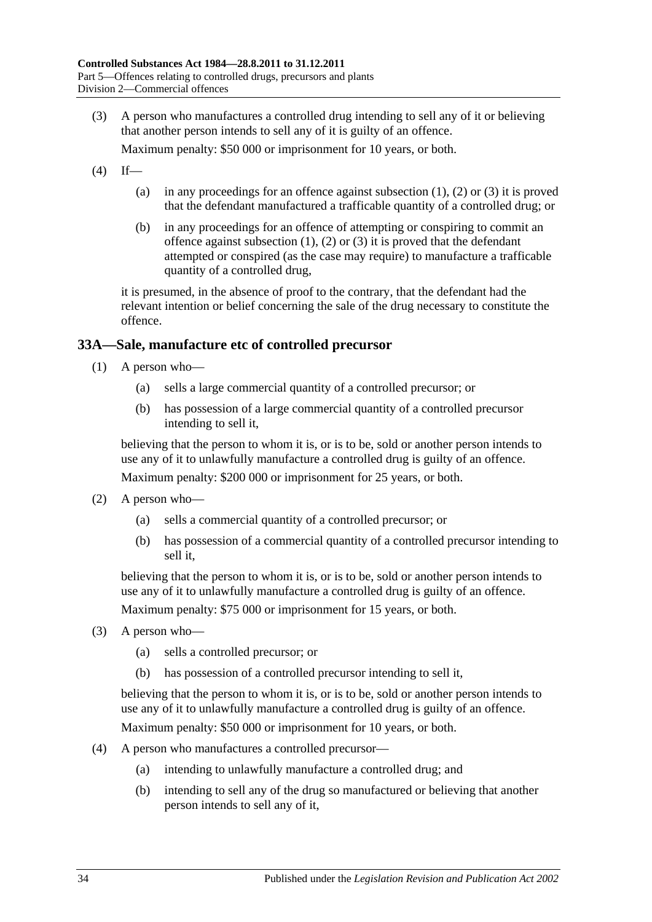<span id="page-33-1"></span>(3) A person who manufactures a controlled drug intending to sell any of it or believing that another person intends to sell any of it is guilty of an offence.

Maximum penalty: \$50 000 or imprisonment for 10 years, or both.

- $(4)$  If
	- (a) in any proceedings for an offence against [subsection](#page-32-2)  $(1)$ ,  $(2)$  or  $(3)$  it is proved that the defendant manufactured a trafficable quantity of a controlled drug; or
	- (b) in any proceedings for an offence of attempting or conspiring to commit an offence against [subsection](#page-32-2)  $(1)$ ,  $(2)$  or  $(3)$  it is proved that the defendant attempted or conspired (as the case may require) to manufacture a trafficable quantity of a controlled drug,

it is presumed, in the absence of proof to the contrary, that the defendant had the relevant intention or belief concerning the sale of the drug necessary to constitute the offence.

### <span id="page-33-0"></span>**33A—Sale, manufacture etc of controlled precursor**

- (1) A person who—
	- (a) sells a large commercial quantity of a controlled precursor; or
	- (b) has possession of a large commercial quantity of a controlled precursor intending to sell it,

believing that the person to whom it is, or is to be, sold or another person intends to use any of it to unlawfully manufacture a controlled drug is guilty of an offence. Maximum penalty: \$200 000 or imprisonment for 25 years, or both.

- (2) A person who—
	- (a) sells a commercial quantity of a controlled precursor; or
	- (b) has possession of a commercial quantity of a controlled precursor intending to sell it,

believing that the person to whom it is, or is to be, sold or another person intends to use any of it to unlawfully manufacture a controlled drug is guilty of an offence.

Maximum penalty: \$75 000 or imprisonment for 15 years, or both.

- (3) A person who—
	- (a) sells a controlled precursor; or
	- (b) has possession of a controlled precursor intending to sell it,

believing that the person to whom it is, or is to be, sold or another person intends to use any of it to unlawfully manufacture a controlled drug is guilty of an offence.

Maximum penalty: \$50 000 or imprisonment for 10 years, or both.

- (4) A person who manufactures a controlled precursor—
	- (a) intending to unlawfully manufacture a controlled drug; and
	- (b) intending to sell any of the drug so manufactured or believing that another person intends to sell any of it,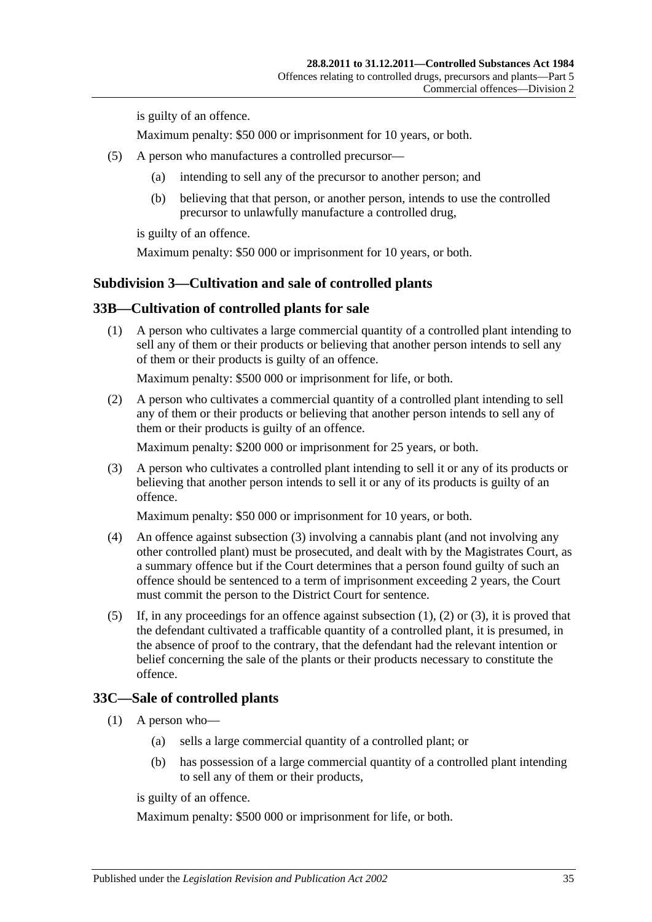is guilty of an offence.

Maximum penalty: \$50 000 or imprisonment for 10 years, or both.

- (5) A person who manufactures a controlled precursor—
	- (a) intending to sell any of the precursor to another person; and
	- (b) believing that that person, or another person, intends to use the controlled precursor to unlawfully manufacture a controlled drug,

is guilty of an offence.

Maximum penalty: \$50 000 or imprisonment for 10 years, or both.

### <span id="page-34-0"></span>**Subdivision 3—Cultivation and sale of controlled plants**

### <span id="page-34-4"></span><span id="page-34-1"></span>**33B—Cultivation of controlled plants for sale**

(1) A person who cultivates a large commercial quantity of a controlled plant intending to sell any of them or their products or believing that another person intends to sell any of them or their products is guilty of an offence.

Maximum penalty: \$500 000 or imprisonment for life, or both.

<span id="page-34-5"></span>(2) A person who cultivates a commercial quantity of a controlled plant intending to sell any of them or their products or believing that another person intends to sell any of them or their products is guilty of an offence.

Maximum penalty: \$200 000 or imprisonment for 25 years, or both.

<span id="page-34-3"></span>(3) A person who cultivates a controlled plant intending to sell it or any of its products or believing that another person intends to sell it or any of its products is guilty of an offence.

Maximum penalty: \$50 000 or imprisonment for 10 years, or both.

- (4) An offence against [subsection](#page-34-3) (3) involving a cannabis plant (and not involving any other controlled plant) must be prosecuted, and dealt with by the Magistrates Court, as a summary offence but if the Court determines that a person found guilty of such an offence should be sentenced to a term of imprisonment exceeding 2 years, the Court must commit the person to the District Court for sentence.
- (5) If, in any proceedings for an offence against [subsection](#page-34-4) (1), [\(2\)](#page-34-5) or [\(3\),](#page-34-3) it is proved that the defendant cultivated a trafficable quantity of a controlled plant, it is presumed, in the absence of proof to the contrary, that the defendant had the relevant intention or belief concerning the sale of the plants or their products necessary to constitute the offence.

## <span id="page-34-6"></span><span id="page-34-2"></span>**33C—Sale of controlled plants**

- (1) A person who—
	- (a) sells a large commercial quantity of a controlled plant; or
	- (b) has possession of a large commercial quantity of a controlled plant intending to sell any of them or their products,

is guilty of an offence.

Maximum penalty: \$500 000 or imprisonment for life, or both.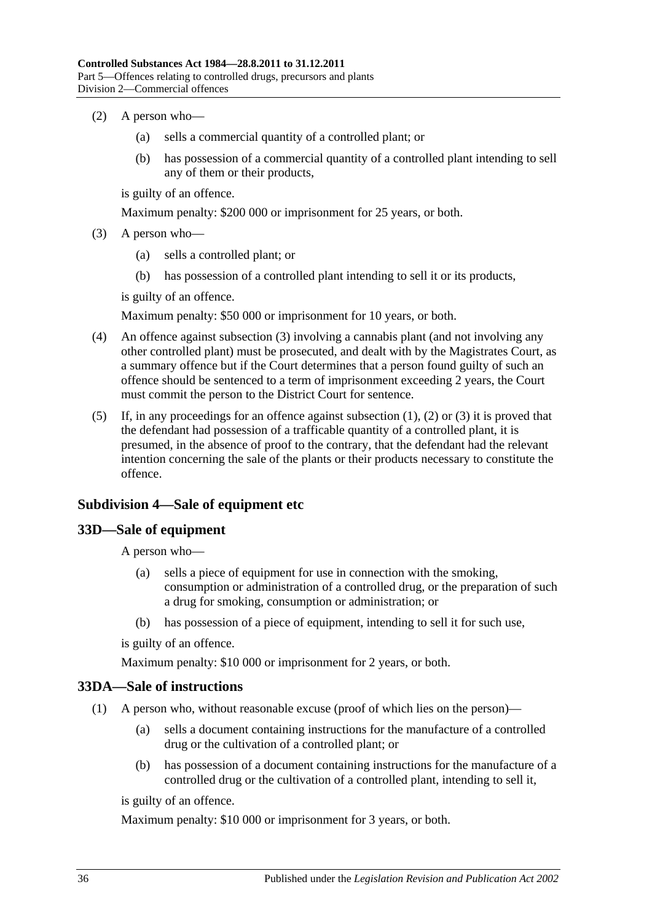- <span id="page-35-4"></span>(2) A person who—
	- (a) sells a commercial quantity of a controlled plant; or
	- (b) has possession of a commercial quantity of a controlled plant intending to sell any of them or their products,

is guilty of an offence.

Maximum penalty: \$200 000 or imprisonment for 25 years, or both.

- <span id="page-35-3"></span>(3) A person who—
	- (a) sells a controlled plant; or
	- (b) has possession of a controlled plant intending to sell it or its products,

is guilty of an offence.

Maximum penalty: \$50 000 or imprisonment for 10 years, or both.

- (4) An offence against [subsection](#page-35-3) (3) involving a cannabis plant (and not involving any other controlled plant) must be prosecuted, and dealt with by the Magistrates Court, as a summary offence but if the Court determines that a person found guilty of such an offence should be sentenced to a term of imprisonment exceeding 2 years, the Court must commit the person to the District Court for sentence.
- (5) If, in any proceedings for an offence against [subsection](#page-34-6) (1), [\(2\)](#page-35-4) or [\(3\)](#page-35-3) it is proved that the defendant had possession of a trafficable quantity of a controlled plant, it is presumed, in the absence of proof to the contrary, that the defendant had the relevant intention concerning the sale of the plants or their products necessary to constitute the offence.

## <span id="page-35-0"></span>**Subdivision 4—Sale of equipment etc**

### <span id="page-35-1"></span>**33D—Sale of equipment**

A person who—

- (a) sells a piece of equipment for use in connection with the smoking, consumption or administration of a controlled drug, or the preparation of such a drug for smoking, consumption or administration; or
- (b) has possession of a piece of equipment, intending to sell it for such use,

is guilty of an offence.

Maximum penalty: \$10 000 or imprisonment for 2 years, or both.

### <span id="page-35-2"></span>**33DA—Sale of instructions**

- (1) A person who, without reasonable excuse (proof of which lies on the person)—
	- (a) sells a document containing instructions for the manufacture of a controlled drug or the cultivation of a controlled plant; or
	- (b) has possession of a document containing instructions for the manufacture of a controlled drug or the cultivation of a controlled plant, intending to sell it,

is guilty of an offence.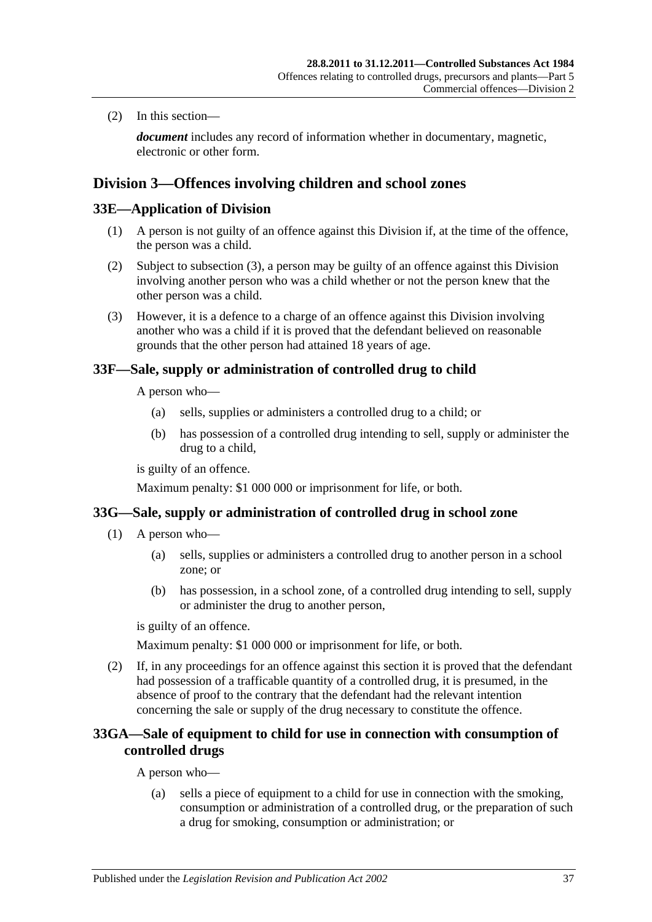(2) In this section—

*document* includes any record of information whether in documentary, magnetic, electronic or other form.

## <span id="page-36-1"></span>**Division 3—Offences involving children and school zones**

## **33E—Application of Division**

- (1) A person is not guilty of an offence against this Division if, at the time of the offence, the person was a child.
- (2) Subject to [subsection](#page-36-0) (3), a person may be guilty of an offence against this Division involving another person who was a child whether or not the person knew that the other person was a child.
- <span id="page-36-0"></span>(3) However, it is a defence to a charge of an offence against this Division involving another who was a child if it is proved that the defendant believed on reasonable grounds that the other person had attained 18 years of age.

## <span id="page-36-2"></span>**33F—Sale, supply or administration of controlled drug to child**

A person who—

- (a) sells, supplies or administers a controlled drug to a child; or
- (b) has possession of a controlled drug intending to sell, supply or administer the drug to a child,

is guilty of an offence.

Maximum penalty: \$1 000 000 or imprisonment for life, or both.

## **33G—Sale, supply or administration of controlled drug in school zone**

- (1) A person who—
	- (a) sells, supplies or administers a controlled drug to another person in a school zone; or
	- (b) has possession, in a school zone, of a controlled drug intending to sell, supply or administer the drug to another person,

is guilty of an offence.

Maximum penalty: \$1 000 000 or imprisonment for life, or both.

(2) If, in any proceedings for an offence against this section it is proved that the defendant had possession of a trafficable quantity of a controlled drug, it is presumed, in the absence of proof to the contrary that the defendant had the relevant intention concerning the sale or supply of the drug necessary to constitute the offence.

## **33GA—Sale of equipment to child for use in connection with consumption of controlled drugs**

A person who—

(a) sells a piece of equipment to a child for use in connection with the smoking, consumption or administration of a controlled drug, or the preparation of such a drug for smoking, consumption or administration; or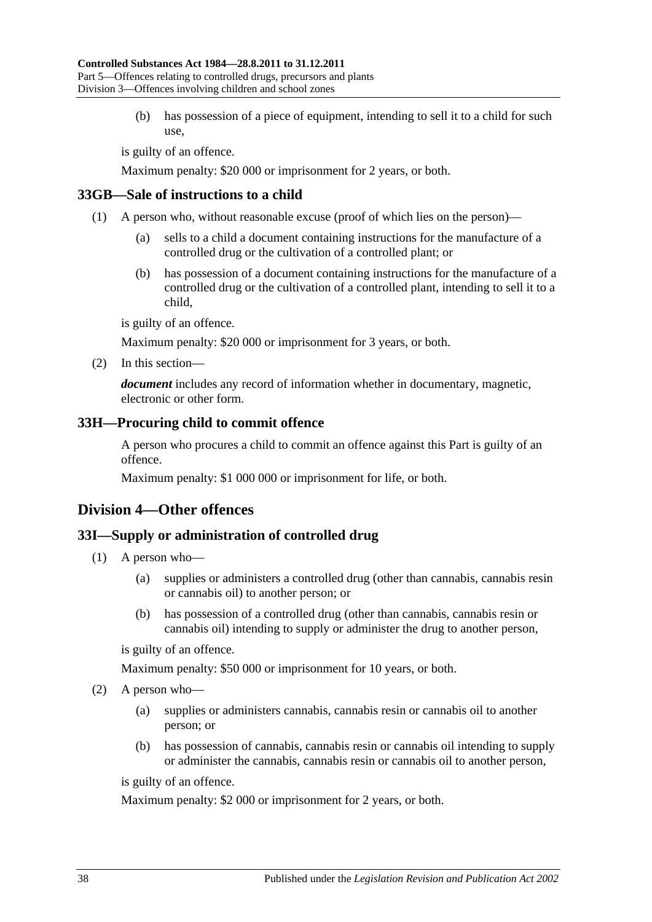(b) has possession of a piece of equipment, intending to sell it to a child for such use,

is guilty of an offence.

Maximum penalty: \$20 000 or imprisonment for 2 years, or both.

#### **33GB—Sale of instructions to a child**

- (1) A person who, without reasonable excuse (proof of which lies on the person)—
	- (a) sells to a child a document containing instructions for the manufacture of a controlled drug or the cultivation of a controlled plant; or
	- (b) has possession of a document containing instructions for the manufacture of a controlled drug or the cultivation of a controlled plant, intending to sell it to a child,

is guilty of an offence.

Maximum penalty: \$20 000 or imprisonment for 3 years, or both.

(2) In this section—

*document* includes any record of information whether in documentary, magnetic, electronic or other form.

#### <span id="page-37-0"></span>**33H—Procuring child to commit offence**

A person who procures a child to commit an offence against this Part is guilty of an offence.

Maximum penalty: \$1 000 000 or imprisonment for life, or both.

## **Division 4—Other offences**

#### <span id="page-37-1"></span>**33I—Supply or administration of controlled drug**

- (1) A person who—
	- (a) supplies or administers a controlled drug (other than cannabis, cannabis resin or cannabis oil) to another person; or
	- (b) has possession of a controlled drug (other than cannabis, cannabis resin or cannabis oil) intending to supply or administer the drug to another person,

is guilty of an offence.

Maximum penalty: \$50 000 or imprisonment for 10 years, or both.

- (2) A person who—
	- (a) supplies or administers cannabis, cannabis resin or cannabis oil to another person; or
	- (b) has possession of cannabis, cannabis resin or cannabis oil intending to supply or administer the cannabis, cannabis resin or cannabis oil to another person,

is guilty of an offence.

Maximum penalty: \$2 000 or imprisonment for 2 years, or both.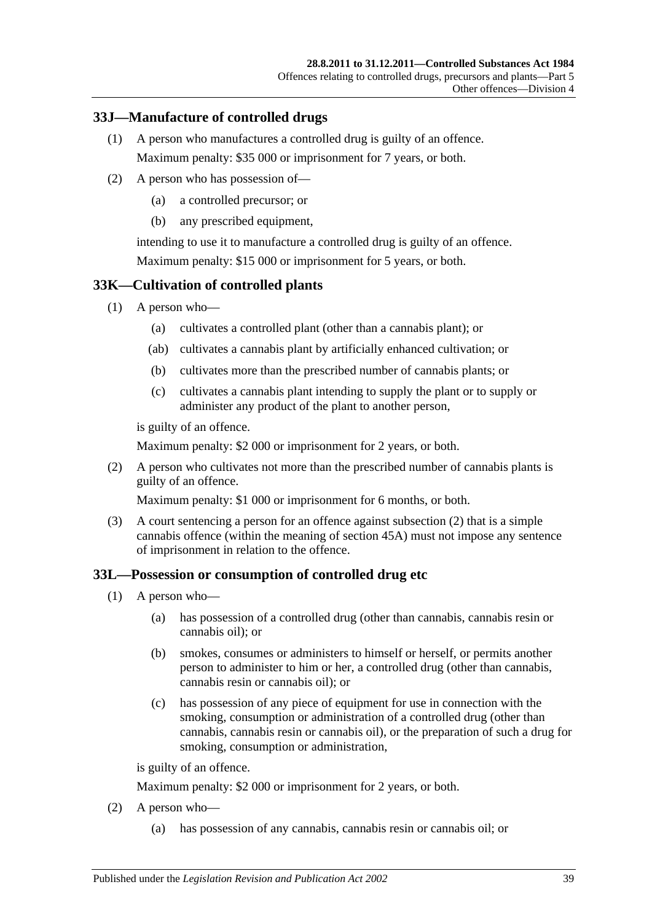## **33J—Manufacture of controlled drugs**

- (1) A person who manufactures a controlled drug is guilty of an offence. Maximum penalty: \$35 000 or imprisonment for 7 years, or both.
- (2) A person who has possession of—
	- (a) a controlled precursor; or
	- (b) any prescribed equipment,

intending to use it to manufacture a controlled drug is guilty of an offence. Maximum penalty: \$15 000 or imprisonment for 5 years, or both.

## **33K—Cultivation of controlled plants**

- (1) A person who—
	- (a) cultivates a controlled plant (other than a cannabis plant); or
	- (ab) cultivates a cannabis plant by artificially enhanced cultivation; or
	- (b) cultivates more than the prescribed number of cannabis plants; or
	- (c) cultivates a cannabis plant intending to supply the plant or to supply or administer any product of the plant to another person,

is guilty of an offence.

Maximum penalty: \$2 000 or imprisonment for 2 years, or both.

<span id="page-38-0"></span>(2) A person who cultivates not more than the prescribed number of cannabis plants is guilty of an offence.

Maximum penalty: \$1 000 or imprisonment for 6 months, or both.

(3) A court sentencing a person for an offence against [subsection](#page-38-0) (2) that is a simple cannabis offence (within the meaning of [section](#page-48-0) 45A) must not impose any sentence of imprisonment in relation to the offence.

## **33L—Possession or consumption of controlled drug etc**

- (1) A person who—
	- (a) has possession of a controlled drug (other than cannabis, cannabis resin or cannabis oil); or
	- (b) smokes, consumes or administers to himself or herself, or permits another person to administer to him or her, a controlled drug (other than cannabis, cannabis resin or cannabis oil); or
	- (c) has possession of any piece of equipment for use in connection with the smoking, consumption or administration of a controlled drug (other than cannabis, cannabis resin or cannabis oil), or the preparation of such a drug for smoking, consumption or administration,

is guilty of an offence.

Maximum penalty: \$2 000 or imprisonment for 2 years, or both.

- <span id="page-38-1"></span>(2) A person who—
	- (a) has possession of any cannabis, cannabis resin or cannabis oil; or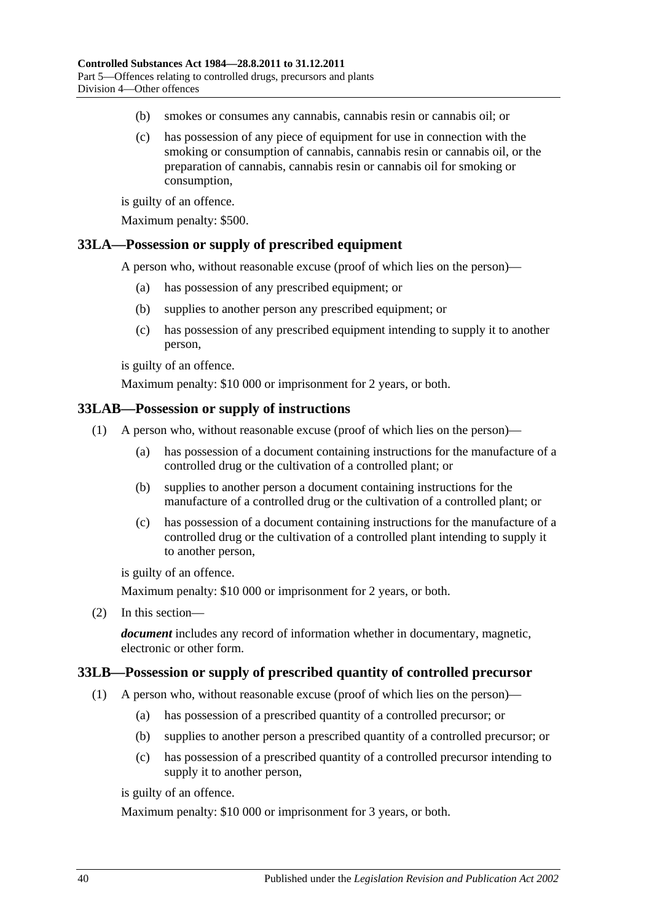- <span id="page-39-2"></span><span id="page-39-1"></span>(b) smokes or consumes any cannabis, cannabis resin or cannabis oil; or
- (c) has possession of any piece of equipment for use in connection with the smoking or consumption of cannabis, cannabis resin or cannabis oil, or the preparation of cannabis, cannabis resin or cannabis oil for smoking or consumption,

is guilty of an offence.

Maximum penalty: \$500.

#### **33LA—Possession or supply of prescribed equipment**

A person who, without reasonable excuse (proof of which lies on the person)—

- (a) has possession of any prescribed equipment; or
- (b) supplies to another person any prescribed equipment; or
- (c) has possession of any prescribed equipment intending to supply it to another person,

is guilty of an offence.

Maximum penalty: \$10 000 or imprisonment for 2 years, or both.

#### **33LAB—Possession or supply of instructions**

- (1) A person who, without reasonable excuse (proof of which lies on the person)—
	- (a) has possession of a document containing instructions for the manufacture of a controlled drug or the cultivation of a controlled plant; or
	- (b) supplies to another person a document containing instructions for the manufacture of a controlled drug or the cultivation of a controlled plant; or
	- (c) has possession of a document containing instructions for the manufacture of a controlled drug or the cultivation of a controlled plant intending to supply it to another person,

is guilty of an offence.

Maximum penalty: \$10 000 or imprisonment for 2 years, or both.

(2) In this section—

*document* includes any record of information whether in documentary, magnetic, electronic or other form.

#### <span id="page-39-0"></span>**33LB—Possession or supply of prescribed quantity of controlled precursor**

- (1) A person who, without reasonable excuse (proof of which lies on the person)—
	- (a) has possession of a prescribed quantity of a controlled precursor; or
	- (b) supplies to another person a prescribed quantity of a controlled precursor; or
	- (c) has possession of a prescribed quantity of a controlled precursor intending to supply it to another person,

is guilty of an offence.

Maximum penalty: \$10 000 or imprisonment for 3 years, or both.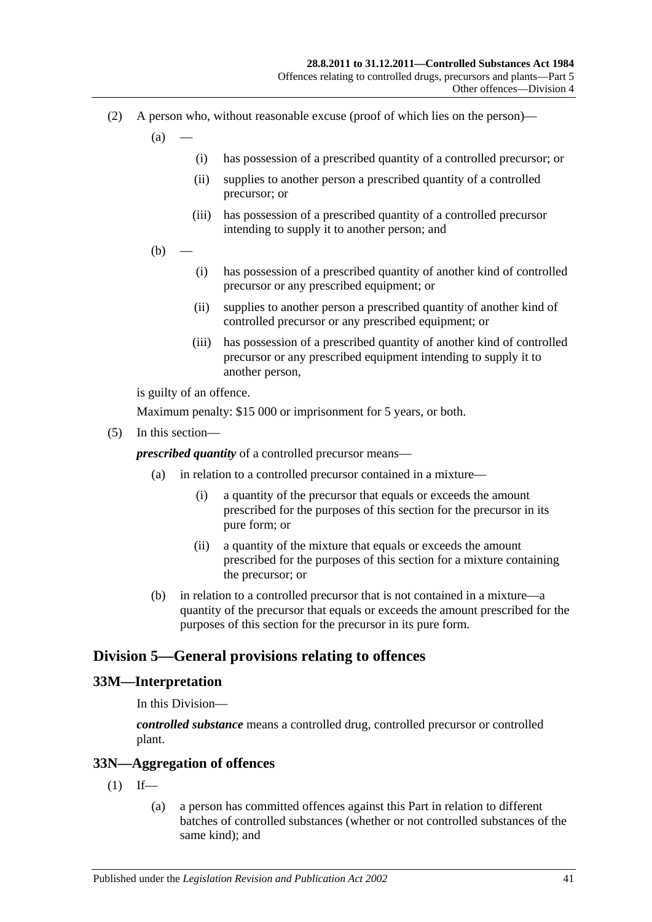- (2) A person who, without reasonable excuse (proof of which lies on the person)—
	- $(a)$
- (i) has possession of a prescribed quantity of a controlled precursor; or
- (ii) supplies to another person a prescribed quantity of a controlled precursor; or
- (iii) has possession of a prescribed quantity of a controlled precursor intending to supply it to another person; and
- $(b)$ 
	- (i) has possession of a prescribed quantity of another kind of controlled precursor or any prescribed equipment; or
	- (ii) supplies to another person a prescribed quantity of another kind of controlled precursor or any prescribed equipment; or
	- (iii) has possession of a prescribed quantity of another kind of controlled precursor or any prescribed equipment intending to supply it to another person,

is guilty of an offence.

Maximum penalty: \$15 000 or imprisonment for 5 years, or both.

(5) In this section—

*prescribed quantity* of a controlled precursor means—

- (a) in relation to a controlled precursor contained in a mixture—
	- (i) a quantity of the precursor that equals or exceeds the amount prescribed for the purposes of this section for the precursor in its pure form; or
	- (ii) a quantity of the mixture that equals or exceeds the amount prescribed for the purposes of this section for a mixture containing the precursor; or
- (b) in relation to a controlled precursor that is not contained in a mixture—a quantity of the precursor that equals or exceeds the amount prescribed for the purposes of this section for the precursor in its pure form.

## **Division 5—General provisions relating to offences**

#### **33M—Interpretation**

In this Division—

*controlled substance* means a controlled drug, controlled precursor or controlled plant.

#### **33N—Aggregation of offences**

- $(1)$  If—
	- (a) a person has committed offences against this Part in relation to different batches of controlled substances (whether or not controlled substances of the same kind); and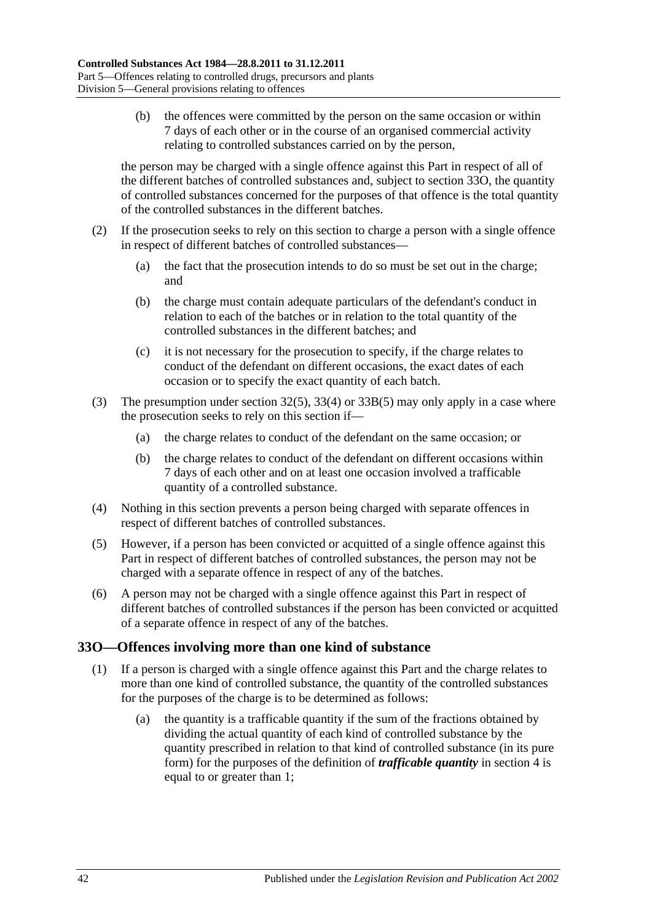(b) the offences were committed by the person on the same occasion or within 7 days of each other or in the course of an organised commercial activity relating to controlled substances carried on by the person,

the person may be charged with a single offence against this Part in respect of all of the different batches of controlled substances and, subject to [section](#page-41-0) 33O, the quantity of controlled substances concerned for the purposes of that offence is the total quantity of the controlled substances in the different batches.

- (2) If the prosecution seeks to rely on this section to charge a person with a single offence in respect of different batches of controlled substances—
	- (a) the fact that the prosecution intends to do so must be set out in the charge; and
	- (b) the charge must contain adequate particulars of the defendant's conduct in relation to each of the batches or in relation to the total quantity of the controlled substances in the different batches; and
	- (c) it is not necessary for the prosecution to specify, if the charge relates to conduct of the defendant on different occasions, the exact dates of each occasion or to specify the exact quantity of each batch.
- (3) The presumption under [section](#page-31-0) 32(5), [33\(4\)](#page-33-0) or [33B\(5\)](#page-34-0) may only apply in a case where the prosecution seeks to rely on this section if—
	- (a) the charge relates to conduct of the defendant on the same occasion; or
	- (b) the charge relates to conduct of the defendant on different occasions within 7 days of each other and on at least one occasion involved a trafficable quantity of a controlled substance.
- (4) Nothing in this section prevents a person being charged with separate offences in respect of different batches of controlled substances.
- (5) However, if a person has been convicted or acquitted of a single offence against this Part in respect of different batches of controlled substances, the person may not be charged with a separate offence in respect of any of the batches.
- (6) A person may not be charged with a single offence against this Part in respect of different batches of controlled substances if the person has been convicted or acquitted of a separate offence in respect of any of the batches.

## <span id="page-41-0"></span>**33O—Offences involving more than one kind of substance**

- (1) If a person is charged with a single offence against this Part and the charge relates to more than one kind of controlled substance, the quantity of the controlled substances for the purposes of the charge is to be determined as follows:
	- (a) the quantity is a trafficable quantity if the sum of the fractions obtained by dividing the actual quantity of each kind of controlled substance by the quantity prescribed in relation to that kind of controlled substance (in its pure form) for the purposes of the definition of *trafficable quantity* in [section](#page-3-0) 4 is equal to or greater than 1;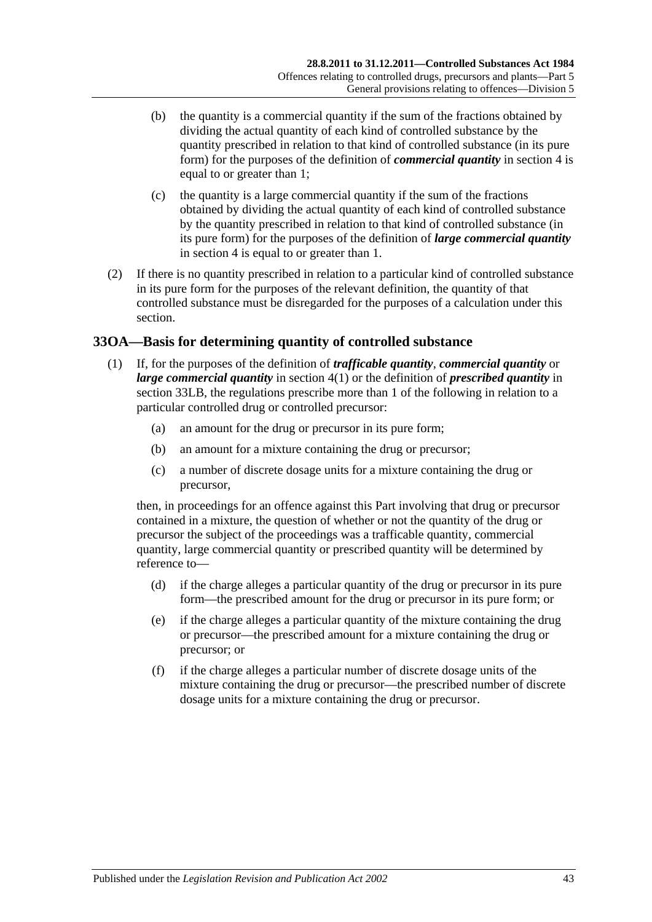- (b) the quantity is a commercial quantity if the sum of the fractions obtained by dividing the actual quantity of each kind of controlled substance by the quantity prescribed in relation to that kind of controlled substance (in its pure form) for the purposes of the definition of *commercial quantity* in [section](#page-3-0) 4 is equal to or greater than 1;
- (c) the quantity is a large commercial quantity if the sum of the fractions obtained by dividing the actual quantity of each kind of controlled substance by the quantity prescribed in relation to that kind of controlled substance (in its pure form) for the purposes of the definition of *large commercial quantity* in [section](#page-3-0) 4 is equal to or greater than 1.
- (2) If there is no quantity prescribed in relation to a particular kind of controlled substance in its pure form for the purposes of the relevant definition, the quantity of that controlled substance must be disregarded for the purposes of a calculation under this section.

## **33OA—Basis for determining quantity of controlled substance**

- (1) If, for the purposes of the definition of *trafficable quantity*, *commercial quantity* or *large commercial quantity* in [section](#page-3-1) 4(1) or the definition of *prescribed quantity* in [section](#page-39-0) 33LB, the regulations prescribe more than 1 of the following in relation to a particular controlled drug or controlled precursor:
	- (a) an amount for the drug or precursor in its pure form;
	- (b) an amount for a mixture containing the drug or precursor;
	- (c) a number of discrete dosage units for a mixture containing the drug or precursor,

then, in proceedings for an offence against this Part involving that drug or precursor contained in a mixture, the question of whether or not the quantity of the drug or precursor the subject of the proceedings was a trafficable quantity, commercial quantity, large commercial quantity or prescribed quantity will be determined by reference to—

- (d) if the charge alleges a particular quantity of the drug or precursor in its pure form—the prescribed amount for the drug or precursor in its pure form; or
- (e) if the charge alleges a particular quantity of the mixture containing the drug or precursor—the prescribed amount for a mixture containing the drug or precursor; or
- (f) if the charge alleges a particular number of discrete dosage units of the mixture containing the drug or precursor—the prescribed number of discrete dosage units for a mixture containing the drug or precursor.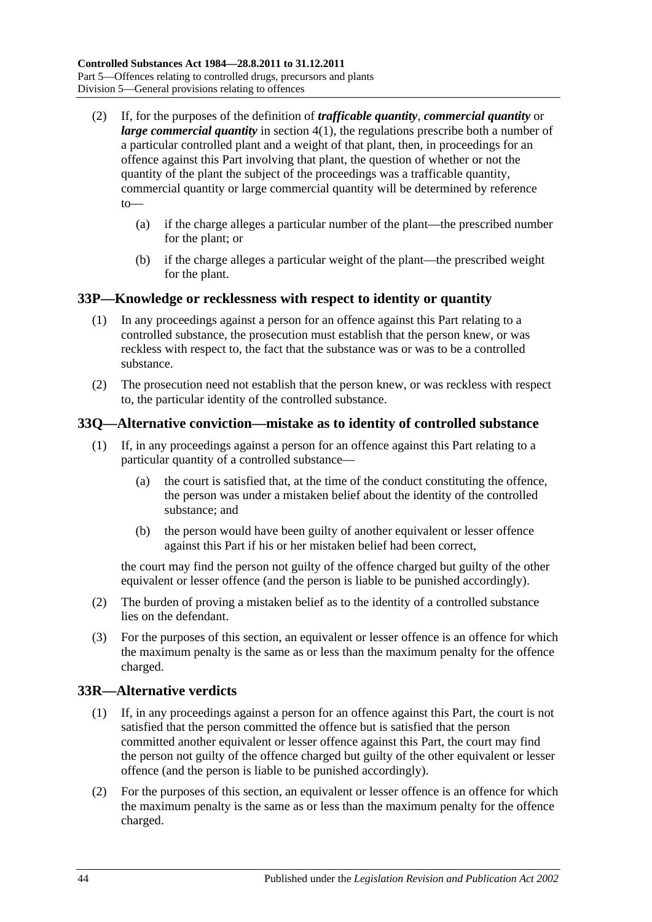- (2) If, for the purposes of the definition of *trafficable quantity*, *commercial quantity* or *large commercial quantity* in [section](#page-3-1) 4(1), the regulations prescribe both a number of a particular controlled plant and a weight of that plant, then, in proceedings for an offence against this Part involving that plant, the question of whether or not the quantity of the plant the subject of the proceedings was a trafficable quantity, commercial quantity or large commercial quantity will be determined by reference to—
	- (a) if the charge alleges a particular number of the plant—the prescribed number for the plant; or
	- (b) if the charge alleges a particular weight of the plant—the prescribed weight for the plant.

## **33P—Knowledge or recklessness with respect to identity or quantity**

- (1) In any proceedings against a person for an offence against this Part relating to a controlled substance, the prosecution must establish that the person knew, or was reckless with respect to, the fact that the substance was or was to be a controlled substance.
- (2) The prosecution need not establish that the person knew, or was reckless with respect to, the particular identity of the controlled substance.

## **33Q—Alternative conviction—mistake as to identity of controlled substance**

- (1) If, in any proceedings against a person for an offence against this Part relating to a particular quantity of a controlled substance—
	- (a) the court is satisfied that, at the time of the conduct constituting the offence, the person was under a mistaken belief about the identity of the controlled substance; and
	- (b) the person would have been guilty of another equivalent or lesser offence against this Part if his or her mistaken belief had been correct,

the court may find the person not guilty of the offence charged but guilty of the other equivalent or lesser offence (and the person is liable to be punished accordingly).

- (2) The burden of proving a mistaken belief as to the identity of a controlled substance lies on the defendant.
- (3) For the purposes of this section, an equivalent or lesser offence is an offence for which the maximum penalty is the same as or less than the maximum penalty for the offence charged.

## **33R—Alternative verdicts**

- (1) If, in any proceedings against a person for an offence against this Part, the court is not satisfied that the person committed the offence but is satisfied that the person committed another equivalent or lesser offence against this Part, the court may find the person not guilty of the offence charged but guilty of the other equivalent or lesser offence (and the person is liable to be punished accordingly).
- (2) For the purposes of this section, an equivalent or lesser offence is an offence for which the maximum penalty is the same as or less than the maximum penalty for the offence charged.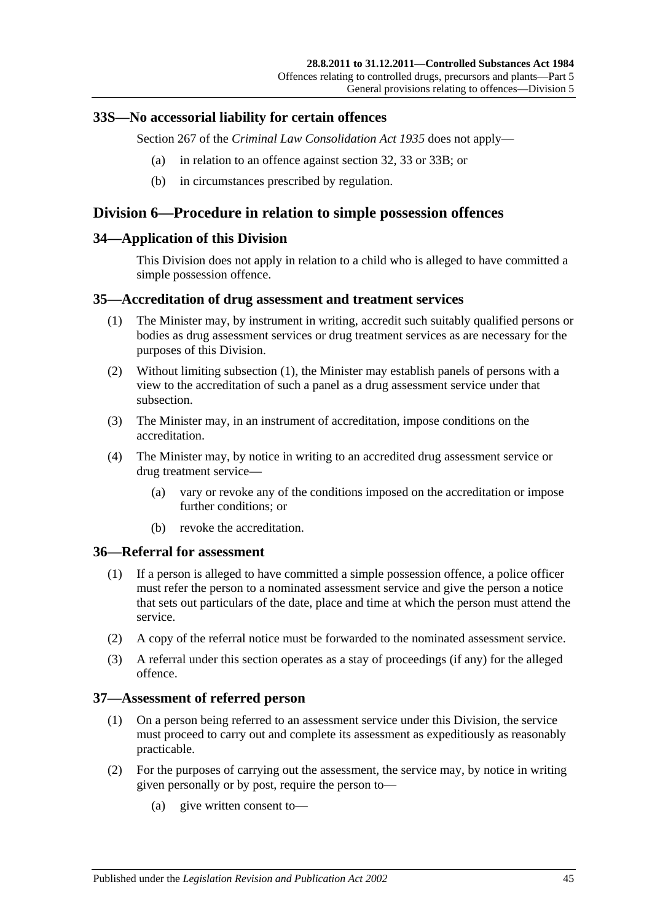#### **33S—No accessorial liability for certain offences**

Section 267 of the *[Criminal Law Consolidation Act](http://www.legislation.sa.gov.au/index.aspx?action=legref&type=act&legtitle=Criminal%20Law%20Consolidation%20Act%201935) 1935* does not apply—

- (a) in relation to an offence against [section](#page-31-1) 32, [33](#page-32-0) or [33B;](#page-34-1) or
- (b) in circumstances prescribed by regulation.

## **Division 6—Procedure in relation to simple possession offences**

#### **34—Application of this Division**

This Division does not apply in relation to a child who is alleged to have committed a simple possession offence.

#### <span id="page-44-0"></span>**35—Accreditation of drug assessment and treatment services**

- (1) The Minister may, by instrument in writing, accredit such suitably qualified persons or bodies as drug assessment services or drug treatment services as are necessary for the purposes of this Division.
- (2) Without limiting [subsection](#page-44-0) (1), the Minister may establish panels of persons with a view to the accreditation of such a panel as a drug assessment service under that subsection.
- (3) The Minister may, in an instrument of accreditation, impose conditions on the accreditation.
- (4) The Minister may, by notice in writing to an accredited drug assessment service or drug treatment service—
	- (a) vary or revoke any of the conditions imposed on the accreditation or impose further conditions; or
	- (b) revoke the accreditation.

#### **36—Referral for assessment**

- (1) If a person is alleged to have committed a simple possession offence, a police officer must refer the person to a nominated assessment service and give the person a notice that sets out particulars of the date, place and time at which the person must attend the service.
- (2) A copy of the referral notice must be forwarded to the nominated assessment service.
- (3) A referral under this section operates as a stay of proceedings (if any) for the alleged offence.

#### **37—Assessment of referred person**

- (1) On a person being referred to an assessment service under this Division, the service must proceed to carry out and complete its assessment as expeditiously as reasonably practicable.
- (2) For the purposes of carrying out the assessment, the service may, by notice in writing given personally or by post, require the person to—
	- (a) give written consent to—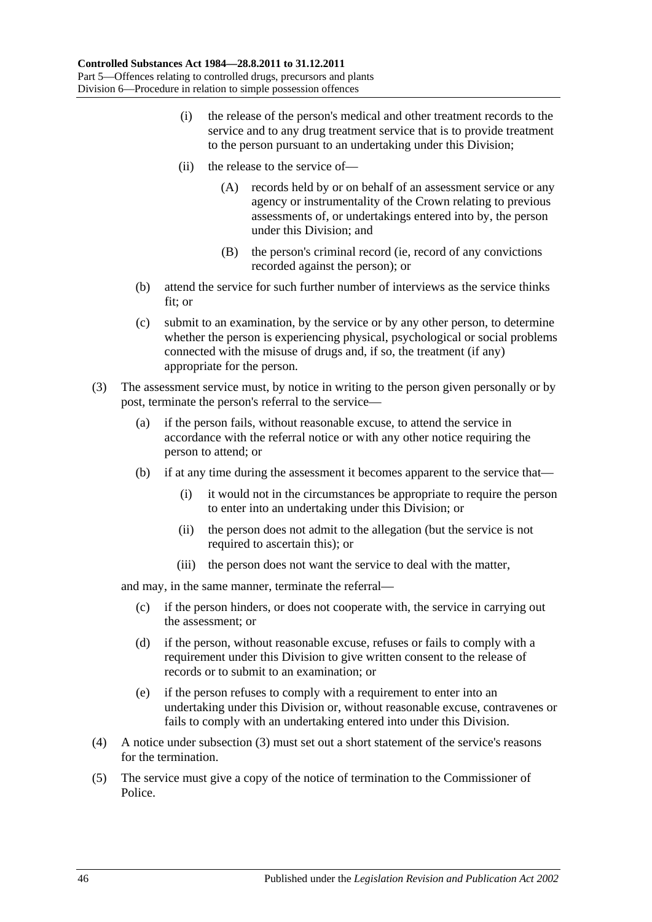- (i) the release of the person's medical and other treatment records to the service and to any drug treatment service that is to provide treatment to the person pursuant to an undertaking under this Division;
- (ii) the release to the service of—
	- (A) records held by or on behalf of an assessment service or any agency or instrumentality of the Crown relating to previous assessments of, or undertakings entered into by, the person under this Division; and
	- (B) the person's criminal record (ie, record of any convictions recorded against the person); or
- (b) attend the service for such further number of interviews as the service thinks fit; or
- (c) submit to an examination, by the service or by any other person, to determine whether the person is experiencing physical, psychological or social problems connected with the misuse of drugs and, if so, the treatment (if any) appropriate for the person.
- <span id="page-45-0"></span>(3) The assessment service must, by notice in writing to the person given personally or by post, terminate the person's referral to the service—
	- (a) if the person fails, without reasonable excuse, to attend the service in accordance with the referral notice or with any other notice requiring the person to attend; or
	- (b) if at any time during the assessment it becomes apparent to the service that—
		- (i) it would not in the circumstances be appropriate to require the person to enter into an undertaking under this Division; or
		- (ii) the person does not admit to the allegation (but the service is not required to ascertain this); or
		- (iii) the person does not want the service to deal with the matter,

and may, in the same manner, terminate the referral—

- (c) if the person hinders, or does not cooperate with, the service in carrying out the assessment; or
- (d) if the person, without reasonable excuse, refuses or fails to comply with a requirement under this Division to give written consent to the release of records or to submit to an examination; or
- (e) if the person refuses to comply with a requirement to enter into an undertaking under this Division or, without reasonable excuse, contravenes or fails to comply with an undertaking entered into under this Division.
- (4) A notice under [subsection](#page-45-0) (3) must set out a short statement of the service's reasons for the termination.
- (5) The service must give a copy of the notice of termination to the Commissioner of Police.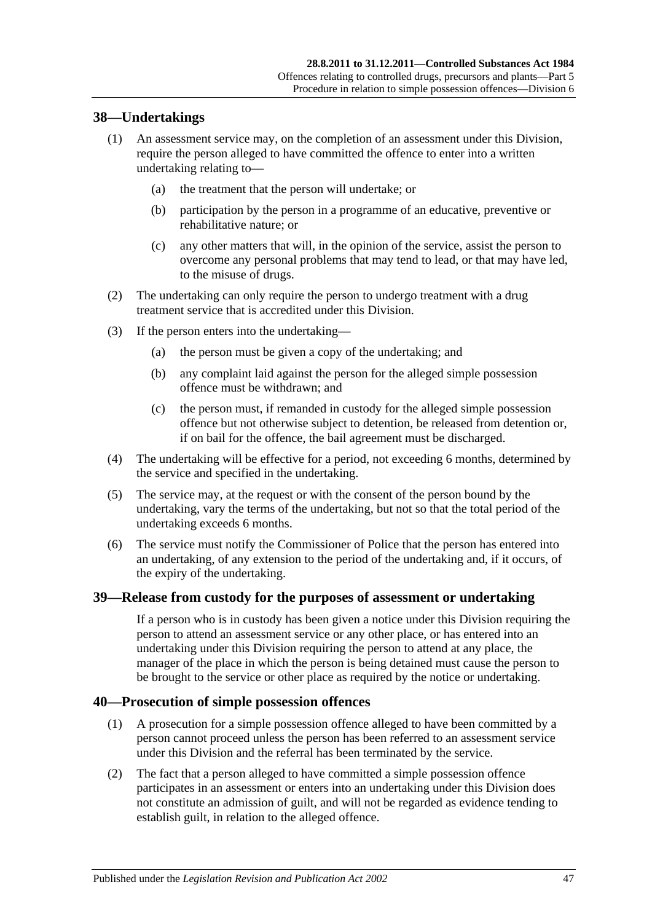## **38—Undertakings**

- (1) An assessment service may, on the completion of an assessment under this Division, require the person alleged to have committed the offence to enter into a written undertaking relating to—
	- (a) the treatment that the person will undertake; or
	- (b) participation by the person in a programme of an educative, preventive or rehabilitative nature; or
	- (c) any other matters that will, in the opinion of the service, assist the person to overcome any personal problems that may tend to lead, or that may have led, to the misuse of drugs.
- (2) The undertaking can only require the person to undergo treatment with a drug treatment service that is accredited under this Division.
- (3) If the person enters into the undertaking—
	- (a) the person must be given a copy of the undertaking; and
	- (b) any complaint laid against the person for the alleged simple possession offence must be withdrawn; and
	- (c) the person must, if remanded in custody for the alleged simple possession offence but not otherwise subject to detention, be released from detention or, if on bail for the offence, the bail agreement must be discharged.
- (4) The undertaking will be effective for a period, not exceeding 6 months, determined by the service and specified in the undertaking.
- (5) The service may, at the request or with the consent of the person bound by the undertaking, vary the terms of the undertaking, but not so that the total period of the undertaking exceeds 6 months.
- (6) The service must notify the Commissioner of Police that the person has entered into an undertaking, of any extension to the period of the undertaking and, if it occurs, of the expiry of the undertaking.

#### **39—Release from custody for the purposes of assessment or undertaking**

If a person who is in custody has been given a notice under this Division requiring the person to attend an assessment service or any other place, or has entered into an undertaking under this Division requiring the person to attend at any place, the manager of the place in which the person is being detained must cause the person to be brought to the service or other place as required by the notice or undertaking.

#### **40—Prosecution of simple possession offences**

- (1) A prosecution for a simple possession offence alleged to have been committed by a person cannot proceed unless the person has been referred to an assessment service under this Division and the referral has been terminated by the service.
- (2) The fact that a person alleged to have committed a simple possession offence participates in an assessment or enters into an undertaking under this Division does not constitute an admission of guilt, and will not be regarded as evidence tending to establish guilt, in relation to the alleged offence.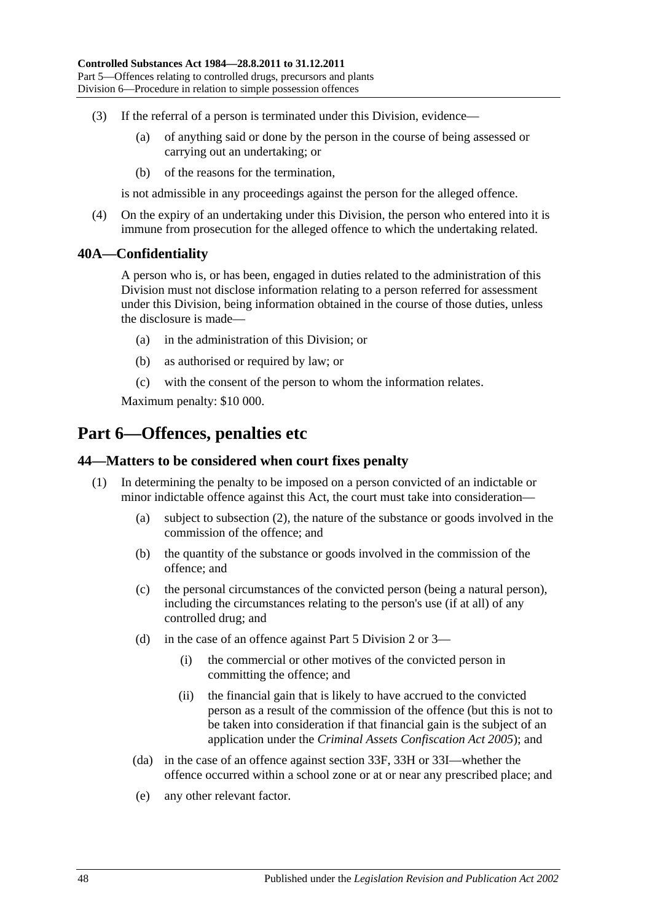- (3) If the referral of a person is terminated under this Division, evidence—
	- (a) of anything said or done by the person in the course of being assessed or carrying out an undertaking; or
	- (b) of the reasons for the termination,

is not admissible in any proceedings against the person for the alleged offence.

(4) On the expiry of an undertaking under this Division, the person who entered into it is immune from prosecution for the alleged offence to which the undertaking related.

#### **40A—Confidentiality**

A person who is, or has been, engaged in duties related to the administration of this Division must not disclose information relating to a person referred for assessment under this Division, being information obtained in the course of those duties, unless the disclosure is made—

- (a) in the administration of this Division; or
- (b) as authorised or required by law; or
- (c) with the consent of the person to whom the information relates.

Maximum penalty: \$10 000.

# **Part 6—Offences, penalties etc**

#### **44—Matters to be considered when court fixes penalty**

- (1) In determining the penalty to be imposed on a person convicted of an indictable or minor indictable offence against this Act, the court must take into consideration—
	- (a) subject to [subsection](#page-48-1) (2), the nature of the substance or goods involved in the commission of the offence; and
	- (b) the quantity of the substance or goods involved in the commission of the offence; and
	- (c) the personal circumstances of the convicted person (being a natural person), including the circumstances relating to the person's use (if at all) of any controlled drug; and
	- (d) in the case of an offence against [Part 5 Division 2](#page-31-2) or [3—](#page-36-1)
		- (i) the commercial or other motives of the convicted person in committing the offence; and
		- (ii) the financial gain that is likely to have accrued to the convicted person as a result of the commission of the offence (but this is not to be taken into consideration if that financial gain is the subject of an application under the *[Criminal Assets Confiscation Act](http://www.legislation.sa.gov.au/index.aspx?action=legref&type=act&legtitle=Criminal%20Assets%20Confiscation%20Act%202005) 2005*); and
	- (da) in the case of an offence against [section](#page-36-2) 33F, [33H](#page-37-0) or [33I—](#page-37-1)whether the offence occurred within a school zone or at or near any prescribed place; and
	- (e) any other relevant factor.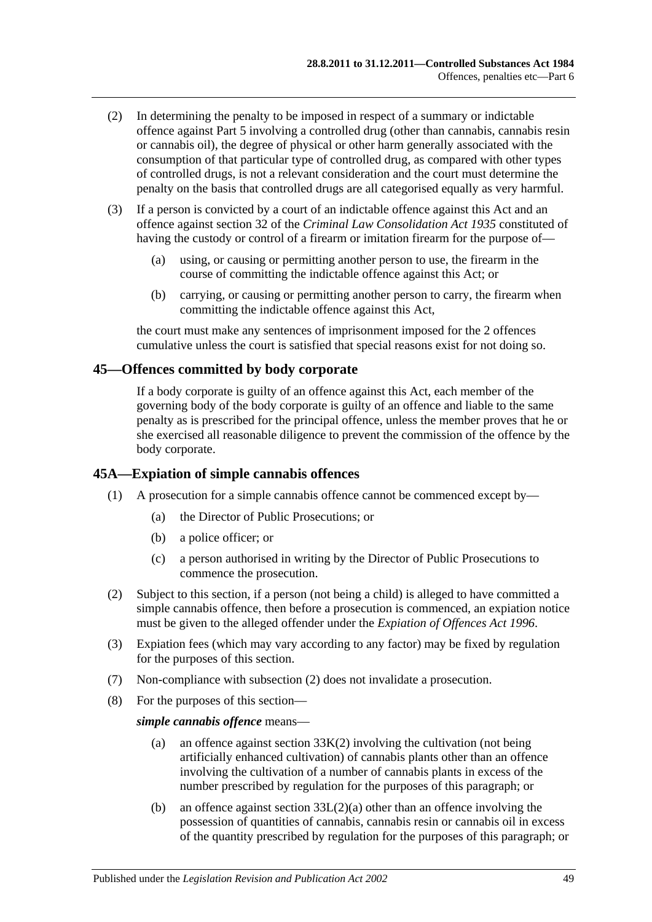- <span id="page-48-1"></span>(2) In determining the penalty to be imposed in respect of a summary or indictable offence against [Part 5](#page-29-0) involving a controlled drug (other than cannabis, cannabis resin or cannabis oil), the degree of physical or other harm generally associated with the consumption of that particular type of controlled drug, as compared with other types of controlled drugs, is not a relevant consideration and the court must determine the penalty on the basis that controlled drugs are all categorised equally as very harmful.
- (3) If a person is convicted by a court of an indictable offence against this Act and an offence against section 32 of the *[Criminal Law Consolidation Act](http://www.legislation.sa.gov.au/index.aspx?action=legref&type=act&legtitle=Criminal%20Law%20Consolidation%20Act%201935) 1935* constituted of having the custody or control of a firearm or imitation firearm for the purpose of—
	- (a) using, or causing or permitting another person to use, the firearm in the course of committing the indictable offence against this Act; or
	- (b) carrying, or causing or permitting another person to carry, the firearm when committing the indictable offence against this Act,

the court must make any sentences of imprisonment imposed for the 2 offences cumulative unless the court is satisfied that special reasons exist for not doing so.

#### **45—Offences committed by body corporate**

If a body corporate is guilty of an offence against this Act, each member of the governing body of the body corporate is guilty of an offence and liable to the same penalty as is prescribed for the principal offence, unless the member proves that he or she exercised all reasonable diligence to prevent the commission of the offence by the body corporate.

#### <span id="page-48-0"></span>**45A—Expiation of simple cannabis offences**

- (1) A prosecution for a simple cannabis offence cannot be commenced except by—
	- (a) the Director of Public Prosecutions; or
	- (b) a police officer; or
	- (c) a person authorised in writing by the Director of Public Prosecutions to commence the prosecution.
- <span id="page-48-2"></span>(2) Subject to this section, if a person (not being a child) is alleged to have committed a simple cannabis offence, then before a prosecution is commenced, an expiation notice must be given to the alleged offender under the *[Expiation of Offences Act](http://www.legislation.sa.gov.au/index.aspx?action=legref&type=act&legtitle=Expiation%20of%20Offences%20Act%201996) 1996*.
- (3) Expiation fees (which may vary according to any factor) may be fixed by regulation for the purposes of this section.
- (7) Non-compliance with [subsection](#page-48-2) (2) does not invalidate a prosecution.
- (8) For the purposes of this section—

#### *simple cannabis offence* means—

- (a) an offence against [section](#page-38-0) 33K(2) involving the cultivation (not being artificially enhanced cultivation) of cannabis plants other than an offence involving the cultivation of a number of cannabis plants in excess of the number prescribed by regulation for the purposes of this paragraph; or
- (b) an offence against section [33L\(2\)\(a\)](#page-38-1) other than an offence involving the possession of quantities of cannabis, cannabis resin or cannabis oil in excess of the quantity prescribed by regulation for the purposes of this paragraph; or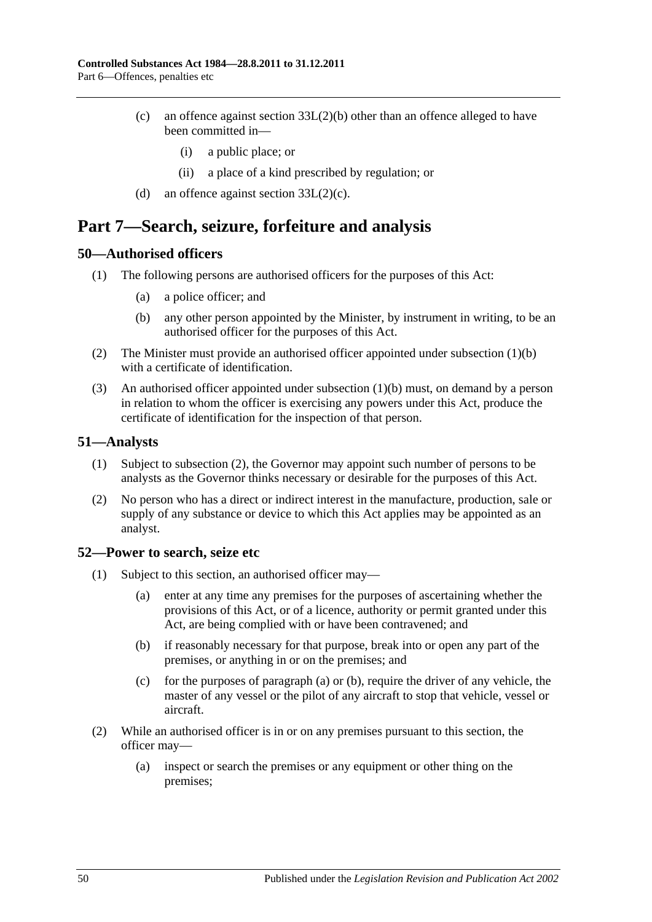- (c) an offence against section [33L\(2\)\(b\)](#page-39-1) other than an offence alleged to have been committed in—
	- (i) a public place; or
	- (ii) a place of a kind prescribed by regulation; or
- (d) an offence against section  $33L(2)(c)$ .

# **Part 7—Search, seizure, forfeiture and analysis**

#### **50—Authorised officers**

- <span id="page-49-0"></span>(1) The following persons are authorised officers for the purposes of this Act:
	- (a) a police officer; and
	- (b) any other person appointed by the Minister, by instrument in writing, to be an authorised officer for the purposes of this Act.
- (2) The Minister must provide an authorised officer appointed under [subsection](#page-49-0) (1)(b) with a certificate of identification.
- (3) An authorised officer appointed under [subsection](#page-49-0) (1)(b) must, on demand by a person in relation to whom the officer is exercising any powers under this Act, produce the certificate of identification for the inspection of that person.

#### **51—Analysts**

- (1) Subject to [subsection](#page-49-1) (2), the Governor may appoint such number of persons to be analysts as the Governor thinks necessary or desirable for the purposes of this Act.
- <span id="page-49-1"></span>(2) No person who has a direct or indirect interest in the manufacture, production, sale or supply of any substance or device to which this Act applies may be appointed as an analyst.

#### <span id="page-49-4"></span>**52—Power to search, seize etc**

- <span id="page-49-3"></span><span id="page-49-2"></span>(1) Subject to this section, an authorised officer may—
	- (a) enter at any time any premises for the purposes of ascertaining whether the provisions of this Act, or of a licence, authority or permit granted under this Act, are being complied with or have been contravened; and
	- (b) if reasonably necessary for that purpose, break into or open any part of the premises, or anything in or on the premises; and
	- (c) for the purposes of [paragraph](#page-49-2) (a) or [\(b\),](#page-49-3) require the driver of any vehicle, the master of any vessel or the pilot of any aircraft to stop that vehicle, vessel or aircraft.
- (2) While an authorised officer is in or on any premises pursuant to this section, the officer may—
	- (a) inspect or search the premises or any equipment or other thing on the premises;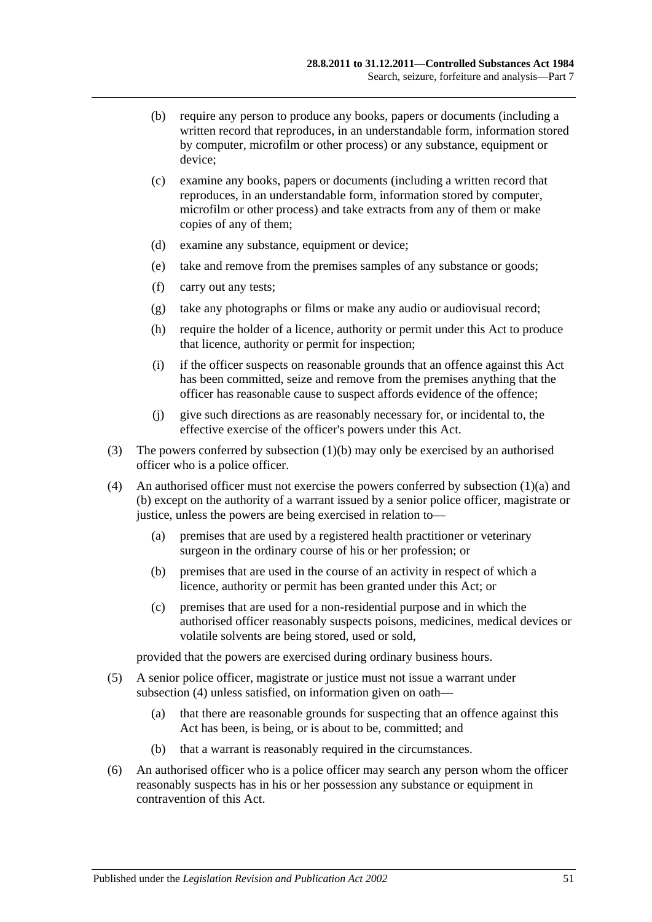- (b) require any person to produce any books, papers or documents (including a written record that reproduces, in an understandable form, information stored by computer, microfilm or other process) or any substance, equipment or device;
- (c) examine any books, papers or documents (including a written record that reproduces, in an understandable form, information stored by computer, microfilm or other process) and take extracts from any of them or make copies of any of them;
- (d) examine any substance, equipment or device;
- (e) take and remove from the premises samples of any substance or goods;
- (f) carry out any tests;
- (g) take any photographs or films or make any audio or audiovisual record;
- (h) require the holder of a licence, authority or permit under this Act to produce that licence, authority or permit for inspection;
- (i) if the officer suspects on reasonable grounds that an offence against this Act has been committed, seize and remove from the premises anything that the officer has reasonable cause to suspect affords evidence of the offence;
- (j) give such directions as are reasonably necessary for, or incidental to, the effective exercise of the officer's powers under this Act.
- (3) The powers conferred by [subsection](#page-49-3) (1)(b) may only be exercised by an authorised officer who is a police officer.
- <span id="page-50-0"></span>(4) An authorised officer must not exercise the powers conferred by [subsection](#page-49-2)  $(1)(a)$  and [\(b\)](#page-49-3) except on the authority of a warrant issued by a senior police officer, magistrate or justice, unless the powers are being exercised in relation to—
	- (a) premises that are used by a registered health practitioner or veterinary surgeon in the ordinary course of his or her profession; or
	- (b) premises that are used in the course of an activity in respect of which a licence, authority or permit has been granted under this Act; or
	- (c) premises that are used for a non-residential purpose and in which the authorised officer reasonably suspects poisons, medicines, medical devices or volatile solvents are being stored, used or sold,

provided that the powers are exercised during ordinary business hours.

- (5) A senior police officer, magistrate or justice must not issue a warrant under [subsection](#page-50-0) (4) unless satisfied, on information given on oath—
	- (a) that there are reasonable grounds for suspecting that an offence against this Act has been, is being, or is about to be, committed; and
	- (b) that a warrant is reasonably required in the circumstances.
- (6) An authorised officer who is a police officer may search any person whom the officer reasonably suspects has in his or her possession any substance or equipment in contravention of this Act.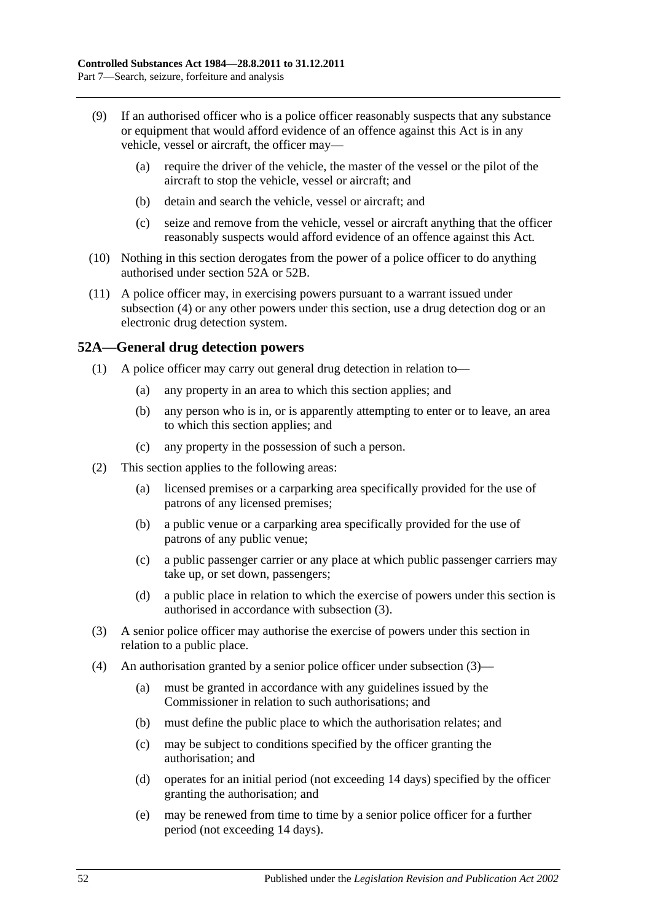- (9) If an authorised officer who is a police officer reasonably suspects that any substance or equipment that would afford evidence of an offence against this Act is in any vehicle, vessel or aircraft, the officer may—
	- (a) require the driver of the vehicle, the master of the vessel or the pilot of the aircraft to stop the vehicle, vessel or aircraft; and
	- (b) detain and search the vehicle, vessel or aircraft; and
	- (c) seize and remove from the vehicle, vessel or aircraft anything that the officer reasonably suspects would afford evidence of an offence against this Act.
- (10) Nothing in this section derogates from the power of a police officer to do anything authorised under [section](#page-51-0) 52A or [52B.](#page-52-0)
- (11) A police officer may, in exercising powers pursuant to a warrant issued under [subsection](#page-50-0) (4) or any other powers under this section, use a drug detection dog or an electronic drug detection system.

## <span id="page-51-0"></span>**52A—General drug detection powers**

- (1) A police officer may carry out general drug detection in relation to—
	- (a) any property in an area to which this section applies; and
	- (b) any person who is in, or is apparently attempting to enter or to leave, an area to which this section applies; and
	- (c) any property in the possession of such a person.
- (2) This section applies to the following areas:
	- (a) licensed premises or a carparking area specifically provided for the use of patrons of any licensed premises;
	- (b) a public venue or a carparking area specifically provided for the use of patrons of any public venue;
	- (c) a public passenger carrier or any place at which public passenger carriers may take up, or set down, passengers;
	- (d) a public place in relation to which the exercise of powers under this section is authorised in accordance with [subsection](#page-51-1) (3).
- <span id="page-51-1"></span>(3) A senior police officer may authorise the exercise of powers under this section in relation to a public place.
- (4) An authorisation granted by a senior police officer under [subsection](#page-51-1) (3)—
	- (a) must be granted in accordance with any guidelines issued by the Commissioner in relation to such authorisations; and
	- (b) must define the public place to which the authorisation relates; and
	- (c) may be subject to conditions specified by the officer granting the authorisation; and
	- (d) operates for an initial period (not exceeding 14 days) specified by the officer granting the authorisation; and
	- (e) may be renewed from time to time by a senior police officer for a further period (not exceeding 14 days).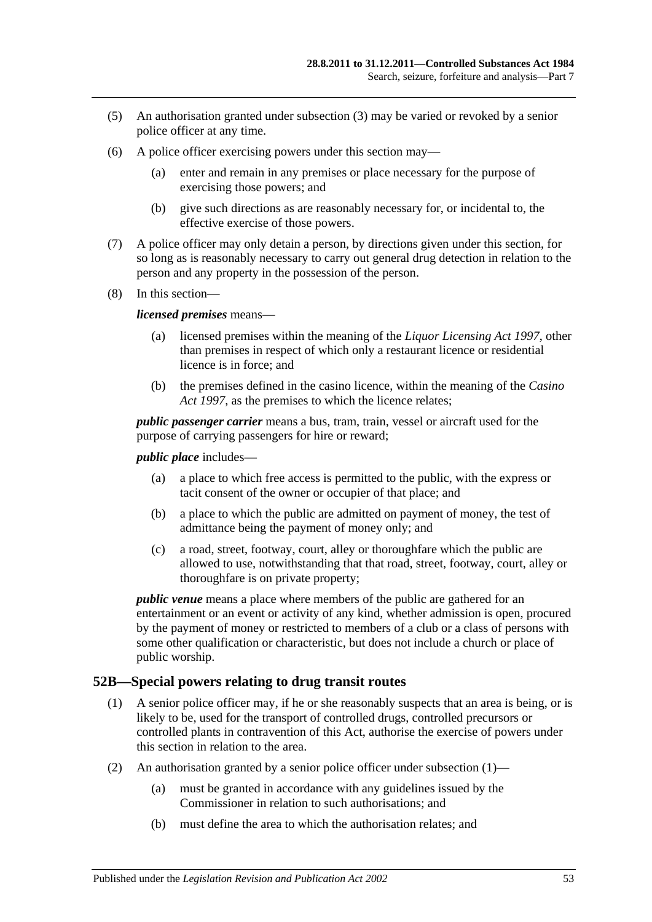- (5) An authorisation granted under [subsection](#page-51-1) (3) may be varied or revoked by a senior police officer at any time.
- (6) A police officer exercising powers under this section may—
	- (a) enter and remain in any premises or place necessary for the purpose of exercising those powers; and
	- (b) give such directions as are reasonably necessary for, or incidental to, the effective exercise of those powers.
- (7) A police officer may only detain a person, by directions given under this section, for so long as is reasonably necessary to carry out general drug detection in relation to the person and any property in the possession of the person.
- (8) In this section—

#### *licensed premises* means—

- (a) licensed premises within the meaning of the *[Liquor Licensing Act](http://www.legislation.sa.gov.au/index.aspx?action=legref&type=act&legtitle=Liquor%20Licensing%20Act%201997) 1997*, other than premises in respect of which only a restaurant licence or residential licence is in force; and
- (b) the premises defined in the casino licence, within the meaning of the *[Casino](http://www.legislation.sa.gov.au/index.aspx?action=legref&type=act&legtitle=Casino%20Act%201997)  Act [1997](http://www.legislation.sa.gov.au/index.aspx?action=legref&type=act&legtitle=Casino%20Act%201997)*, as the premises to which the licence relates;

*public passenger carrier* means a bus, tram, train, vessel or aircraft used for the purpose of carrying passengers for hire or reward;

*public place* includes—

- (a) a place to which free access is permitted to the public, with the express or tacit consent of the owner or occupier of that place; and
- (b) a place to which the public are admitted on payment of money, the test of admittance being the payment of money only; and
- (c) a road, street, footway, court, alley or thoroughfare which the public are allowed to use, notwithstanding that that road, street, footway, court, alley or thoroughfare is on private property;

*public venue* means a place where members of the public are gathered for an entertainment or an event or activity of any kind, whether admission is open, procured by the payment of money or restricted to members of a club or a class of persons with some other qualification or characteristic, but does not include a church or place of public worship.

## <span id="page-52-1"></span><span id="page-52-0"></span>**52B—Special powers relating to drug transit routes**

- (1) A senior police officer may, if he or she reasonably suspects that an area is being, or is likely to be, used for the transport of controlled drugs, controlled precursors or controlled plants in contravention of this Act, authorise the exercise of powers under this section in relation to the area.
- (2) An authorisation granted by a senior police officer under [subsection](#page-52-1)  $(1)$ 
	- (a) must be granted in accordance with any guidelines issued by the Commissioner in relation to such authorisations; and
	- (b) must define the area to which the authorisation relates; and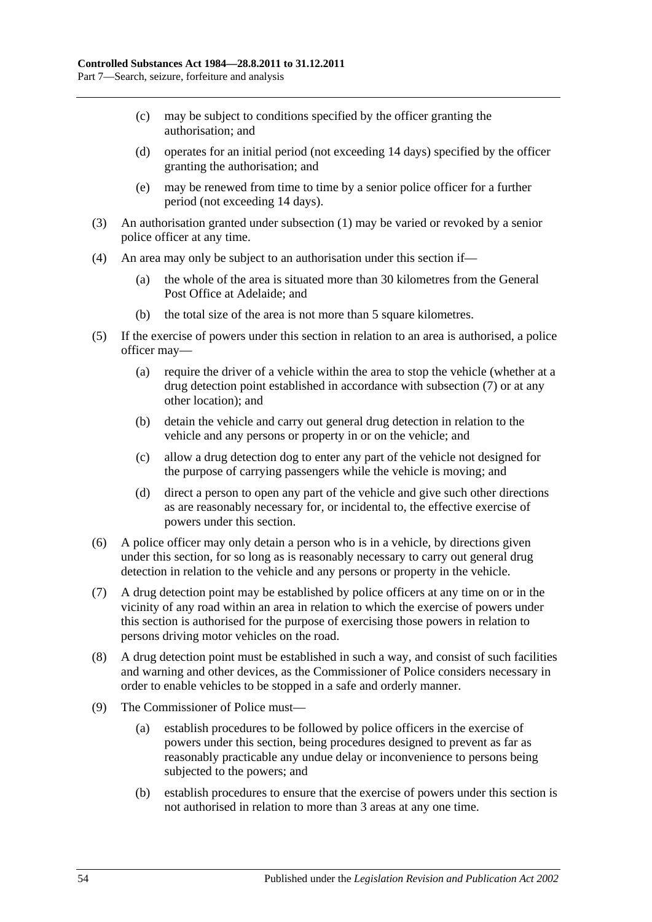- (c) may be subject to conditions specified by the officer granting the authorisation; and
- (d) operates for an initial period (not exceeding 14 days) specified by the officer granting the authorisation; and
- (e) may be renewed from time to time by a senior police officer for a further period (not exceeding 14 days).
- (3) An authorisation granted under [subsection](#page-52-1) (1) may be varied or revoked by a senior police officer at any time.
- (4) An area may only be subject to an authorisation under this section if—
	- (a) the whole of the area is situated more than 30 kilometres from the General Post Office at Adelaide; and
	- (b) the total size of the area is not more than 5 square kilometres.
- (5) If the exercise of powers under this section in relation to an area is authorised, a police officer may—
	- (a) require the driver of a vehicle within the area to stop the vehicle (whether at a drug detection point established in accordance with [subsection](#page-53-0) (7) or at any other location); and
	- (b) detain the vehicle and carry out general drug detection in relation to the vehicle and any persons or property in or on the vehicle; and
	- (c) allow a drug detection dog to enter any part of the vehicle not designed for the purpose of carrying passengers while the vehicle is moving; and
	- (d) direct a person to open any part of the vehicle and give such other directions as are reasonably necessary for, or incidental to, the effective exercise of powers under this section.
- (6) A police officer may only detain a person who is in a vehicle, by directions given under this section, for so long as is reasonably necessary to carry out general drug detection in relation to the vehicle and any persons or property in the vehicle.
- <span id="page-53-0"></span>(7) A drug detection point may be established by police officers at any time on or in the vicinity of any road within an area in relation to which the exercise of powers under this section is authorised for the purpose of exercising those powers in relation to persons driving motor vehicles on the road.
- (8) A drug detection point must be established in such a way, and consist of such facilities and warning and other devices, as the Commissioner of Police considers necessary in order to enable vehicles to be stopped in a safe and orderly manner.
- (9) The Commissioner of Police must—
	- (a) establish procedures to be followed by police officers in the exercise of powers under this section, being procedures designed to prevent as far as reasonably practicable any undue delay or inconvenience to persons being subjected to the powers; and
	- (b) establish procedures to ensure that the exercise of powers under this section is not authorised in relation to more than 3 areas at any one time.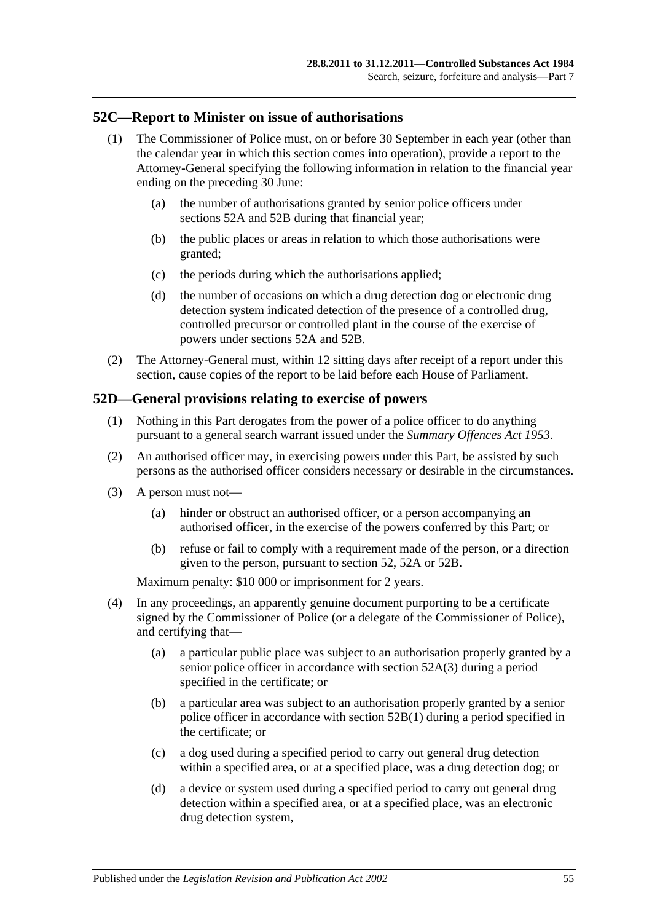#### **52C—Report to Minister on issue of authorisations**

- (1) The Commissioner of Police must, on or before 30 September in each year (other than the calendar year in which this section comes into operation), provide a report to the Attorney-General specifying the following information in relation to the financial year ending on the preceding 30 June:
	- (a) the number of authorisations granted by senior police officers under [sections](#page-51-0) 52A and [52B](#page-52-0) during that financial year;
	- (b) the public places or areas in relation to which those authorisations were granted;
	- (c) the periods during which the authorisations applied;
	- (d) the number of occasions on which a drug detection dog or electronic drug detection system indicated detection of the presence of a controlled drug, controlled precursor or controlled plant in the course of the exercise of powers under [sections](#page-51-0) 52A and [52B.](#page-52-0)
- (2) The Attorney-General must, within 12 sitting days after receipt of a report under this section, cause copies of the report to be laid before each House of Parliament.

#### **52D—General provisions relating to exercise of powers**

- (1) Nothing in this Part derogates from the power of a police officer to do anything pursuant to a general search warrant issued under the *[Summary Offences Act](http://www.legislation.sa.gov.au/index.aspx?action=legref&type=act&legtitle=Summary%20Offences%20Act%201953) 1953*.
- (2) An authorised officer may, in exercising powers under this Part, be assisted by such persons as the authorised officer considers necessary or desirable in the circumstances.
- (3) A person must not—
	- (a) hinder or obstruct an authorised officer, or a person accompanying an authorised officer, in the exercise of the powers conferred by this Part; or
	- (b) refuse or fail to comply with a requirement made of the person, or a direction given to the person, pursuant to [section](#page-49-4) 52, [52A](#page-51-0) or [52B.](#page-52-0)

Maximum penalty: \$10 000 or imprisonment for 2 years.

- (4) In any proceedings, an apparently genuine document purporting to be a certificate signed by the Commissioner of Police (or a delegate of the Commissioner of Police), and certifying that—
	- (a) a particular public place was subject to an authorisation properly granted by a senior police officer in accordance with [section](#page-51-1) 52A(3) during a period specified in the certificate; or
	- (b) a particular area was subject to an authorisation properly granted by a senior police officer in accordance with [section](#page-52-1) 52B(1) during a period specified in the certificate; or
	- (c) a dog used during a specified period to carry out general drug detection within a specified area, or at a specified place, was a drug detection dog; or
	- (d) a device or system used during a specified period to carry out general drug detection within a specified area, or at a specified place, was an electronic drug detection system,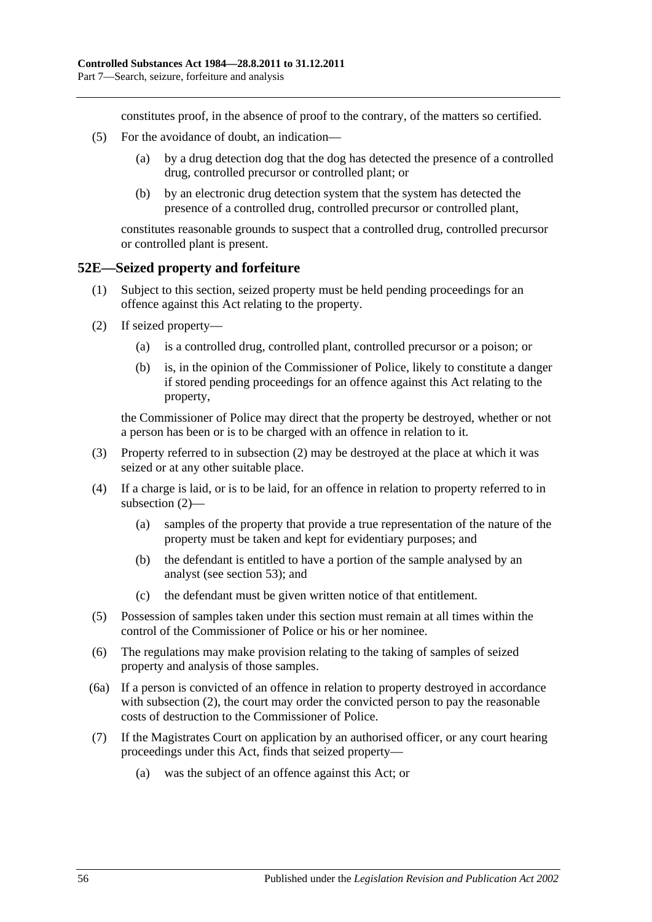constitutes proof, in the absence of proof to the contrary, of the matters so certified.

- (5) For the avoidance of doubt, an indication—
	- (a) by a drug detection dog that the dog has detected the presence of a controlled drug, controlled precursor or controlled plant; or
	- (b) by an electronic drug detection system that the system has detected the presence of a controlled drug, controlled precursor or controlled plant,

constitutes reasonable grounds to suspect that a controlled drug, controlled precursor or controlled plant is present.

#### **52E—Seized property and forfeiture**

- (1) Subject to this section, seized property must be held pending proceedings for an offence against this Act relating to the property.
- <span id="page-55-0"></span>(2) If seized property—
	- (a) is a controlled drug, controlled plant, controlled precursor or a poison; or
	- (b) is, in the opinion of the Commissioner of Police, likely to constitute a danger if stored pending proceedings for an offence against this Act relating to the property,

the Commissioner of Police may direct that the property be destroyed, whether or not a person has been or is to be charged with an offence in relation to it.

- (3) Property referred to in [subsection](#page-55-0) (2) may be destroyed at the place at which it was seized or at any other suitable place.
- (4) If a charge is laid, or is to be laid, for an offence in relation to property referred to in [subsection](#page-55-0) (2)—
	- (a) samples of the property that provide a true representation of the nature of the property must be taken and kept for evidentiary purposes; and
	- (b) the defendant is entitled to have a portion of the sample analysed by an analyst (see [section](#page-56-0) 53); and
	- (c) the defendant must be given written notice of that entitlement.
- (5) Possession of samples taken under this section must remain at all times within the control of the Commissioner of Police or his or her nominee.
- (6) The regulations may make provision relating to the taking of samples of seized property and analysis of those samples.
- (6a) If a person is convicted of an offence in relation to property destroyed in accordance with [subsection](#page-55-0) (2), the court may order the convicted person to pay the reasonable costs of destruction to the Commissioner of Police.
- <span id="page-55-1"></span>(7) If the Magistrates Court on application by an authorised officer, or any court hearing proceedings under this Act, finds that seized property—
	- (a) was the subject of an offence against this Act; or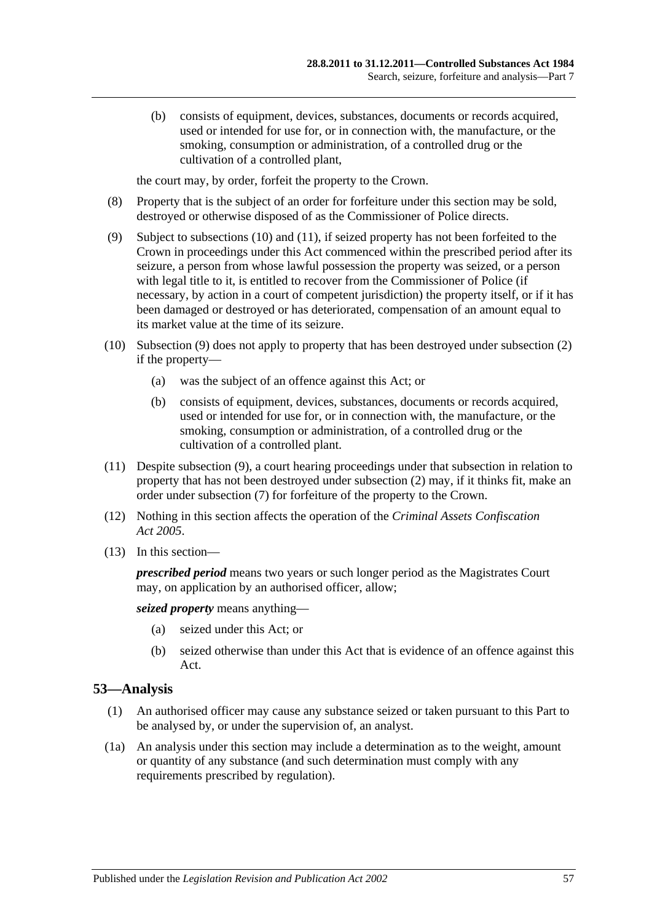(b) consists of equipment, devices, substances, documents or records acquired, used or intended for use for, or in connection with, the manufacture, or the smoking, consumption or administration, of a controlled drug or the cultivation of a controlled plant,

the court may, by order, forfeit the property to the Crown.

- (8) Property that is the subject of an order for forfeiture under this section may be sold, destroyed or otherwise disposed of as the Commissioner of Police directs.
- <span id="page-56-3"></span>(9) Subject to [subsections](#page-56-1) (10) and [\(11\),](#page-56-2) if seized property has not been forfeited to the Crown in proceedings under this Act commenced within the prescribed period after its seizure, a person from whose lawful possession the property was seized, or a person with legal title to it, is entitled to recover from the Commissioner of Police (if necessary, by action in a court of competent jurisdiction) the property itself, or if it has been damaged or destroyed or has deteriorated, compensation of an amount equal to its market value at the time of its seizure.
- <span id="page-56-1"></span>(10) [Subsection](#page-56-3) (9) does not apply to property that has been destroyed under [subsection](#page-55-0) (2) if the property—
	- (a) was the subject of an offence against this Act; or
	- (b) consists of equipment, devices, substances, documents or records acquired, used or intended for use for, or in connection with, the manufacture, or the smoking, consumption or administration, of a controlled drug or the cultivation of a controlled plant.
- <span id="page-56-2"></span>(11) Despite [subsection](#page-56-3) (9), a court hearing proceedings under that subsection in relation to property that has not been destroyed under [subsection](#page-55-0) (2) may, if it thinks fit, make an order under [subsection](#page-55-1) (7) for forfeiture of the property to the Crown.
- (12) Nothing in this section affects the operation of the *[Criminal Assets Confiscation](http://www.legislation.sa.gov.au/index.aspx?action=legref&type=act&legtitle=Criminal%20Assets%20Confiscation%20Act%202005)  Act [2005](http://www.legislation.sa.gov.au/index.aspx?action=legref&type=act&legtitle=Criminal%20Assets%20Confiscation%20Act%202005)*.
- (13) In this section—

*prescribed period* means two years or such longer period as the Magistrates Court may, on application by an authorised officer, allow;

*seized property* means anything—

- (a) seized under this Act; or
- (b) seized otherwise than under this Act that is evidence of an offence against this Act.

## <span id="page-56-0"></span>**53—Analysis**

- (1) An authorised officer may cause any substance seized or taken pursuant to this Part to be analysed by, or under the supervision of, an analyst.
- (1a) An analysis under this section may include a determination as to the weight, amount or quantity of any substance (and such determination must comply with any requirements prescribed by regulation).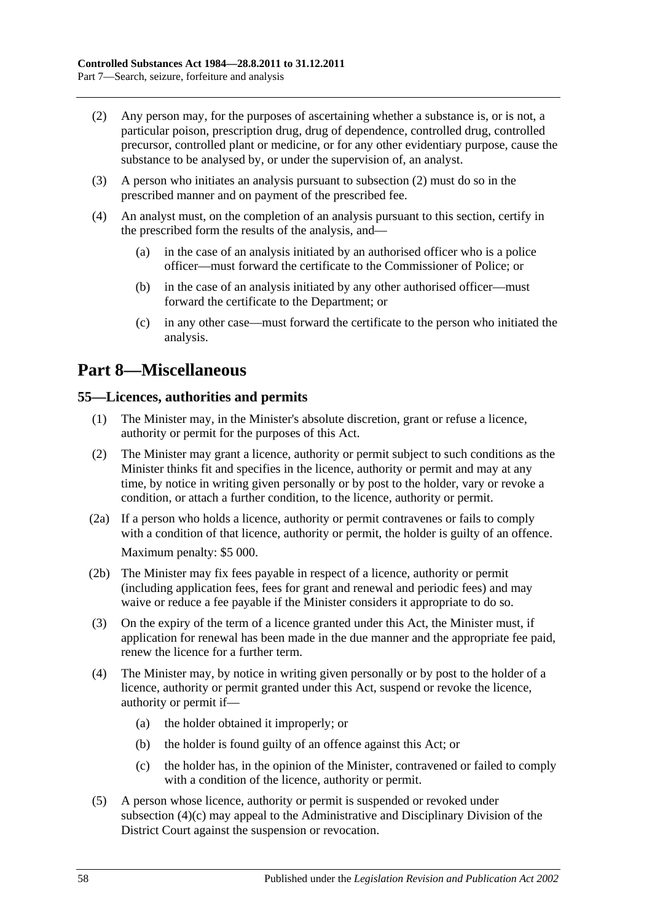- <span id="page-57-0"></span>(2) Any person may, for the purposes of ascertaining whether a substance is, or is not, a particular poison, prescription drug, drug of dependence, controlled drug, controlled precursor, controlled plant or medicine, or for any other evidentiary purpose, cause the substance to be analysed by, or under the supervision of, an analyst.
- (3) A person who initiates an analysis pursuant to [subsection](#page-57-0) (2) must do so in the prescribed manner and on payment of the prescribed fee.
- (4) An analyst must, on the completion of an analysis pursuant to this section, certify in the prescribed form the results of the analysis, and—
	- (a) in the case of an analysis initiated by an authorised officer who is a police officer—must forward the certificate to the Commissioner of Police; or
	- (b) in the case of an analysis initiated by any other authorised officer—must forward the certificate to the Department; or
	- (c) in any other case—must forward the certificate to the person who initiated the analysis.

# **Part 8—Miscellaneous**

## **55—Licences, authorities and permits**

- (1) The Minister may, in the Minister's absolute discretion, grant or refuse a licence, authority or permit for the purposes of this Act.
- (2) The Minister may grant a licence, authority or permit subject to such conditions as the Minister thinks fit and specifies in the licence, authority or permit and may at any time, by notice in writing given personally or by post to the holder, vary or revoke a condition, or attach a further condition, to the licence, authority or permit.
- (2a) If a person who holds a licence, authority or permit contravenes or fails to comply with a condition of that licence, authority or permit, the holder is guilty of an offence. Maximum penalty: \$5 000.
- (2b) The Minister may fix fees payable in respect of a licence, authority or permit (including application fees, fees for grant and renewal and periodic fees) and may waive or reduce a fee payable if the Minister considers it appropriate to do so.
- (3) On the expiry of the term of a licence granted under this Act, the Minister must, if application for renewal has been made in the due manner and the appropriate fee paid, renew the licence for a further term.
- (4) The Minister may, by notice in writing given personally or by post to the holder of a licence, authority or permit granted under this Act, suspend or revoke the licence, authority or permit if—
	- (a) the holder obtained it improperly; or
	- (b) the holder is found guilty of an offence against this Act; or
	- (c) the holder has, in the opinion of the Minister, contravened or failed to comply with a condition of the licence, authority or permit.
- <span id="page-57-1"></span>(5) A person whose licence, authority or permit is suspended or revoked under [subsection](#page-57-1) (4)(c) may appeal to the Administrative and Disciplinary Division of the District Court against the suspension or revocation.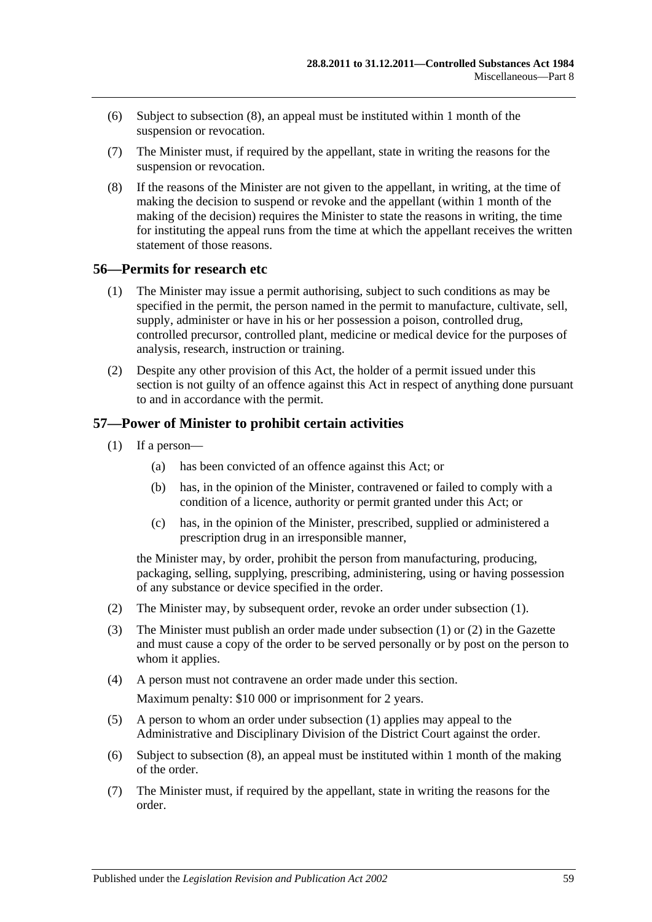- (6) Subject to [subsection](#page-58-0) (8), an appeal must be instituted within 1 month of the suspension or revocation.
- (7) The Minister must, if required by the appellant, state in writing the reasons for the suspension or revocation.
- <span id="page-58-0"></span>(8) If the reasons of the Minister are not given to the appellant, in writing, at the time of making the decision to suspend or revoke and the appellant (within 1 month of the making of the decision) requires the Minister to state the reasons in writing, the time for instituting the appeal runs from the time at which the appellant receives the written statement of those reasons.

#### **56—Permits for research etc**

- (1) The Minister may issue a permit authorising, subject to such conditions as may be specified in the permit, the person named in the permit to manufacture, cultivate, sell, supply, administer or have in his or her possession a poison, controlled drug, controlled precursor, controlled plant, medicine or medical device for the purposes of analysis, research, instruction or training.
- (2) Despite any other provision of this Act, the holder of a permit issued under this section is not guilty of an offence against this Act in respect of anything done pursuant to and in accordance with the permit.

#### <span id="page-58-1"></span>**57—Power of Minister to prohibit certain activities**

- (1) If a person—
	- (a) has been convicted of an offence against this Act; or
	- (b) has, in the opinion of the Minister, contravened or failed to comply with a condition of a licence, authority or permit granted under this Act; or
	- (c) has, in the opinion of the Minister, prescribed, supplied or administered a prescription drug in an irresponsible manner,

the Minister may, by order, prohibit the person from manufacturing, producing, packaging, selling, supplying, prescribing, administering, using or having possession of any substance or device specified in the order.

- <span id="page-58-2"></span>(2) The Minister may, by subsequent order, revoke an order under [subsection](#page-58-1) (1).
- (3) The Minister must publish an order made under [subsection](#page-58-1) (1) or [\(2\)](#page-58-2) in the Gazette and must cause a copy of the order to be served personally or by post on the person to whom it applies.
- (4) A person must not contravene an order made under this section. Maximum penalty: \$10 000 or imprisonment for 2 years.
- (5) A person to whom an order under [subsection](#page-58-1) (1) applies may appeal to the Administrative and Disciplinary Division of the District Court against the order.
- (6) Subject to [subsection](#page-59-0) (8), an appeal must be instituted within 1 month of the making of the order.
- (7) The Minister must, if required by the appellant, state in writing the reasons for the order.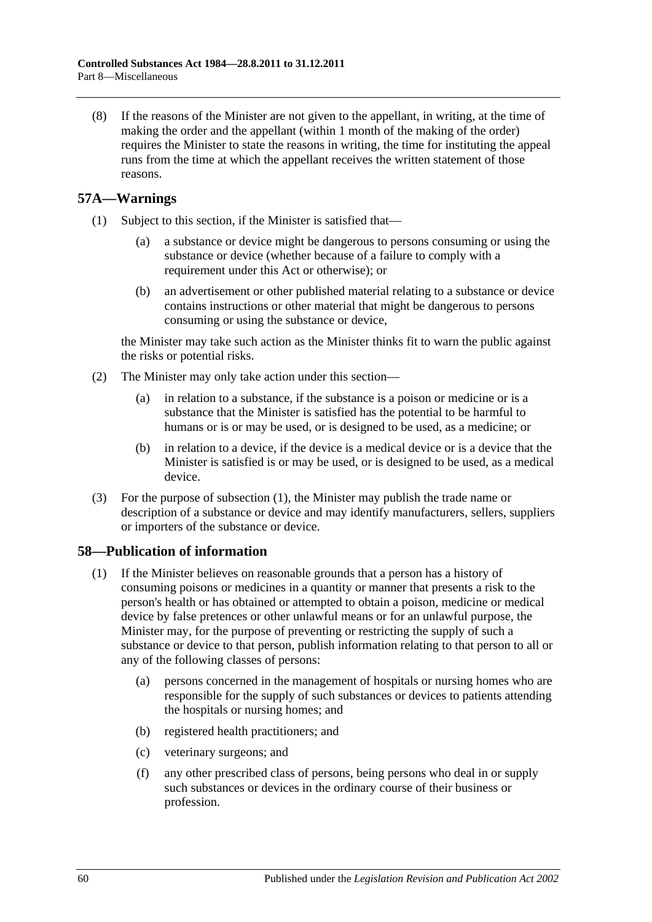<span id="page-59-0"></span>(8) If the reasons of the Minister are not given to the appellant, in writing, at the time of making the order and the appellant (within 1 month of the making of the order) requires the Minister to state the reasons in writing, the time for instituting the appeal runs from the time at which the appellant receives the written statement of those reasons.

## <span id="page-59-1"></span>**57A—Warnings**

- (1) Subject to this section, if the Minister is satisfied that—
	- (a) a substance or device might be dangerous to persons consuming or using the substance or device (whether because of a failure to comply with a requirement under this Act or otherwise); or
	- (b) an advertisement or other published material relating to a substance or device contains instructions or other material that might be dangerous to persons consuming or using the substance or device,

the Minister may take such action as the Minister thinks fit to warn the public against the risks or potential risks.

- (2) The Minister may only take action under this section—
	- (a) in relation to a substance, if the substance is a poison or medicine or is a substance that the Minister is satisfied has the potential to be harmful to humans or is or may be used, or is designed to be used, as a medicine; or
	- (b) in relation to a device, if the device is a medical device or is a device that the Minister is satisfied is or may be used, or is designed to be used, as a medical device.
- (3) For the purpose of [subsection](#page-59-1) (1), the Minister may publish the trade name or description of a substance or device and may identify manufacturers, sellers, suppliers or importers of the substance or device.

## <span id="page-59-2"></span>**58—Publication of information**

- (1) If the Minister believes on reasonable grounds that a person has a history of consuming poisons or medicines in a quantity or manner that presents a risk to the person's health or has obtained or attempted to obtain a poison, medicine or medical device by false pretences or other unlawful means or for an unlawful purpose, the Minister may, for the purpose of preventing or restricting the supply of such a substance or device to that person, publish information relating to that person to all or any of the following classes of persons:
	- (a) persons concerned in the management of hospitals or nursing homes who are responsible for the supply of such substances or devices to patients attending the hospitals or nursing homes; and
	- (b) registered health practitioners; and
	- (c) veterinary surgeons; and
	- (f) any other prescribed class of persons, being persons who deal in or supply such substances or devices in the ordinary course of their business or profession.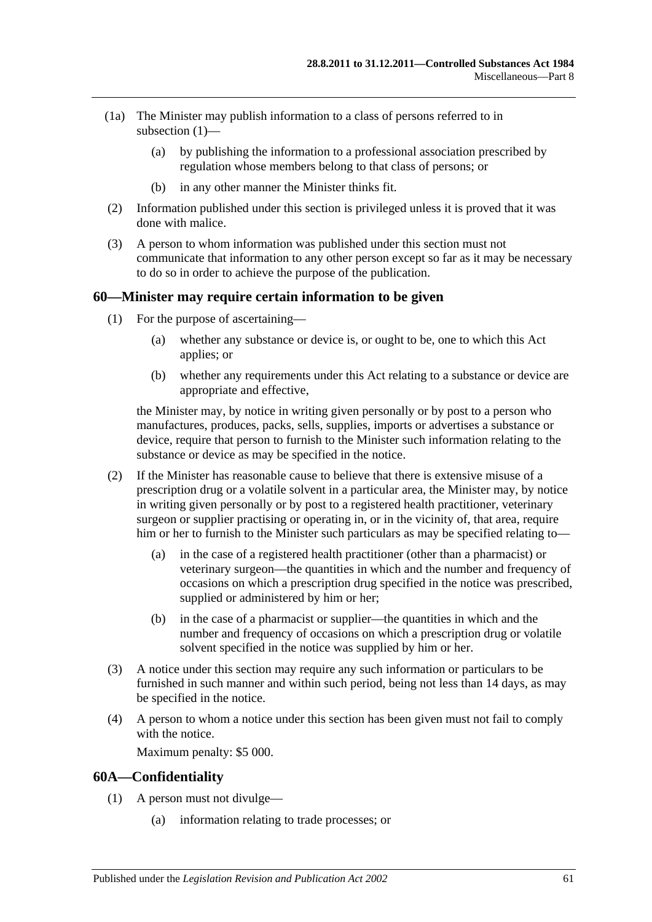- (1a) The Minister may publish information to a class of persons referred to in [subsection](#page-59-2) (1)—
	- (a) by publishing the information to a professional association prescribed by regulation whose members belong to that class of persons; or
	- (b) in any other manner the Minister thinks fit.
- (2) Information published under this section is privileged unless it is proved that it was done with malice.
- (3) A person to whom information was published under this section must not communicate that information to any other person except so far as it may be necessary to do so in order to achieve the purpose of the publication.

#### **60—Minister may require certain information to be given**

- (1) For the purpose of ascertaining—
	- (a) whether any substance or device is, or ought to be, one to which this Act applies; or
	- (b) whether any requirements under this Act relating to a substance or device are appropriate and effective,

the Minister may, by notice in writing given personally or by post to a person who manufactures, produces, packs, sells, supplies, imports or advertises a substance or device, require that person to furnish to the Minister such information relating to the substance or device as may be specified in the notice.

- (2) If the Minister has reasonable cause to believe that there is extensive misuse of a prescription drug or a volatile solvent in a particular area, the Minister may, by notice in writing given personally or by post to a registered health practitioner, veterinary surgeon or supplier practising or operating in, or in the vicinity of, that area, require him or her to furnish to the Minister such particulars as may be specified relating to—
	- (a) in the case of a registered health practitioner (other than a pharmacist) or veterinary surgeon—the quantities in which and the number and frequency of occasions on which a prescription drug specified in the notice was prescribed, supplied or administered by him or her;
	- (b) in the case of a pharmacist or supplier—the quantities in which and the number and frequency of occasions on which a prescription drug or volatile solvent specified in the notice was supplied by him or her.
- (3) A notice under this section may require any such information or particulars to be furnished in such manner and within such period, being not less than 14 days, as may be specified in the notice.
- (4) A person to whom a notice under this section has been given must not fail to comply with the notice.

Maximum penalty: \$5 000.

#### **60A—Confidentiality**

- (1) A person must not divulge—
	- (a) information relating to trade processes; or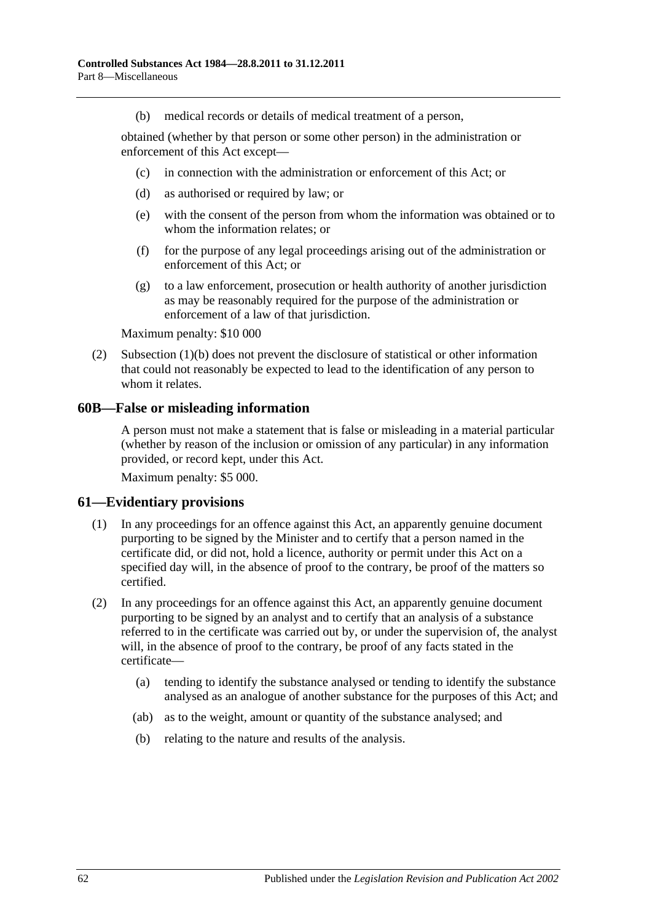(b) medical records or details of medical treatment of a person,

<span id="page-61-0"></span>obtained (whether by that person or some other person) in the administration or enforcement of this Act except—

- (c) in connection with the administration or enforcement of this Act; or
- (d) as authorised or required by law; or
- (e) with the consent of the person from whom the information was obtained or to whom the information relates; or
- (f) for the purpose of any legal proceedings arising out of the administration or enforcement of this Act; or
- (g) to a law enforcement, prosecution or health authority of another jurisdiction as may be reasonably required for the purpose of the administration or enforcement of a law of that jurisdiction.

Maximum penalty: \$10 000

(2) [Subsection](#page-61-0) (1)(b) does not prevent the disclosure of statistical or other information that could not reasonably be expected to lead to the identification of any person to whom it relates.

#### **60B—False or misleading information**

A person must not make a statement that is false or misleading in a material particular (whether by reason of the inclusion or omission of any particular) in any information provided, or record kept, under this Act.

Maximum penalty: \$5 000.

#### **61—Evidentiary provisions**

- (1) In any proceedings for an offence against this Act, an apparently genuine document purporting to be signed by the Minister and to certify that a person named in the certificate did, or did not, hold a licence, authority or permit under this Act on a specified day will, in the absence of proof to the contrary, be proof of the matters so certified.
- (2) In any proceedings for an offence against this Act, an apparently genuine document purporting to be signed by an analyst and to certify that an analysis of a substance referred to in the certificate was carried out by, or under the supervision of, the analyst will, in the absence of proof to the contrary, be proof of any facts stated in the certificate—
	- (a) tending to identify the substance analysed or tending to identify the substance analysed as an analogue of another substance for the purposes of this Act; and
	- (ab) as to the weight, amount or quantity of the substance analysed; and
	- (b) relating to the nature and results of the analysis.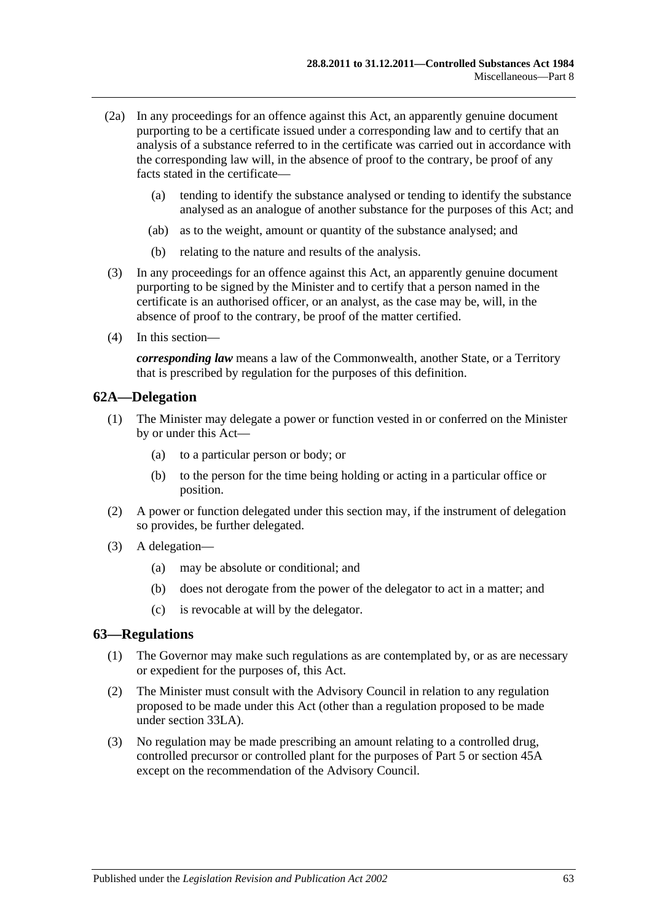- (2a) In any proceedings for an offence against this Act, an apparently genuine document purporting to be a certificate issued under a corresponding law and to certify that an analysis of a substance referred to in the certificate was carried out in accordance with the corresponding law will, in the absence of proof to the contrary, be proof of any facts stated in the certificate—
	- (a) tending to identify the substance analysed or tending to identify the substance analysed as an analogue of another substance for the purposes of this Act; and
	- (ab) as to the weight, amount or quantity of the substance analysed; and
	- (b) relating to the nature and results of the analysis.
- (3) In any proceedings for an offence against this Act, an apparently genuine document purporting to be signed by the Minister and to certify that a person named in the certificate is an authorised officer, or an analyst, as the case may be, will, in the absence of proof to the contrary, be proof of the matter certified.
- (4) In this section—

*corresponding law* means a law of the Commonwealth, another State, or a Territory that is prescribed by regulation for the purposes of this definition.

#### **62A—Delegation**

- (1) The Minister may delegate a power or function vested in or conferred on the Minister by or under this Act—
	- (a) to a particular person or body; or
	- (b) to the person for the time being holding or acting in a particular office or position.
- (2) A power or function delegated under this section may, if the instrument of delegation so provides, be further delegated.
- (3) A delegation—
	- (a) may be absolute or conditional; and
	- (b) does not derogate from the power of the delegator to act in a matter; and
	- (c) is revocable at will by the delegator.

#### <span id="page-62-0"></span>**63—Regulations**

- (1) The Governor may make such regulations as are contemplated by, or as are necessary or expedient for the purposes of, this Act.
- (2) The Minister must consult with the Advisory Council in relation to any regulation proposed to be made under this Act (other than a regulation proposed to be made under section 33LA).
- (3) No regulation may be made prescribing an amount relating to a controlled drug, controlled precursor or controlled plant for the purposes of [Part 5](#page-29-0) or [section](#page-48-0) 45A except on the recommendation of the Advisory Council.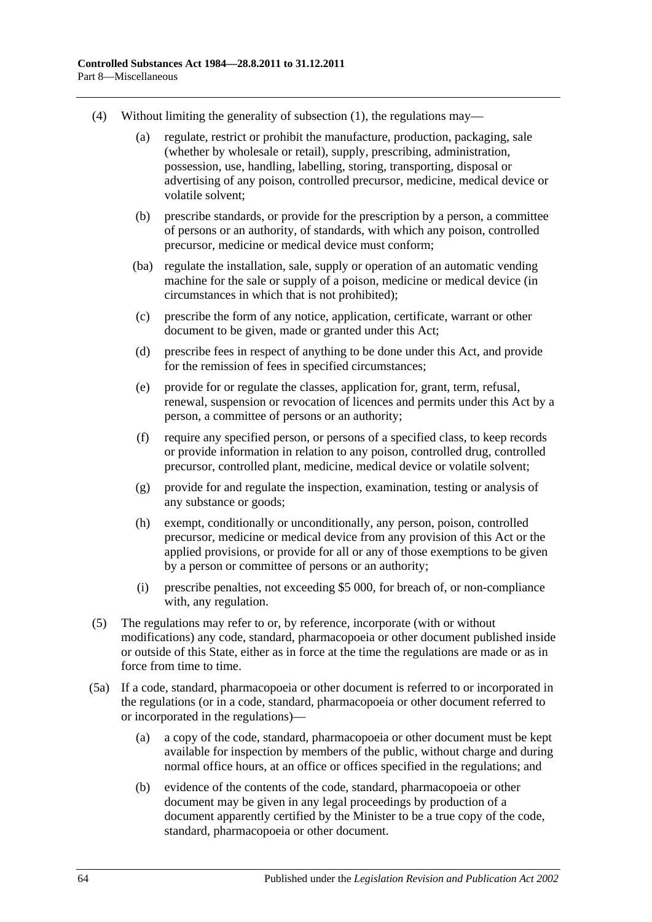- (4) Without limiting the generality of [subsection](#page-62-0) (1), the regulations may—
	- (a) regulate, restrict or prohibit the manufacture, production, packaging, sale (whether by wholesale or retail), supply, prescribing, administration, possession, use, handling, labelling, storing, transporting, disposal or advertising of any poison, controlled precursor, medicine, medical device or volatile solvent;
	- (b) prescribe standards, or provide for the prescription by a person, a committee of persons or an authority, of standards, with which any poison, controlled precursor, medicine or medical device must conform;
	- (ba) regulate the installation, sale, supply or operation of an automatic vending machine for the sale or supply of a poison, medicine or medical device (in circumstances in which that is not prohibited);
	- (c) prescribe the form of any notice, application, certificate, warrant or other document to be given, made or granted under this Act;
	- (d) prescribe fees in respect of anything to be done under this Act, and provide for the remission of fees in specified circumstances;
	- (e) provide for or regulate the classes, application for, grant, term, refusal, renewal, suspension or revocation of licences and permits under this Act by a person, a committee of persons or an authority;
	- (f) require any specified person, or persons of a specified class, to keep records or provide information in relation to any poison, controlled drug, controlled precursor, controlled plant, medicine, medical device or volatile solvent;
	- (g) provide for and regulate the inspection, examination, testing or analysis of any substance or goods;
	- (h) exempt, conditionally or unconditionally, any person, poison, controlled precursor, medicine or medical device from any provision of this Act or the applied provisions, or provide for all or any of those exemptions to be given by a person or committee of persons or an authority;
	- (i) prescribe penalties, not exceeding \$5 000, for breach of, or non-compliance with, any regulation.
- (5) The regulations may refer to or, by reference, incorporate (with or without modifications) any code, standard, pharmacopoeia or other document published inside or outside of this State, either as in force at the time the regulations are made or as in force from time to time.
- (5a) If a code, standard, pharmacopoeia or other document is referred to or incorporated in the regulations (or in a code, standard, pharmacopoeia or other document referred to or incorporated in the regulations)—
	- (a) a copy of the code, standard, pharmacopoeia or other document must be kept available for inspection by members of the public, without charge and during normal office hours, at an office or offices specified in the regulations; and
	- (b) evidence of the contents of the code, standard, pharmacopoeia or other document may be given in any legal proceedings by production of a document apparently certified by the Minister to be a true copy of the code, standard, pharmacopoeia or other document.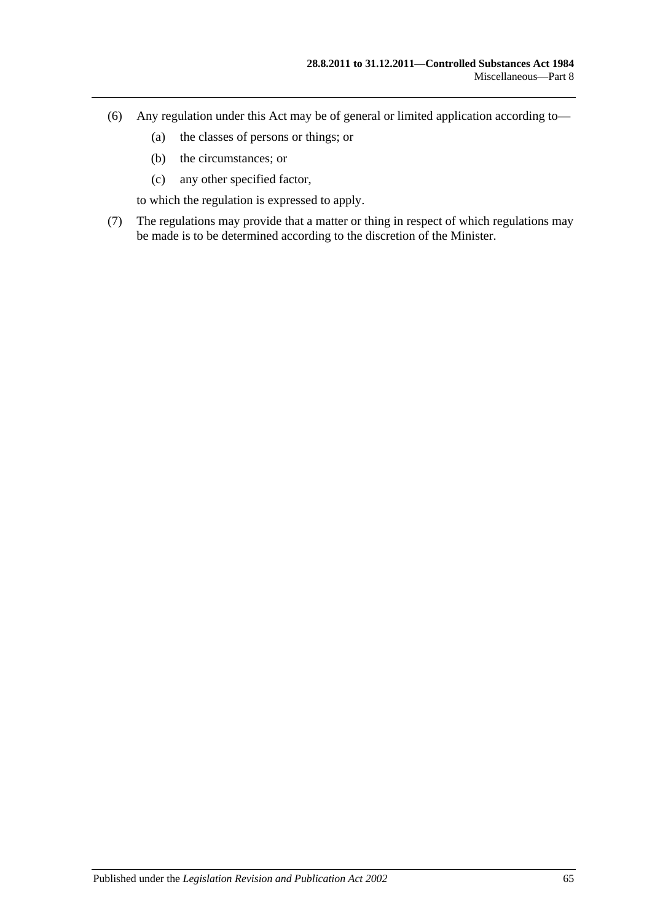- (6) Any regulation under this Act may be of general or limited application according to—
	- (a) the classes of persons or things; or
	- (b) the circumstances; or
	- (c) any other specified factor,

to which the regulation is expressed to apply.

(7) The regulations may provide that a matter or thing in respect of which regulations may be made is to be determined according to the discretion of the Minister.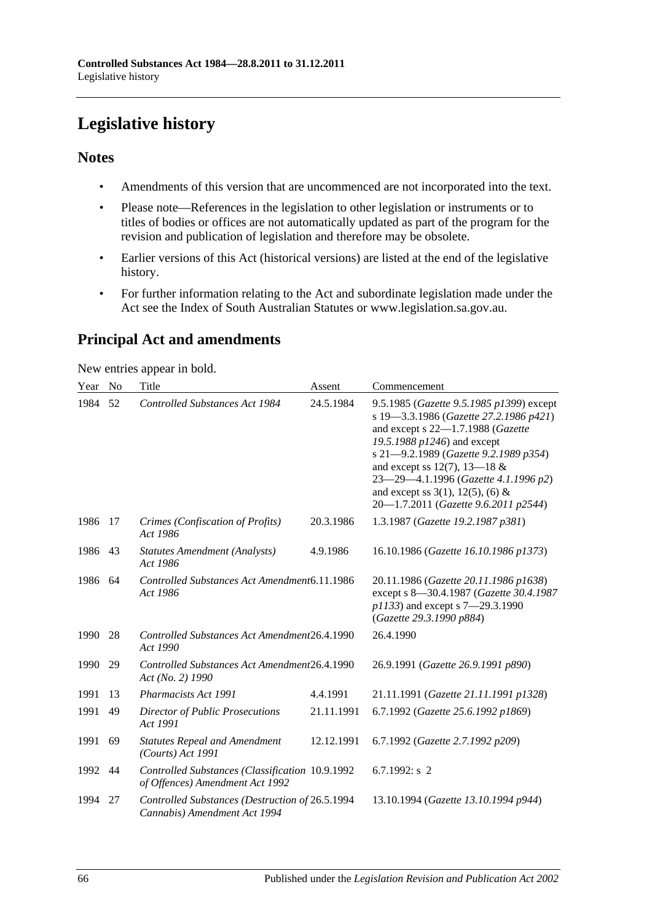# **Legislative history**

## **Notes**

- Amendments of this version that are uncommenced are not incorporated into the text.
- Please note—References in the legislation to other legislation or instruments or to titles of bodies or offices are not automatically updated as part of the program for the revision and publication of legislation and therefore may be obsolete.
- Earlier versions of this Act (historical versions) are listed at the end of the legislative history.
- For further information relating to the Act and subordinate legislation made under the Act see the Index of South Australian Statutes or www.legislation.sa.gov.au.

# **Principal Act and amendments**

New entries appear in bold.

| Year | N <sub>o</sub> | Title                                                                              | Assent     | Commencement                                                                                                                                                                                                                                                                                                                                                |
|------|----------------|------------------------------------------------------------------------------------|------------|-------------------------------------------------------------------------------------------------------------------------------------------------------------------------------------------------------------------------------------------------------------------------------------------------------------------------------------------------------------|
| 1984 | 52             | <b>Controlled Substances Act 1984</b>                                              | 24.5.1984  | 9.5.1985 (Gazette 9.5.1985 p1399) except<br>s 19-3.3.1986 (Gazette 27.2.1986 p421)<br>and except s 22-1.7.1988 (Gazette<br>19.5.1988 p1246) and except<br>s 21-9.2.1989 (Gazette 9.2.1989 p354)<br>and except ss 12(7), 13–18 $&$<br>23-29-4.1.1996 (Gazette 4.1.1996 p2)<br>and except ss $3(1)$ , $12(5)$ , (6) &<br>20-1.7.2011 (Gazette 9.6.2011 p2544) |
| 1986 | 17             | Crimes (Confiscation of Profits)<br>Act 1986                                       | 20.3.1986  | 1.3.1987 (Gazette 19.2.1987 p381)                                                                                                                                                                                                                                                                                                                           |
| 1986 | 43             | <b>Statutes Amendment (Analysts)</b><br>Act 1986                                   | 4.9.1986   | 16.10.1986 (Gazette 16.10.1986 p1373)                                                                                                                                                                                                                                                                                                                       |
| 1986 | 64             | Controlled Substances Act Amendment6.11.1986<br>Act 1986                           |            | 20.11.1986 (Gazette 20.11.1986 p1638)<br>except s 8-30.4.1987 (Gazette 30.4.1987<br>p1133) and except s 7-29.3.1990<br>(Gazette 29.3.1990 p884)                                                                                                                                                                                                             |
| 1990 | 28             | Controlled Substances Act Amendment26.4.1990<br>Act 1990                           |            | 26.4.1990                                                                                                                                                                                                                                                                                                                                                   |
| 1990 | 29             | Controlled Substances Act Amendment26.4.1990<br>Act (No. 2) 1990                   |            | 26.9.1991 (Gazette 26.9.1991 p890)                                                                                                                                                                                                                                                                                                                          |
| 1991 | 13             | Pharmacists Act 1991                                                               | 4.4.1991   | 21.11.1991 (Gazette 21.11.1991 p1328)                                                                                                                                                                                                                                                                                                                       |
| 1991 | 49             | Director of Public Prosecutions<br>Act 1991                                        | 21.11.1991 | 6.7.1992 (Gazette 25.6.1992 p1869)                                                                                                                                                                                                                                                                                                                          |
| 1991 | 69             | <b>Statutes Repeal and Amendment</b><br>$(Courts)$ Act 1991                        | 12.12.1991 | 6.7.1992 (Gazette 2.7.1992 p209)                                                                                                                                                                                                                                                                                                                            |
| 1992 | 44             | Controlled Substances (Classification 10.9.1992<br>of Offences) Amendment Act 1992 |            | 6.7.1992: $s$ 2                                                                                                                                                                                                                                                                                                                                             |
| 1994 | 27             | Controlled Substances (Destruction of 26.5.1994<br>Cannabis) Amendment Act 1994    |            | 13.10.1994 (Gazette 13.10.1994 p944)                                                                                                                                                                                                                                                                                                                        |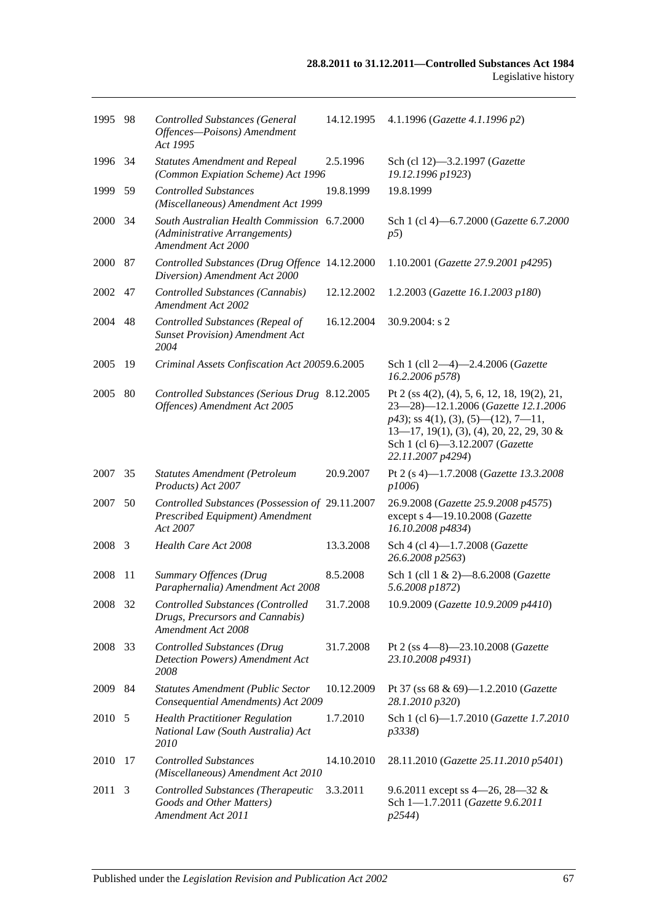| 1995 98 |     | Controlled Substances (General<br>Offences-Poisons) Amendment<br>Act 1995                          | 14.12.1995 | 4.1.1996 (Gazette 4.1.1996 p2)                                                                                                                                                                                                         |
|---------|-----|----------------------------------------------------------------------------------------------------|------------|----------------------------------------------------------------------------------------------------------------------------------------------------------------------------------------------------------------------------------------|
| 1996 34 |     | <b>Statutes Amendment and Repeal</b><br>(Common Expiation Scheme) Act 1996                         | 2.5.1996   | Sch (cl 12)-3.2.1997 (Gazette<br>19.12.1996 p1923)                                                                                                                                                                                     |
| 1999    | 59  | <b>Controlled Substances</b><br>(Miscellaneous) Amendment Act 1999                                 | 19.8.1999  | 19.8.1999                                                                                                                                                                                                                              |
| 2000    | -34 | South Australian Health Commission 6.7.2000<br>(Administrative Arrangements)<br>Amendment Act 2000 |            | Sch 1 (cl 4)-6.7.2000 (Gazette 6.7.2000<br>p5)                                                                                                                                                                                         |
| 2000 87 |     | Controlled Substances (Drug Offence 14.12.2000<br>Diversion) Amendment Act 2000                    |            | 1.10.2001 (Gazette 27.9.2001 p4295)                                                                                                                                                                                                    |
| 2002    | 47  | Controlled Substances (Cannabis)<br>Amendment Act 2002                                             | 12.12.2002 | 1.2.2003 (Gazette 16.1.2003 p180)                                                                                                                                                                                                      |
| 2004    | 48  | Controlled Substances (Repeal of<br><b>Sunset Provision</b> ) Amendment Act<br>2004                | 16.12.2004 | 30.9.2004: s 2                                                                                                                                                                                                                         |
| 2005    | 19  | Criminal Assets Confiscation Act 20059.6.2005                                                      |            | Sch 1 (cll 2-4)-2.4.2006 (Gazette<br>16.2.2006 p578)                                                                                                                                                                                   |
| 2005    | 80  | Controlled Substances (Serious Drug 8.12.2005<br>Offences) Amendment Act 2005                      |            | Pt 2 (ss $4(2)$ , (4), 5, 6, 12, 18, 19(2), 21,<br>23-28)-12.1.2006 (Gazette 12.1.2006<br>$p43$ ; ss 4(1), (3), (5)—(12), 7—11,<br>$13-17$ , 19(1), (3), (4), 20, 22, 29, 30 &<br>Sch 1 (cl 6)-3.12.2007 (Gazette<br>22.11.2007 p4294) |
| 2007    | 35  | <b>Statutes Amendment (Petroleum</b><br>Products) Act 2007                                         | 20.9.2007  | Pt 2 (s 4)-1.7.2008 (Gazette 13.3.2008<br>p1006)                                                                                                                                                                                       |
| 2007    | 50  | Controlled Substances (Possession of 29.11.2007<br>Prescribed Equipment) Amendment<br>Act 2007     |            | 26.9.2008 (Gazette 25.9.2008 p4575)<br>except s 4-19.10.2008 (Gazette<br>16.10.2008 p4834)                                                                                                                                             |
| 2008 3  |     | Health Care Act 2008                                                                               | 13.3.2008  | Sch 4 (cl 4)-1.7.2008 (Gazette<br>26.6.2008 p2563)                                                                                                                                                                                     |
| 2008    | -11 | Summary Offences (Drug<br>Paraphernalia) Amendment Act 2008                                        | 8.5.2008   | Sch 1 (cll 1 & 2)-8.6.2008 (Gazette<br>5.6.2008 p1872)                                                                                                                                                                                 |
| 2008 32 |     | Controlled Substances (Controlled<br>Drugs, Precursors and Cannabis)<br>Amendment Act 2008         | 31.7.2008  | 10.9.2009 (Gazette 10.9.2009 p4410)                                                                                                                                                                                                    |
| 2008    | 33  | <b>Controlled Substances (Drug</b><br><b>Detection Powers)</b> Amendment Act<br>2008               | 31.7.2008  | Pt 2 (ss 4-8)-23.10.2008 (Gazette<br>23.10.2008 p4931)                                                                                                                                                                                 |
| 2009 84 |     | <b>Statutes Amendment (Public Sector</b><br>Consequential Amendments) Act 2009                     | 10.12.2009 | Pt 37 (ss 68 & 69)-1.2.2010 (Gazette<br>28.1.2010 p320)                                                                                                                                                                                |
| 2010 5  |     | <b>Health Practitioner Regulation</b><br>National Law (South Australia) Act<br>2010                | 1.7.2010   | Sch 1 (cl 6)-1.7.2010 (Gazette 1.7.2010<br>p3338)                                                                                                                                                                                      |
| 2010    | -17 | <b>Controlled Substances</b><br>(Miscellaneous) Amendment Act 2010                                 | 14.10.2010 | 28.11.2010 (Gazette 25.11.2010 p5401)                                                                                                                                                                                                  |
| 2011    | 3   | Controlled Substances (Therapeutic<br>Goods and Other Matters)<br>Amendment Act 2011               | 3.3.2011   | 9.6.2011 except ss 4–26, 28–32 &<br>Sch 1-1.7.2011 (Gazette 9.6.2011<br>p2544)                                                                                                                                                         |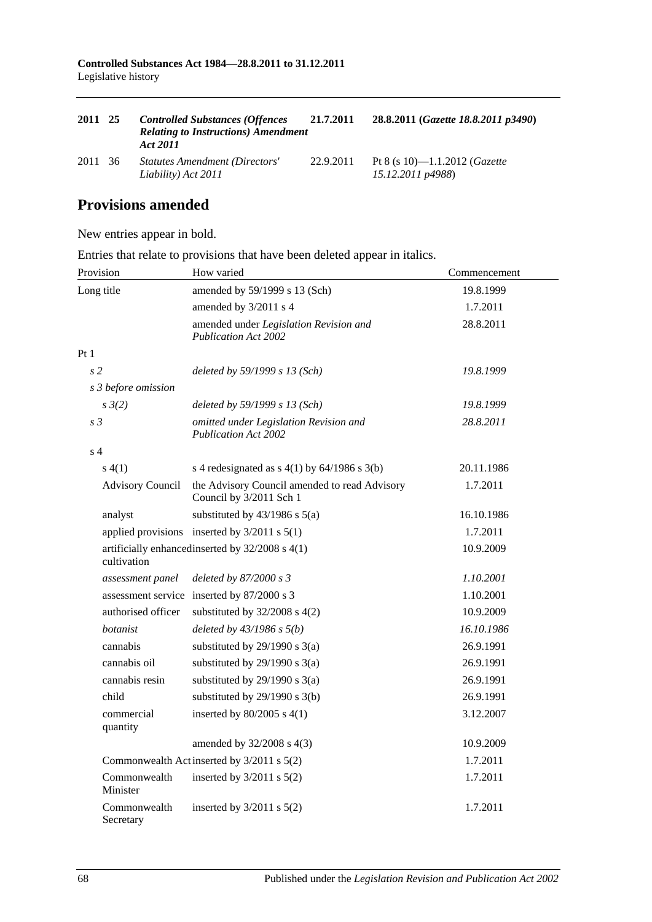| 2011 25 | <b>Controlled Substances (Offences</b><br><b>Relating to Instructions) Amendment</b><br>Act 2011 | 21.7.2011 | 28.8.2011 (Gazette 18.8.2011 p3490)                        |
|---------|--------------------------------------------------------------------------------------------------|-----------|------------------------------------------------------------|
| 2011 36 | <b>Statutes Amendment (Directors'</b><br>Liability) Act 2011                                     | 22.9.2011 | Pt 8 (s 10)—1.1.2012 ( <i>Gazette</i><br>15.12.2011 p4988) |

# **Provisions amended**

New entries appear in bold.

Entries that relate to provisions that have been deleted appear in italics.

| Provision                 | How varied                                                               | Commencement |
|---------------------------|--------------------------------------------------------------------------|--------------|
| Long title                | amended by 59/1999 s 13 (Sch)                                            | 19.8.1999    |
|                           | amended by 3/2011 s 4                                                    | 1.7.2011     |
|                           | amended under Legislation Revision and<br><b>Publication Act 2002</b>    | 28.8.2011    |
| Pt1                       |                                                                          |              |
| s <sub>2</sub>            | deleted by 59/1999 s 13 (Sch)                                            | 19.8.1999    |
| s 3 before omission       |                                                                          |              |
| $s \frac{3}{2}$           | deleted by 59/1999 s 13 (Sch)                                            | 19.8.1999    |
| s <sub>3</sub>            | omitted under Legislation Revision and<br><b>Publication Act 2002</b>    | 28.8.2011    |
| s <sub>4</sub>            |                                                                          |              |
| s(4(1))                   | s 4 redesignated as $s$ 4(1) by 64/1986 s 3(b)                           | 20.11.1986   |
| <b>Advisory Council</b>   | the Advisory Council amended to read Advisory<br>Council by 3/2011 Sch 1 | 1.7.2011     |
| analyst                   | substituted by $43/1986$ s $5(a)$                                        | 16.10.1986   |
|                           | applied provisions inserted by $3/2011$ s $5(1)$                         | 1.7.2011     |
| cultivation               | artificially enhanced inserted by 32/2008 s 4(1)                         | 10.9.2009    |
| assessment panel          | deleted by 87/2000 s 3                                                   | 1.10.2001    |
|                           | assessment service inserted by 87/2000 s 3                               | 1.10.2001    |
| authorised officer        | substituted by $32/2008$ s $4(2)$                                        | 10.9.2009    |
| botanist                  | deleted by $43/1986 s 5(b)$                                              | 16.10.1986   |
| cannabis                  | substituted by $29/1990$ s $3(a)$                                        | 26.9.1991    |
| cannabis oil              | substituted by $29/1990$ s $3(a)$                                        | 26.9.1991    |
| cannabis resin            | substituted by $29/1990$ s $3(a)$                                        | 26.9.1991    |
| child                     | substituted by $29/1990$ s $3(b)$                                        | 26.9.1991    |
| commercial<br>quantity    | inserted by $80/2005$ s $4(1)$                                           | 3.12.2007    |
|                           | amended by 32/2008 s 4(3)                                                | 10.9.2009    |
|                           | Commonwealth Act inserted by 3/2011 s 5(2)                               | 1.7.2011     |
| Commonwealth<br>Minister  | inserted by $3/2011$ s $5(2)$                                            | 1.7.2011     |
| Commonwealth<br>Secretary | inserted by $3/2011$ s $5(2)$                                            | 1.7.2011     |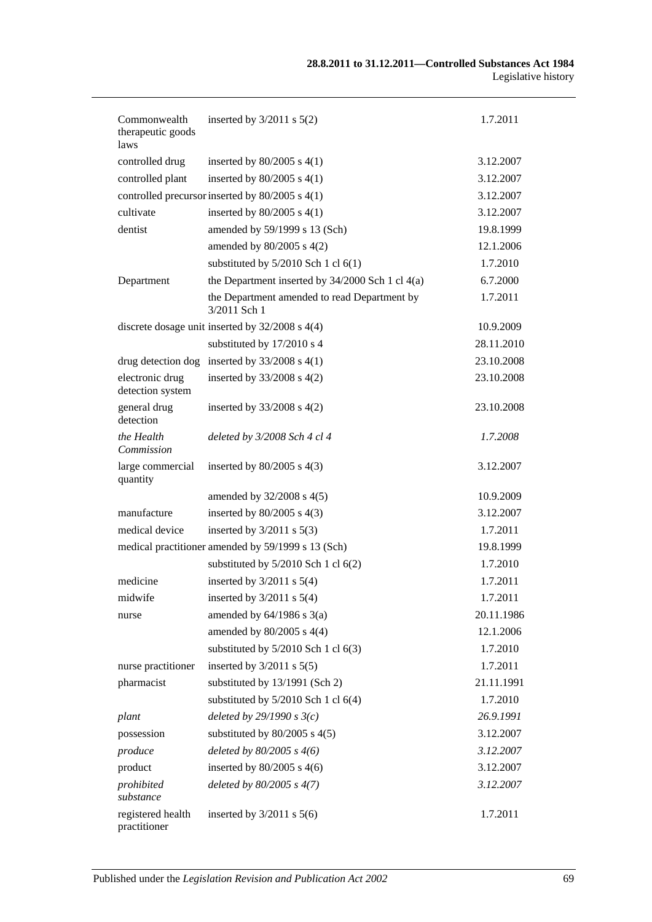| Commonwealth<br>therapeutic goods<br>laws | inserted by $3/2011$ s $5(2)$                                | 1.7.2011   |
|-------------------------------------------|--------------------------------------------------------------|------------|
| controlled drug                           | inserted by $80/2005$ s $4(1)$                               | 3.12.2007  |
| controlled plant                          | inserted by $80/2005$ s $4(1)$                               | 3.12.2007  |
|                                           | controlled precursor inserted by 80/2005 s 4(1)              | 3.12.2007  |
| cultivate                                 | inserted by $80/2005$ s $4(1)$                               | 3.12.2007  |
| dentist                                   | amended by 59/1999 s 13 (Sch)                                | 19.8.1999  |
|                                           | amended by $80/2005$ s $4(2)$                                | 12.1.2006  |
|                                           | substituted by $5/2010$ Sch 1 cl $6(1)$                      | 1.7.2010   |
| Department                                | the Department inserted by $34/2000$ Sch 1 cl $4(a)$         | 6.7.2000   |
|                                           | the Department amended to read Department by<br>3/2011 Sch 1 | 1.7.2011   |
|                                           | discrete dosage unit inserted by 32/2008 s 4(4)              | 10.9.2009  |
|                                           | substituted by 17/2010 s 4                                   | 28.11.2010 |
|                                           | drug detection dog inserted by $33/2008$ s 4(1)              | 23.10.2008 |
| electronic drug<br>detection system       | inserted by $33/2008$ s $4(2)$                               | 23.10.2008 |
| general drug<br>detection                 | inserted by $33/2008$ s $4(2)$                               | 23.10.2008 |
| the Health<br>Commission                  | deleted by 3/2008 Sch 4 cl 4                                 | 1.7.2008   |
| large commercial<br>quantity              | inserted by $80/2005$ s $4(3)$                               | 3.12.2007  |
|                                           | amended by 32/2008 s 4(5)                                    | 10.9.2009  |
| manufacture                               | inserted by $80/2005$ s $4(3)$                               | 3.12.2007  |
| medical device                            | inserted by $3/2011$ s $5(3)$                                | 1.7.2011   |
|                                           | medical practitioner amended by 59/1999 s 13 (Sch)           | 19.8.1999  |
|                                           | substituted by $5/2010$ Sch 1 cl $6(2)$                      | 1.7.2010   |
| medicine                                  | inserted by $3/2011$ s $5(4)$                                | 1.7.2011   |
| midwife                                   | inserted by $3/2011$ s $5(4)$                                | 1.7.2011   |
| nurse                                     | amended by $64/1986$ s $3(a)$                                | 20.11.1986 |
|                                           | amended by $80/2005$ s $4(4)$                                | 12.1.2006  |
|                                           | substituted by $5/2010$ Sch 1 cl $6(3)$                      | 1.7.2010   |
| nurse practitioner                        | inserted by $3/2011$ s $5(5)$                                | 1.7.2011   |
| pharmacist                                | substituted by 13/1991 (Sch 2)                               | 21.11.1991 |
|                                           | substituted by $5/2010$ Sch 1 cl $6(4)$                      | 1.7.2010   |
| plant                                     | deleted by $29/1990 s3(c)$                                   | 26.9.1991  |
| possession                                | substituted by $80/2005$ s $4(5)$                            | 3.12.2007  |
| produce                                   | deleted by $80/2005$ s $4(6)$                                | 3.12.2007  |
| product                                   | inserted by $80/2005$ s $4(6)$                               | 3.12.2007  |
| prohibited<br>substance                   | deleted by $80/2005$ s $4(7)$                                | 3.12.2007  |
| registered health<br>practitioner         | inserted by $3/2011$ s $5(6)$                                | 1.7.2011   |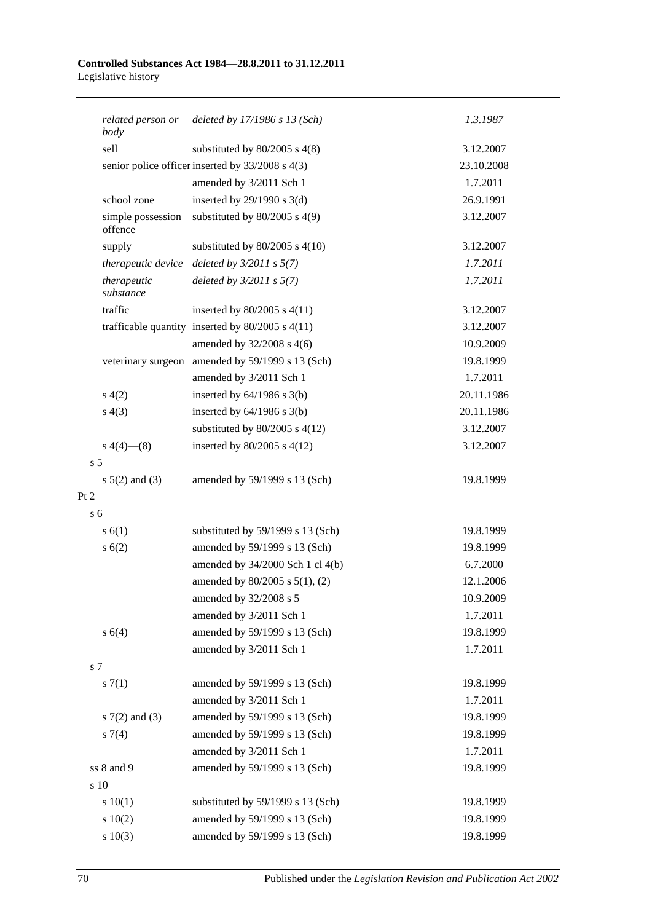#### **Controlled Substances Act 1984—28.8.2011 to 31.12.2011** Legislative history

|                | related person or<br>body    | deleted by $17/1986$ s $13$ (Sch)                    | 1.3.1987   |  |
|----------------|------------------------------|------------------------------------------------------|------------|--|
|                | sell                         | substituted by $80/2005$ s $4(8)$                    | 3.12.2007  |  |
|                |                              | senior police officer inserted by 33/2008 s 4(3)     | 23.10.2008 |  |
|                |                              | amended by 3/2011 Sch 1                              | 1.7.2011   |  |
|                | school zone                  | inserted by $29/1990$ s 3(d)                         | 26.9.1991  |  |
|                | simple possession<br>offence | substituted by $80/2005$ s $4(9)$                    | 3.12.2007  |  |
|                | supply                       | substituted by $80/2005$ s $4(10)$                   | 3.12.2007  |  |
|                | therapeutic device           | deleted by $3/2011 s 5(7)$                           | 1.7.2011   |  |
|                | therapeutic<br>substance     | deleted by $3/2011 s 5(7)$                           | 1.7.2011   |  |
|                | traffic                      | inserted by $80/2005$ s $4(11)$                      | 3.12.2007  |  |
|                |                              | trafficable quantity inserted by $80/2005$ s $4(11)$ | 3.12.2007  |  |
|                |                              | amended by 32/2008 s 4(6)                            | 10.9.2009  |  |
|                |                              | veterinary surgeon amended by 59/1999 s 13 (Sch)     | 19.8.1999  |  |
|                |                              | amended by 3/2011 Sch 1                              | 1.7.2011   |  |
|                | s(4(2)                       | inserted by $64/1986$ s $3(b)$                       | 20.11.1986 |  |
|                | s(4(3))                      | inserted by $64/1986$ s $3(b)$                       | 20.11.1986 |  |
|                |                              | substituted by $80/2005$ s $4(12)$                   | 3.12.2007  |  |
|                | s $4(4)$ — $(8)$             | inserted by $80/2005$ s $4(12)$                      | 3.12.2007  |  |
| s <sub>5</sub> |                              |                                                      |            |  |
|                | $s \ 5(2)$ and (3)           | amended by 59/1999 s 13 (Sch)                        | 19.8.1999  |  |
| Pt 2           |                              |                                                      |            |  |
| s <sub>6</sub> |                              |                                                      |            |  |
|                | s(6(1))                      | substituted by 59/1999 s 13 (Sch)                    | 19.8.1999  |  |
|                | s(6(2))                      | amended by 59/1999 s 13 (Sch)                        | 19.8.1999  |  |
|                |                              | amended by 34/2000 Sch 1 cl 4(b)                     | 6.7.2000   |  |
|                |                              | amended by $80/2005$ s $5(1)$ , (2)                  | 12.1.2006  |  |
|                |                              | amended by 32/2008 s 5                               | 10.9.2009  |  |
|                |                              | amended by 3/2011 Sch 1                              | 1.7.2011   |  |
|                | s(4)                         | amended by 59/1999 s 13 (Sch)                        | 19.8.1999  |  |
|                |                              | amended by 3/2011 Sch 1                              | 1.7.2011   |  |
| s <sub>7</sub> |                              |                                                      |            |  |
|                | s(7(1)                       | amended by 59/1999 s 13 (Sch)                        | 19.8.1999  |  |
|                |                              | amended by 3/2011 Sch 1                              | 1.7.2011   |  |
|                | $s \, 7(2)$ and (3)          | amended by 59/1999 s 13 (Sch)                        | 19.8.1999  |  |
|                | $s \, 7(4)$                  | amended by 59/1999 s 13 (Sch)                        | 19.8.1999  |  |
|                |                              | amended by 3/2011 Sch 1                              | 1.7.2011   |  |
|                | ss 8 and 9                   | amended by 59/1999 s 13 (Sch)                        | 19.8.1999  |  |
|                | s 10                         |                                                      |            |  |
|                | 10(1)                        | substituted by 59/1999 s 13 (Sch)                    | 19.8.1999  |  |
|                | 10(2)                        | amended by 59/1999 s 13 (Sch)                        | 19.8.1999  |  |
|                | 10(3)                        | amended by 59/1999 s 13 (Sch)                        | 19.8.1999  |  |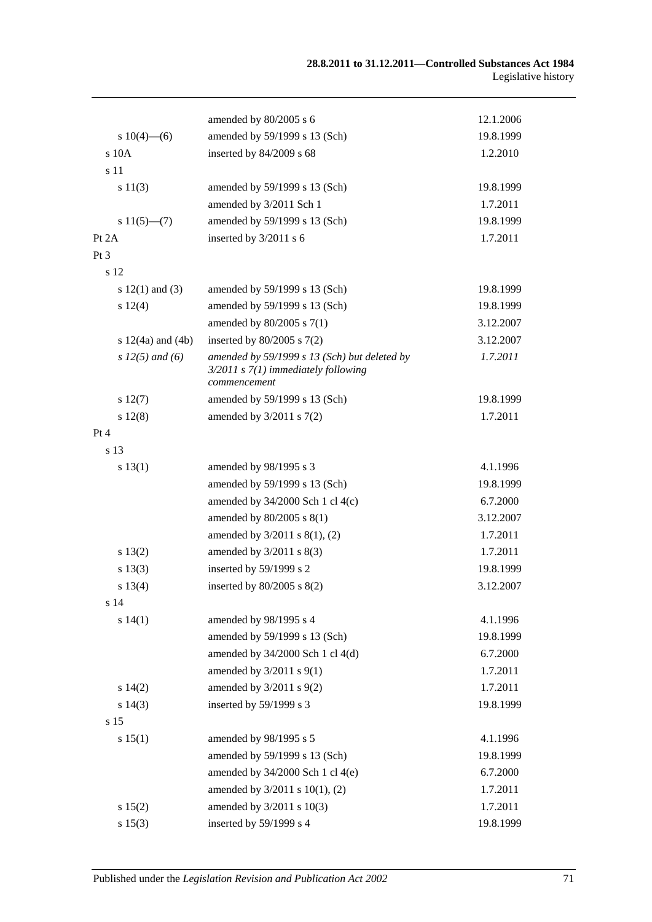|                       |                                                                                                         | 12.1.2006 |
|-----------------------|---------------------------------------------------------------------------------------------------------|-----------|
|                       | amended by 80/2005 s 6                                                                                  |           |
| s $10(4)$ —(6)        | amended by 59/1999 s 13 (Sch)                                                                           | 19.8.1999 |
| s 10A                 | inserted by 84/2009 s 68                                                                                | 1.2.2010  |
| s 11                  |                                                                                                         |           |
| s 11(3)               | amended by 59/1999 s 13 (Sch)                                                                           | 19.8.1999 |
|                       | amended by 3/2011 Sch 1                                                                                 | 1.7.2011  |
| $s 11(5)$ —(7)        | amended by 59/1999 s 13 (Sch)                                                                           | 19.8.1999 |
| Pt $2A$               | inserted by 3/2011 s 6                                                                                  | 1.7.2011  |
| $Pt\,3$               |                                                                                                         |           |
| s 12                  |                                                                                                         |           |
| s $12(1)$ and $(3)$   | amended by 59/1999 s 13 (Sch)                                                                           | 19.8.1999 |
| $s\ 12(4)$            | amended by 59/1999 s 13 (Sch)                                                                           | 19.8.1999 |
|                       | amended by 80/2005 s 7(1)                                                                               | 3.12.2007 |
| s $12(4a)$ and $(4b)$ | inserted by $80/2005$ s $7(2)$                                                                          | 3.12.2007 |
| s $12(5)$ and (6)     | amended by 59/1999 s 13 (Sch) but deleted by<br>$3/2011$ s $7(1)$ immediately following<br>commencement | 1.7.2011  |
| s 12(7)               | amended by 59/1999 s 13 (Sch)                                                                           | 19.8.1999 |
| s 12(8)               | amended by $3/2011$ s $7(2)$                                                                            | 1.7.2011  |
| Pt 4                  |                                                                                                         |           |
| s 13                  |                                                                                                         |           |
| s 13(1)               | amended by 98/1995 s 3                                                                                  | 4.1.1996  |
|                       | amended by 59/1999 s 13 (Sch)                                                                           | 19.8.1999 |
|                       | amended by $34/2000$ Sch 1 cl $4(c)$                                                                    | 6.7.2000  |
|                       | amended by 80/2005 s 8(1)                                                                               | 3.12.2007 |
|                       | amended by $3/2011$ s $8(1)$ , (2)                                                                      | 1.7.2011  |
| s 13(2)               | amended by $3/2011$ s $8(3)$                                                                            | 1.7.2011  |
| s 13(3)               | inserted by 59/1999 s 2                                                                                 | 19.8.1999 |
| s 13(4)               | inserted by $80/2005$ s $8(2)$                                                                          | 3.12.2007 |
| s 14                  |                                                                                                         |           |
| s 14(1)               | amended by 98/1995 s 4                                                                                  | 4.1.1996  |
|                       | amended by 59/1999 s 13 (Sch)                                                                           | 19.8.1999 |
|                       | amended by 34/2000 Sch 1 cl 4(d)                                                                        | 6.7.2000  |
|                       | amended by $3/2011$ s $9(1)$                                                                            | 1.7.2011  |
| s 14(2)               | amended by 3/2011 s 9(2)                                                                                | 1.7.2011  |
| s 14(3)               | inserted by 59/1999 s 3                                                                                 | 19.8.1999 |
| s 15                  |                                                                                                         |           |
| s 15(1)               | amended by 98/1995 s 5                                                                                  | 4.1.1996  |
|                       | amended by 59/1999 s 13 (Sch)                                                                           | 19.8.1999 |
|                       | amended by 34/2000 Sch 1 cl 4(e)                                                                        | 6.7.2000  |
|                       | amended by 3/2011 s 10(1), (2)                                                                          | 1.7.2011  |
| s 15(2)               | amended by 3/2011 s 10(3)                                                                               | 1.7.2011  |
| s 15(3)               | inserted by 59/1999 s 4                                                                                 | 19.8.1999 |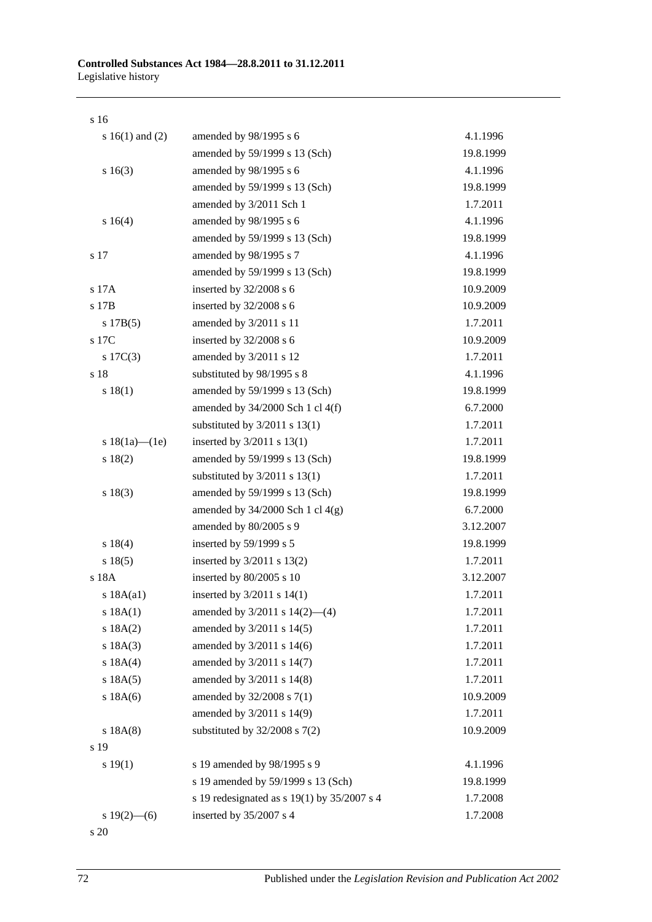#### s 16

| s $16(1)$ and $(2)$ | amended by 98/1995 s 6                      | 4.1.1996  |
|---------------------|---------------------------------------------|-----------|
|                     | amended by 59/1999 s 13 (Sch)               | 19.8.1999 |
| s 16(3)             | amended by 98/1995 s 6                      | 4.1.1996  |
|                     | amended by 59/1999 s 13 (Sch)               | 19.8.1999 |
|                     | amended by 3/2011 Sch 1                     | 1.7.2011  |
| s 16(4)             | amended by 98/1995 s 6                      | 4.1.1996  |
|                     | amended by 59/1999 s 13 (Sch)               | 19.8.1999 |
| s 17                | amended by 98/1995 s 7                      | 4.1.1996  |
|                     | amended by 59/1999 s 13 (Sch)               | 19.8.1999 |
| s 17A               | inserted by 32/2008 s 6                     | 10.9.2009 |
| s 17B               | inserted by 32/2008 s 6                     | 10.9.2009 |
| s 17B(5)            | amended by 3/2011 s 11                      | 1.7.2011  |
| s 17C               | inserted by 32/2008 s 6                     | 10.9.2009 |
| $s \ 17C(3)$        | amended by 3/2011 s 12                      | 1.7.2011  |
| s 18                | substituted by 98/1995 s 8                  | 4.1.1996  |
| s 18(1)             | amended by 59/1999 s 13 (Sch)               | 19.8.1999 |
|                     | amended by 34/2000 Sch 1 cl 4(f)            | 6.7.2000  |
|                     | substituted by $3/2011$ s $13(1)$           | 1.7.2011  |
| s $18(1a)$ — $(1e)$ | inserted by $3/2011$ s $13(1)$              | 1.7.2011  |
| s 18(2)             | amended by 59/1999 s 13 (Sch)               | 19.8.1999 |
|                     | substituted by $3/2011$ s $13(1)$           | 1.7.2011  |
| s 18(3)             | amended by 59/1999 s 13 (Sch)               | 19.8.1999 |
|                     | amended by $34/2000$ Sch 1 cl $4(g)$        | 6.7.2000  |
|                     | amended by 80/2005 s 9                      | 3.12.2007 |
| s 18(4)             | inserted by 59/1999 s 5                     | 19.8.1999 |
| s 18(5)             | inserted by $3/2011$ s $13(2)$              | 1.7.2011  |
| s 18A               | inserted by 80/2005 s 10                    | 3.12.2007 |
| s 18A(a1)           | inserted by $3/2011$ s $14(1)$              | 1.7.2011  |
| s 18A(1)            | amended by $3/2011$ s $14(2)$ —(4)          | 1.7.2011  |
| s 18A(2)            | amended by 3/2011 s 14(5)                   | 1.7.2011  |
| s 18A(3)            | amended by 3/2011 s 14(6)                   | 1.7.2011  |
| s 18A(4)            | amended by 3/2011 s 14(7)                   | 1.7.2011  |
| s 18A(5)            | amended by 3/2011 s 14(8)                   | 1.7.2011  |
| $s$ 18A $(6)$       | amended by 32/2008 s 7(1)                   | 10.9.2009 |
|                     | amended by 3/2011 s 14(9)                   | 1.7.2011  |
| s 18A(8)            | substituted by $32/2008$ s $7(2)$           | 10.9.2009 |
| s 19                |                                             |           |
| s 19(1)             | s 19 amended by 98/1995 s 9                 | 4.1.1996  |
|                     | s 19 amended by 59/1999 s 13 (Sch)          | 19.8.1999 |
|                     | s 19 redesignated as s 19(1) by 35/2007 s 4 | 1.7.2008  |
| s $19(2)$ - (6)     | inserted by 35/2007 s 4                     | 1.7.2008  |

s 20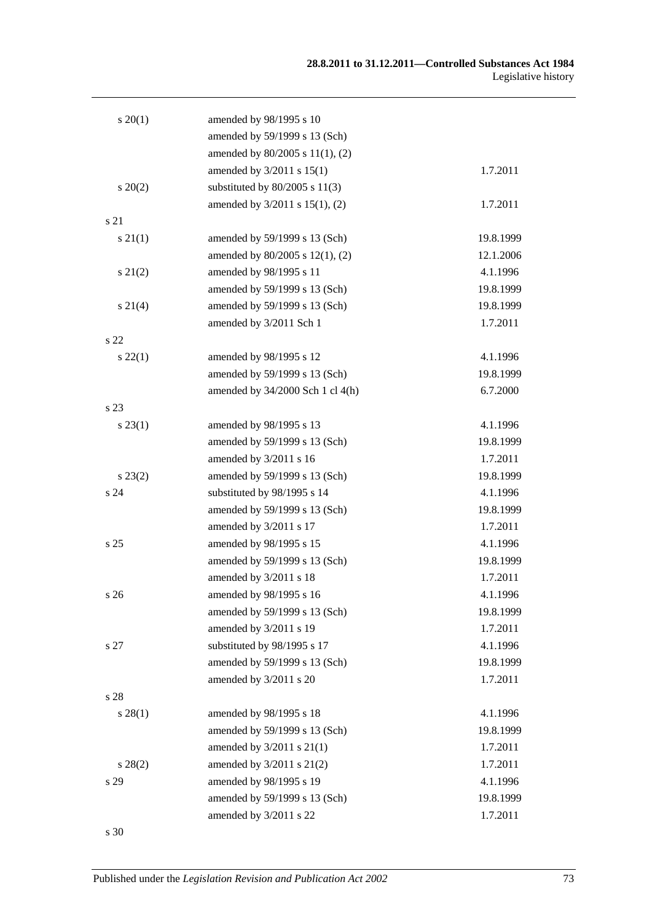| $s \ 20(1)$     | amended by 98/1995 s 10          |           |
|-----------------|----------------------------------|-----------|
|                 | amended by 59/1999 s 13 (Sch)    |           |
|                 | amended by 80/2005 s 11(1), (2)  |           |
|                 | amended by 3/2011 s 15(1)        | 1.7.2011  |
| $s \ 20(2)$     | substituted by $80/2005$ s 11(3) |           |
|                 | amended by 3/2011 s 15(1), (2)   | 1.7.2011  |
| s 21            |                                  |           |
| $s \, 21(1)$    | amended by 59/1999 s 13 (Sch)    | 19.8.1999 |
|                 | amended by 80/2005 s 12(1), (2)  | 12.1.2006 |
| $s\,21(2)$      | amended by 98/1995 s 11          | 4.1.1996  |
|                 | amended by 59/1999 s 13 (Sch)    | 19.8.1999 |
| $s \, 21(4)$    | amended by 59/1999 s 13 (Sch)    | 19.8.1999 |
|                 | amended by 3/2011 Sch 1          | 1.7.2011  |
| s 22            |                                  |           |
| $s\,22(1)$      | amended by 98/1995 s 12          | 4.1.1996  |
|                 | amended by 59/1999 s 13 (Sch)    | 19.8.1999 |
|                 | amended by 34/2000 Sch 1 cl 4(h) | 6.7.2000  |
| s 23            |                                  |           |
| $s\,23(1)$      | amended by 98/1995 s 13          | 4.1.1996  |
|                 | amended by 59/1999 s 13 (Sch)    | 19.8.1999 |
|                 | amended by 3/2011 s 16           | 1.7.2011  |
| $s\,23(2)$      | amended by 59/1999 s 13 (Sch)    | 19.8.1999 |
| s 24            | substituted by 98/1995 s 14      | 4.1.1996  |
|                 | amended by 59/1999 s 13 (Sch)    | 19.8.1999 |
|                 | amended by 3/2011 s 17           | 1.7.2011  |
| s <sub>25</sub> | amended by 98/1995 s 15          | 4.1.1996  |
|                 | amended by 59/1999 s 13 (Sch)    | 19.8.1999 |
|                 | amended by 3/2011 s 18           | 1.7.2011  |
| s <sub>26</sub> | amended by 98/1995 s 16          | 4.1.1996  |
|                 | amended by 59/1999 s 13 (Sch)    | 19.8.1999 |
|                 | amended by 3/2011 s 19           | 1.7.2011  |
| s 27            | substituted by 98/1995 s 17      | 4.1.1996  |
|                 | amended by 59/1999 s 13 (Sch)    | 19.8.1999 |
|                 | amended by 3/2011 s 20           | 1.7.2011  |
| s 28            |                                  |           |
| $s\,28(1)$      | amended by 98/1995 s 18          | 4.1.1996  |
|                 | amended by 59/1999 s 13 (Sch)    | 19.8.1999 |
|                 | amended by 3/2011 s 21(1)        | 1.7.2011  |
| $s\,28(2)$      | amended by $3/2011$ s $21(2)$    | 1.7.2011  |
| s 29            | amended by 98/1995 s 19          | 4.1.1996  |
|                 | amended by 59/1999 s 13 (Sch)    | 19.8.1999 |
|                 | amended by 3/2011 s 22           | 1.7.2011  |

s 30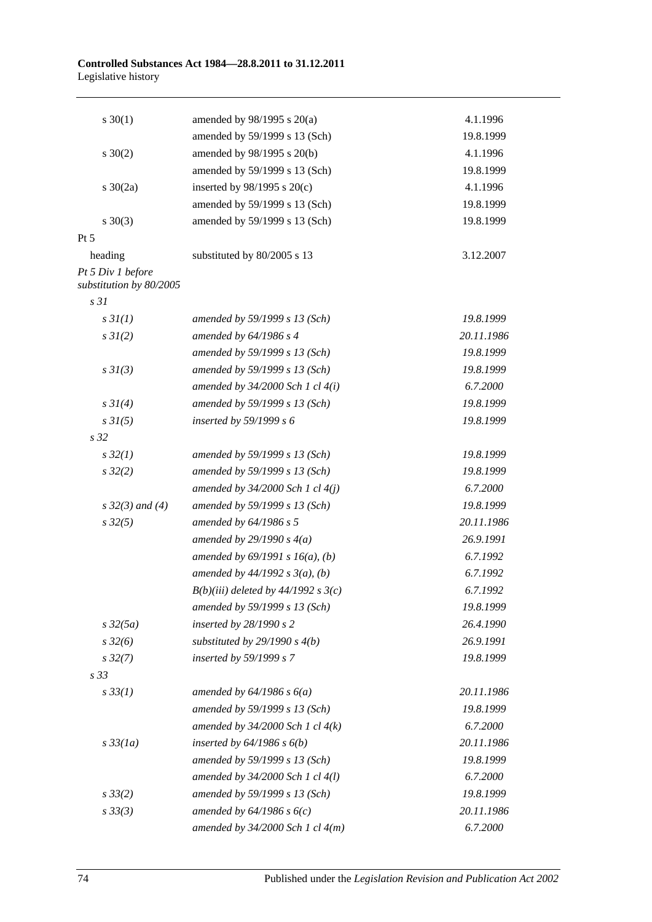| $s \ 30(1)$                                  | amended by $98/1995$ s $20(a)$        | 4.1.1996   |
|----------------------------------------------|---------------------------------------|------------|
|                                              | amended by 59/1999 s 13 (Sch)         | 19.8.1999  |
| $s \ 30(2)$                                  | amended by 98/1995 s 20(b)            | 4.1.1996   |
|                                              | amended by 59/1999 s 13 (Sch)         | 19.8.1999  |
| $s \ 30(2a)$                                 | inserted by $98/1995$ s $20(c)$       | 4.1.1996   |
|                                              | amended by 59/1999 s 13 (Sch)         | 19.8.1999  |
| $s \ 30(3)$                                  | amended by 59/1999 s 13 (Sch)         | 19.8.1999  |
| $Pt\,5$                                      |                                       |            |
| heading                                      | substituted by 80/2005 s 13           | 3.12.2007  |
| Pt 5 Div 1 before<br>substitution by 80/2005 |                                       |            |
| s <sub>31</sub>                              |                                       |            |
| $s \frac{3I(1)}{2}$                          | amended by 59/1999 s 13 (Sch)         | 19.8.1999  |
| $s \, 3I(2)$                                 | amended by 64/1986 s 4                | 20.11.1986 |
|                                              | amended by 59/1999 s 13 (Sch)         | 19.8.1999  |
| $s \frac{3I(3)}{3}$                          | amended by 59/1999 s 13 (Sch)         | 19.8.1999  |
|                                              | amended by $34/2000$ Sch 1 cl $4(i)$  | 6.7.2000   |
| $s \, 3I(4)$                                 | amended by 59/1999 s 13 (Sch)         | 19.8.1999  |
| $s \, 3I(5)$                                 | inserted by $59/1999 s 6$             | 19.8.1999  |
| s <sub>32</sub>                              |                                       |            |
| $s\,32(1)$                                   | amended by 59/1999 s 13 (Sch)         | 19.8.1999  |
| $s\,32(2)$                                   | amended by 59/1999 s 13 (Sch)         | 19.8.1999  |
|                                              | amended by $34/2000$ Sch 1 cl $4(j)$  | 6.7.2000   |
| $s \, 32(3)$ and (4)                         | amended by 59/1999 s 13 (Sch)         | 19.8.1999  |
| $s\,32(5)$                                   | amended by $64/1986$ s 5              | 20.11.1986 |
|                                              | amended by $29/1990 s 4(a)$           | 26.9.1991  |
|                                              | amended by $69/1991 s 16(a)$ , (b)    | 6.7.1992   |
|                                              | amended by $44/1992 s 3(a)$ , (b)     | 6.7.1992   |
|                                              | $B(b)(iii)$ deleted by 44/1992 s 3(c) | 6.7.1992   |
|                                              | amended by 59/1999 s 13 (Sch)         | 19.8.1999  |
| $s\,32(5a)$                                  | inserted by $28/1990 s 2$             | 26.4.1990  |
| $s\,32(6)$                                   | substituted by $29/1990 s 4(b)$       | 26.9.1991  |
| $s\,32(7)$                                   | inserted by 59/1999 s 7               | 19.8.1999  |
| s <sub>33</sub>                              |                                       |            |
| $s \, 33(1)$                                 | amended by $64/1986 s 6(a)$           | 20.11.1986 |
|                                              | amended by 59/1999 s 13 (Sch)         | 19.8.1999  |
|                                              | amended by $34/2000$ Sch 1 cl $4(k)$  | 6.7.2000   |
| $s\,33(1a)$                                  | inserted by $64/1986$ s $6(b)$        | 20.11.1986 |
|                                              | amended by 59/1999 s 13 (Sch)         | 19.8.1999  |
|                                              | amended by 34/2000 Sch 1 cl 4(l)      | 6.7.2000   |
| $s \frac{33}{2}$                             | amended by 59/1999 s 13 (Sch)         | 19.8.1999  |
| $s \, 33(3)$                                 | amended by $64/1986 s 6(c)$           | 20.11.1986 |
|                                              | amended by $34/2000$ Sch 1 cl $4(m)$  | 6.7.2000   |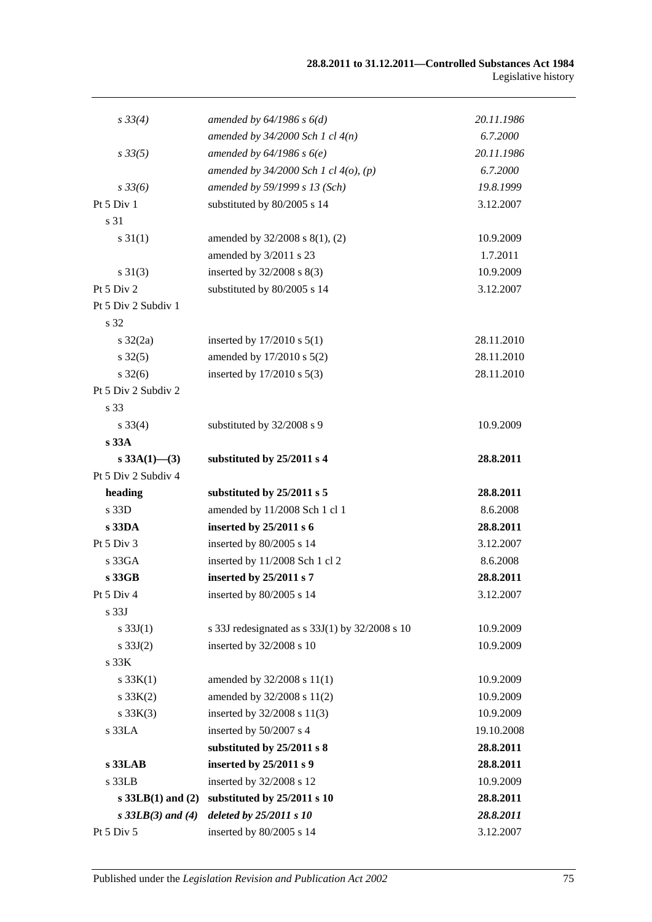| $s \, 33(4)$        | amended by $64/1986 s 6(d)$                    | 20.11.1986 |
|---------------------|------------------------------------------------|------------|
|                     | amended by $34/2000$ Sch 1 cl $4(n)$           | 6.7.2000   |
| $s\,33(5)$          | amended by $64/1986 s 6(e)$                    | 20.11.1986 |
|                     | amended by $34/2000$ Sch 1 cl $4(0)$ , (p)     | 6.7.2000   |
| $s \frac{33}{6}$    | amended by 59/1999 s 13 (Sch)                  | 19.8.1999  |
| Pt 5 Div 1          | substituted by 80/2005 s 14                    | 3.12.2007  |
| s 31                |                                                |            |
| $s \, 31(1)$        | amended by 32/2008 s 8(1), (2)                 | 10.9.2009  |
|                     | amended by 3/2011 s 23                         | 1.7.2011   |
| $s \, 31(3)$        | inserted by 32/2008 s 8(3)                     | 10.9.2009  |
| Pt 5 Div 2          | substituted by 80/2005 s 14                    | 3.12.2007  |
| Pt 5 Div 2 Subdiv 1 |                                                |            |
| s 32                |                                                |            |
| $s \frac{32}{2a}$   | inserted by $17/2010$ s $5(1)$                 | 28.11.2010 |
| $s \, 32(5)$        | amended by 17/2010 s 5(2)                      | 28.11.2010 |
| $s \frac{32}{6}$    | inserted by 17/2010 s 5(3)                     | 28.11.2010 |
| Pt 5 Div 2 Subdiv 2 |                                                |            |
| s 33                |                                                |            |
| $s \, 33(4)$        | substituted by 32/2008 s 9                     | 10.9.2009  |
| s 33A               |                                                |            |
| s $33A(1)$ - (3)    | substituted by 25/2011 s 4                     | 28.8.2011  |
| Pt 5 Div 2 Subdiv 4 |                                                |            |
| heading             | substituted by 25/2011 s 5                     | 28.8.2011  |
| s 33D               | amended by 11/2008 Sch 1 cl 1                  | 8.6.2008   |
| s 33DA              | inserted by 25/2011 s 6                        | 28.8.2011  |
| Pt 5 Div 3          | inserted by 80/2005 s 14                       | 3.12.2007  |
| s33GA               | inserted by 11/2008 Sch 1 cl 2                 | 8.6.2008   |
| s 33GB              | inserted by 25/2011 s 7                        | 28.8.2011  |
| Pt 5 Div 4          | inserted by 80/2005 s 14                       | 3.12.2007  |
| s <sub>33J</sub>    |                                                |            |
| s $33J(1)$          | s 33J redesignated as s 33J(1) by 32/2008 s 10 | 10.9.2009  |
| $s \, 33J(2)$       | inserted by 32/2008 s 10                       | 10.9.2009  |
| s <sub>33K</sub>    |                                                |            |
| s 33K(1)            | amended by 32/2008 s 11(1)                     | 10.9.2009  |
| s 33K(2)            | amended by 32/2008 s 11(2)                     | 10.9.2009  |
| s 33K(3)            | inserted by 32/2008 s 11(3)                    | 10.9.2009  |
| $\,$ s $33LA$       | inserted by 50/2007 s 4                        | 19.10.2008 |
|                     | substituted by 25/2011 s 8                     | 28.8.2011  |
| $s$ 33LAB           | inserted by 25/2011 s 9                        | 28.8.2011  |
| $s$ 33 $LB$         | inserted by 32/2008 s 12                       | 10.9.2009  |
| $s$ 33LB(1) and (2) | substituted by 25/2011 s 10                    | 28.8.2011  |
| $s$ 33LB(3) and (4) | deleted by 25/2011 s 10                        | 28.8.2011  |
| Pt 5 Div 5          | inserted by 80/2005 s 14                       | 3.12.2007  |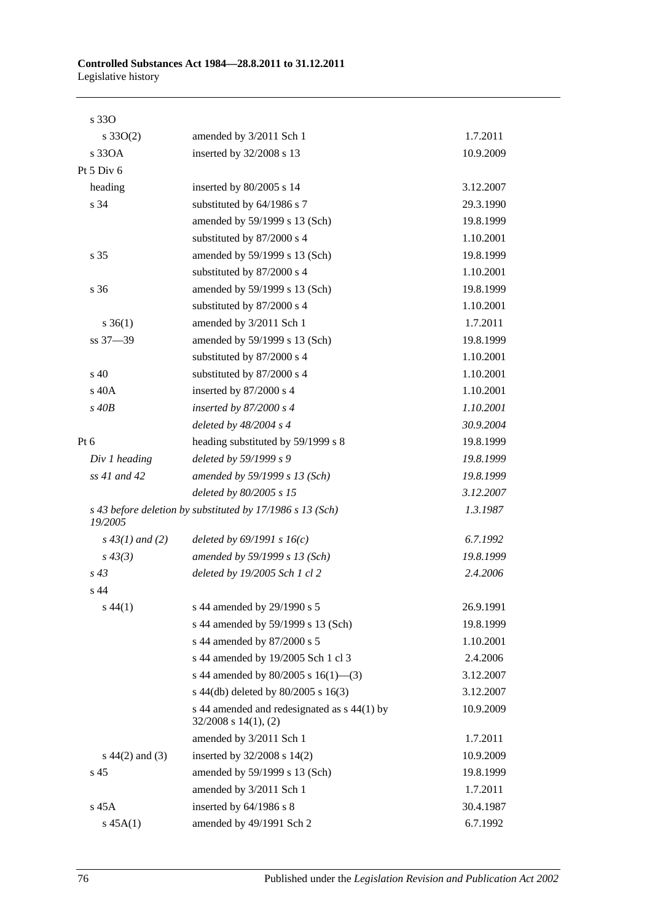| s 330              |                                                                          |           |
|--------------------|--------------------------------------------------------------------------|-----------|
| $s \, 33O(2)$      | amended by 3/2011 Sch 1                                                  | 1.7.2011  |
| s 330A             | inserted by 32/2008 s 13                                                 | 10.9.2009 |
| Pt 5 Div 6         |                                                                          |           |
| heading            | inserted by 80/2005 s 14                                                 | 3.12.2007 |
| s 34               | substituted by 64/1986 s 7                                               | 29.3.1990 |
|                    | amended by 59/1999 s 13 (Sch)                                            | 19.8.1999 |
|                    | substituted by 87/2000 s 4                                               | 1.10.2001 |
| s 35               | amended by 59/1999 s 13 (Sch)                                            | 19.8.1999 |
|                    | substituted by 87/2000 s 4                                               | 1.10.2001 |
| s 36               | amended by 59/1999 s 13 (Sch)                                            | 19.8.1999 |
|                    | substituted by 87/2000 s 4                                               | 1.10.2001 |
| $s \, 36(1)$       | amended by 3/2011 Sch 1                                                  | 1.7.2011  |
| ss 37-39           | amended by 59/1999 s 13 (Sch)                                            | 19.8.1999 |
|                    | substituted by 87/2000 s 4                                               | 1.10.2001 |
| s <sub>40</sub>    | substituted by 87/2000 s 4                                               | 1.10.2001 |
| s 40A              | inserted by 87/2000 s 4                                                  | 1.10.2001 |
| $s$ 40 $B$         | inserted by $87/2000 s4$                                                 | 1.10.2001 |
|                    | deleted by $48/2004$ s 4                                                 | 30.9.2004 |
| Pt $6$             | heading substituted by 59/1999 s 8                                       | 19.8.1999 |
| Div 1 heading      | deleted by 59/1999 s 9                                                   | 19.8.1999 |
| ss 41 and 42       | amended by 59/1999 s 13 (Sch)                                            | 19.8.1999 |
|                    | deleted by 80/2005 s 15                                                  | 3.12.2007 |
| 19/2005            | s 43 before deletion by substituted by 17/1986 s 13 (Sch)                | 1.3.1987  |
| $s\,43(1)$ and (2) | deleted by $69/1991 s 16(c)$                                             | 6.7.1992  |
| $s\,43(3)$         | amended by 59/1999 s 13 (Sch)                                            | 19.8.1999 |
| $s\,43$            | deleted by 19/2005 Sch 1 cl 2                                            | 2.4.2006  |
| s <sub>44</sub>    |                                                                          |           |
| $s\,44(1)$         | s 44 amended by 29/1990 s 5                                              | 26.9.1991 |
|                    | s 44 amended by 59/1999 s 13 (Sch)                                       | 19.8.1999 |
|                    | s 44 amended by 87/2000 s 5                                              | 1.10.2001 |
|                    | s 44 amended by 19/2005 Sch 1 cl 3                                       | 2.4.2006  |
|                    | s 44 amended by 80/2005 s 16(1)–(3)                                      | 3.12.2007 |
|                    | s 44(db) deleted by $80/2005$ s 16(3)                                    | 3.12.2007 |
|                    | s 44 amended and redesignated as s 44(1) by<br>$32/2008$ s $14(1)$ , (2) | 10.9.2009 |
|                    | amended by 3/2011 Sch 1                                                  | 1.7.2011  |
| $s\ 44(2)$ and (3) | inserted by 32/2008 s 14(2)                                              | 10.9.2009 |
| s 45               | amended by 59/1999 s 13 (Sch)                                            | 19.8.1999 |
|                    | amended by 3/2011 Sch 1                                                  | 1.7.2011  |
| s 45A              | inserted by 64/1986 s 8                                                  | 30.4.1987 |
| $s\,45A(1)$        | amended by 49/1991 Sch 2                                                 | 6.7.1992  |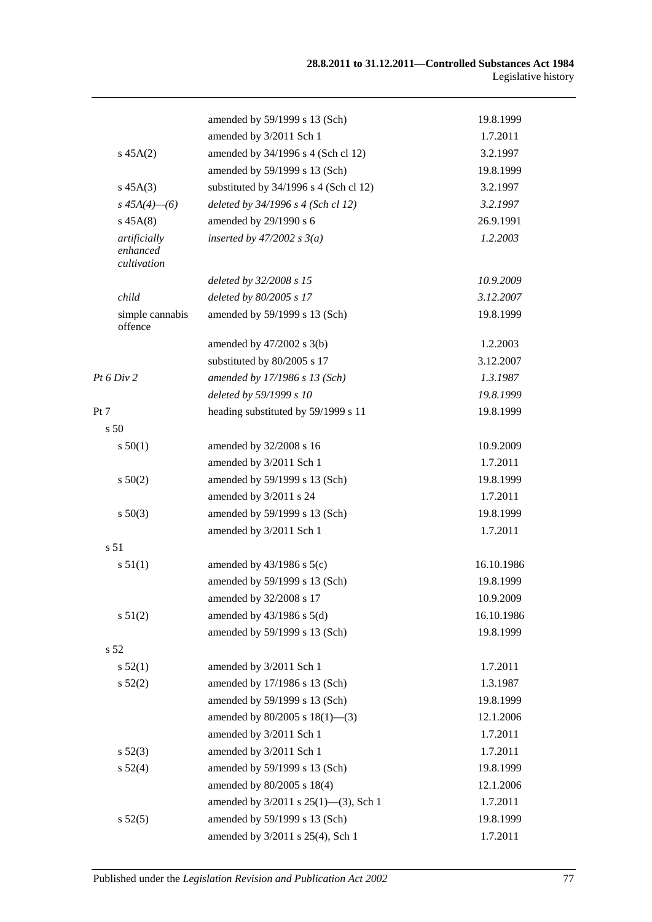|      |                                         | amended by 59/1999 s 13 (Sch)             | 19.8.1999  |
|------|-----------------------------------------|-------------------------------------------|------------|
|      |                                         | amended by 3/2011 Sch 1                   | 1.7.2011   |
|      | $s\,45A(2)$                             | amended by 34/1996 s 4 (Sch cl 12)        | 3.2.1997   |
|      |                                         | amended by 59/1999 s 13 (Sch)             | 19.8.1999  |
|      | $s\,45A(3)$                             | substituted by 34/1996 s 4 (Sch cl 12)    | 3.2.1997   |
|      | $s\,45A(4)$ - (6)                       | deleted by 34/1996 s 4 (Sch cl 12)        | 3.2.1997   |
|      | $s\,45A(8)$                             | amended by 29/1990 s 6                    | 26.9.1991  |
|      | artificially<br>enhanced<br>cultivation | inserted by $47/2002$ s $3(a)$            | 1.2.2003   |
|      |                                         | deleted by 32/2008 s 15                   | 10.9.2009  |
|      | child                                   | deleted by 80/2005 s 17                   | 3.12.2007  |
|      | simple cannabis<br>offence              | amended by 59/1999 s 13 (Sch)             | 19.8.1999  |
|      |                                         | amended by $47/2002$ s $3(b)$             | 1.2.2003   |
|      |                                         | substituted by 80/2005 s 17               | 3.12.2007  |
|      | Pt 6 Div 2                              | amended by 17/1986 s 13 (Sch)             | 1.3.1987   |
|      |                                         | deleted by 59/1999 s 10                   | 19.8.1999  |
| Pt 7 |                                         | heading substituted by 59/1999 s 11       | 19.8.1999  |
|      | s 50                                    |                                           |            |
|      | s 50(1)                                 | amended by 32/2008 s 16                   | 10.9.2009  |
|      |                                         | amended by 3/2011 Sch 1                   | 1.7.2011   |
|      | s 50(2)                                 | amended by 59/1999 s 13 (Sch)             | 19.8.1999  |
|      |                                         | amended by 3/2011 s 24                    | 1.7.2011   |
|      | $s\ 50(3)$                              | amended by 59/1999 s 13 (Sch)             | 19.8.1999  |
|      |                                         | amended by 3/2011 Sch 1                   | 1.7.2011   |
|      | s <sub>51</sub>                         |                                           |            |
|      | s 51(1)                                 | amended by $43/1986$ s $5(c)$             | 16.10.1986 |
|      |                                         | amended by 59/1999 s 13 (Sch)             | 19.8.1999  |
|      |                                         | amended by 32/2008 s 17                   | 10.9.2009  |
|      | s 51(2)                                 | amended by $43/1986$ s $5(d)$             | 16.10.1986 |
|      |                                         | amended by 59/1999 s 13 (Sch)             | 19.8.1999  |
|      | s 52                                    |                                           |            |
|      | s 52(1)                                 | amended by 3/2011 Sch 1                   | 1.7.2011   |
|      | s 52(2)                                 | amended by 17/1986 s 13 (Sch)             | 1.3.1987   |
|      |                                         | amended by 59/1999 s 13 (Sch)             | 19.8.1999  |
|      |                                         | amended by 80/2005 s 18(1)-(3)            | 12.1.2006  |
|      |                                         | amended by 3/2011 Sch 1                   | 1.7.2011   |
|      | $s\,52(3)$                              | amended by 3/2011 Sch 1                   | 1.7.2011   |
|      | s 52(4)                                 | amended by 59/1999 s 13 (Sch)             | 19.8.1999  |
|      |                                         | amended by 80/2005 s 18(4)                | 12.1.2006  |
|      |                                         | amended by $3/2011$ s $25(1)$ —(3), Sch 1 | 1.7.2011   |
|      | s 52(5)                                 | amended by 59/1999 s 13 (Sch)             | 19.8.1999  |
|      |                                         | amended by 3/2011 s 25(4), Sch 1          | 1.7.2011   |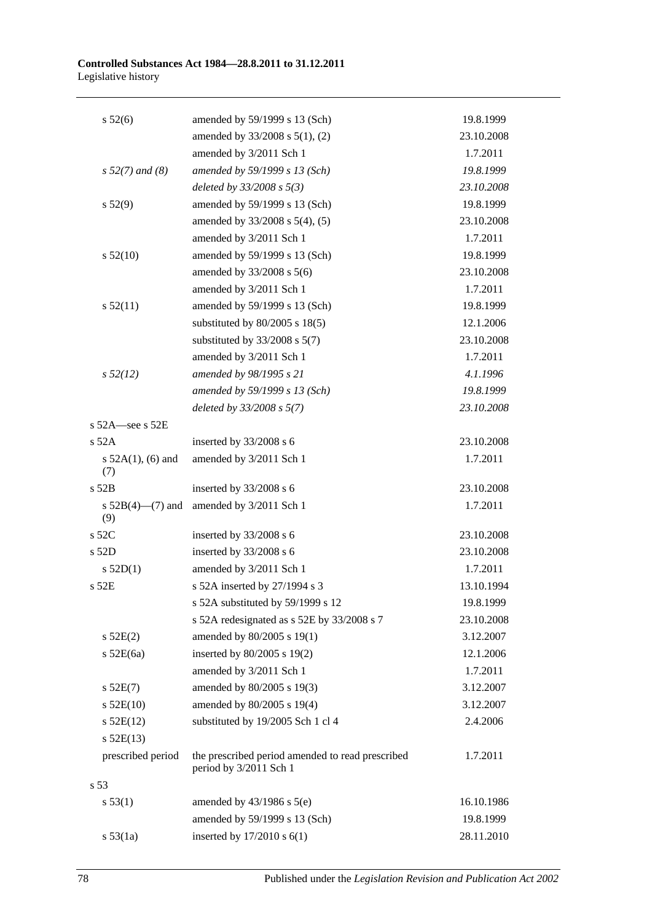#### **Controlled Substances Act 1984—28.8.2011 to 31.12.2011** Legislative history

| $s\,52(6)$                    | amended by 59/1999 s 13 (Sch)                                              | 19.8.1999  |
|-------------------------------|----------------------------------------------------------------------------|------------|
|                               | amended by 33/2008 s 5(1), (2)                                             | 23.10.2008 |
|                               | amended by 3/2011 Sch 1                                                    | 1.7.2011   |
| $s 52(7)$ and (8)             | amended by 59/1999 s 13 (Sch)                                              | 19.8.1999  |
|                               | deleted by $33/2008$ s $5(3)$                                              | 23.10.2008 |
| s 52(9)                       | amended by 59/1999 s 13 (Sch)                                              | 19.8.1999  |
|                               | amended by 33/2008 s 5(4), (5)                                             | 23.10.2008 |
|                               | amended by 3/2011 Sch 1                                                    | 1.7.2011   |
| s 52(10)                      | amended by 59/1999 s 13 (Sch)                                              | 19.8.1999  |
|                               | amended by 33/2008 s 5(6)                                                  | 23.10.2008 |
|                               | amended by 3/2011 Sch 1                                                    | 1.7.2011   |
| s 52(11)                      | amended by 59/1999 s 13 (Sch)                                              | 19.8.1999  |
|                               | substituted by $80/2005$ s $18(5)$                                         | 12.1.2006  |
|                               | substituted by $33/2008$ s $5(7)$                                          | 23.10.2008 |
|                               | amended by 3/2011 Sch 1                                                    | 1.7.2011   |
| $s\,52(12)$                   | amended by 98/1995 s 21                                                    | 4.1.1996   |
|                               | amended by 59/1999 s 13 (Sch)                                              | 19.8.1999  |
|                               | deleted by 33/2008 s 5(7)                                                  | 23.10.2008 |
| s $52A$ -see s $52E$          |                                                                            |            |
| $s$ 52A                       | inserted by 33/2008 s 6                                                    | 23.10.2008 |
| s $52A(1)$ , (6) and<br>(7)   | amended by 3/2011 Sch 1                                                    | 1.7.2011   |
| s 52B                         | inserted by 33/2008 s 6                                                    | 23.10.2008 |
| s $52B(4)$ — $(7)$ and<br>(9) | amended by 3/2011 Sch 1                                                    | 1.7.2011   |
| s 52C                         | inserted by 33/2008 s 6                                                    | 23.10.2008 |
| s 52D                         | inserted by 33/2008 s 6                                                    | 23.10.2008 |
| $s$ 52D(1)                    | amended by 3/2011 Sch 1                                                    | 1.7.2011   |
| $s$ 52 $E$                    | s 52A inserted by 27/1994 s 3                                              | 13.10.1994 |
|                               | s 52A substituted by 59/1999 s 12                                          | 19.8.1999  |
|                               | s 52A redesignated as s 52E by 33/2008 s 7                                 | 23.10.2008 |
| $s$ 52E(2)                    | amended by 80/2005 s 19(1)                                                 | 3.12.2007  |
| $s$ 52E(6a)                   | inserted by 80/2005 s 19(2)                                                | 12.1.2006  |
|                               | amended by 3/2011 Sch 1                                                    | 1.7.2011   |
| $s$ 52E(7)                    | amended by 80/2005 s 19(3)                                                 | 3.12.2007  |
| $s$ 52E(10)                   | amended by 80/2005 s 19(4)                                                 | 3.12.2007  |
| $s$ 52E(12)                   | substituted by 19/2005 Sch 1 cl 4                                          | 2.4.2006   |
| $s$ 52E(13)                   |                                                                            |            |
| prescribed period             | the prescribed period amended to read prescribed<br>period by 3/2011 Sch 1 | 1.7.2011   |
| s 53                          |                                                                            |            |
| s 53(1)                       | amended by $43/1986$ s $5(e)$                                              | 16.10.1986 |
|                               | amended by 59/1999 s 13 (Sch)                                              | 19.8.1999  |
| s 53(1a)                      | inserted by $17/2010$ s $6(1)$                                             | 28.11.2010 |
|                               |                                                                            |            |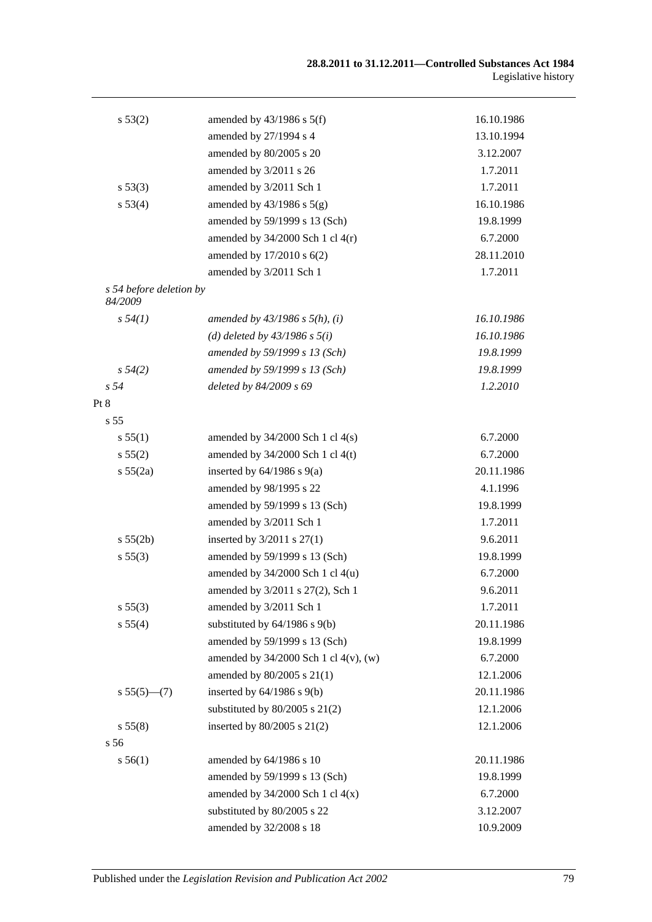| s 53(2)                            | amended by $43/1986$ s $5(f)$              | 16.10.1986 |
|------------------------------------|--------------------------------------------|------------|
|                                    | amended by 27/1994 s 4                     | 13.10.1994 |
|                                    | amended by 80/2005 s 20                    | 3.12.2007  |
|                                    | amended by 3/2011 s 26                     | 1.7.2011   |
| s 53(3)                            | amended by 3/2011 Sch 1                    | 1.7.2011   |
| s 53(4)                            | amended by $43/1986$ s $5(g)$              | 16.10.1986 |
|                                    | amended by 59/1999 s 13 (Sch)              | 19.8.1999  |
|                                    | amended by $34/2000$ Sch 1 cl $4(r)$       | 6.7.2000   |
|                                    | amended by 17/2010 s 6(2)                  | 28.11.2010 |
|                                    | amended by 3/2011 Sch 1                    | 1.7.2011   |
| s 54 before deletion by<br>84/2009 |                                            |            |
| s 54(1)                            | amended by $43/1986$ s $5(h)$ , (i)        | 16.10.1986 |
|                                    | (d) deleted by $43/1986$ s $5(i)$          | 16.10.1986 |
|                                    | amended by 59/1999 s 13 (Sch)              | 19.8.1999  |
| $s\,54(2)$                         | amended by 59/1999 s 13 (Sch)              | 19.8.1999  |
| s <sub>54</sub>                    | deleted by 84/2009 s 69                    | 1.2.2010   |
| Pt 8                               |                                            |            |
| s <sub>55</sub>                    |                                            |            |
| s 55(1)                            | amended by $34/2000$ Sch 1 cl $4(s)$       | 6.7.2000   |
| s 55(2)                            | amended by $34/2000$ Sch 1 cl 4(t)         | 6.7.2000   |
| s 55(2a)                           | inserted by $64/1986$ s $9(a)$             | 20.11.1986 |
|                                    | amended by 98/1995 s 22                    | 4.1.1996   |
|                                    | amended by 59/1999 s 13 (Sch)              | 19.8.1999  |
|                                    | amended by 3/2011 Sch 1                    | 1.7.2011   |
| s 55(2b)                           | inserted by $3/2011$ s $27(1)$             | 9.6.2011   |
| s 55(3)                            | amended by 59/1999 s 13 (Sch)              | 19.8.1999  |
|                                    | amended by $34/2000$ Sch 1 cl $4(u)$       | 6.7.2000   |
|                                    | amended by 3/2011 s 27(2), Sch 1           | 9.6.2011   |
| s 55(3)                            | amended by 3/2011 Sch 1                    | 1.7.2011   |
| s 55(4)                            | substituted by $64/1986$ s $9(b)$          | 20.11.1986 |
|                                    | amended by 59/1999 s 13 (Sch)              | 19.8.1999  |
|                                    | amended by $34/2000$ Sch 1 cl $4(v)$ , (w) | 6.7.2000   |
|                                    | amended by 80/2005 s 21(1)                 | 12.1.2006  |
| $s 55(5)$ (7)                      | inserted by $64/1986$ s $9(b)$             | 20.11.1986 |
|                                    | substituted by $80/2005$ s $21(2)$         | 12.1.2006  |
| s 55(8)                            | inserted by $80/2005$ s $21(2)$            | 12.1.2006  |
| s 56                               |                                            |            |
| s 56(1)                            | amended by 64/1986 s 10                    | 20.11.1986 |
|                                    | amended by 59/1999 s 13 (Sch)              | 19.8.1999  |
|                                    | amended by $34/2000$ Sch 1 cl $4(x)$       | 6.7.2000   |
|                                    | substituted by 80/2005 s 22                | 3.12.2007  |
|                                    | amended by 32/2008 s 18                    | 10.9.2009  |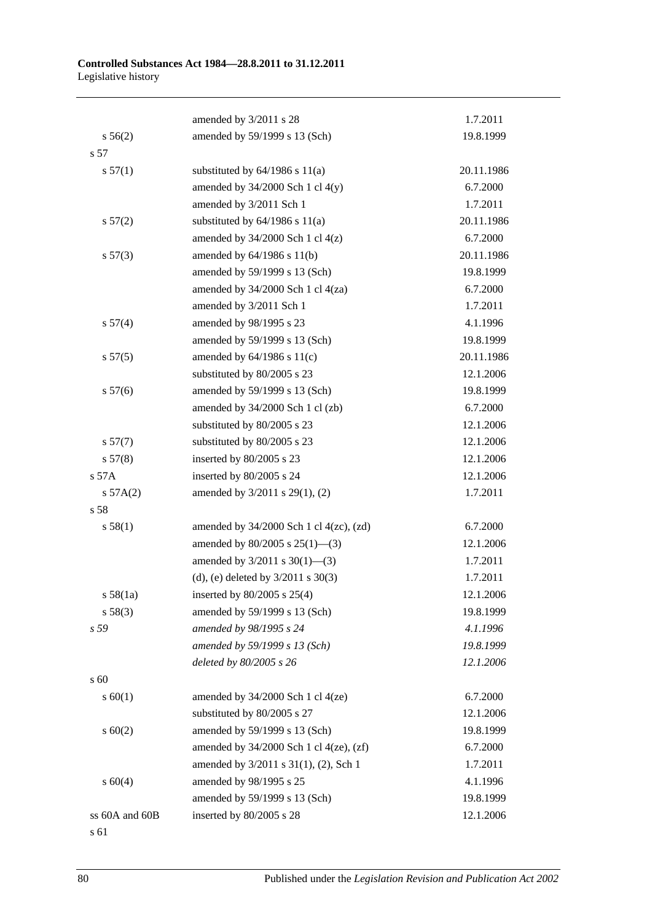|                | amended by 3/2011 s 28                         | 1.7.2011   |
|----------------|------------------------------------------------|------------|
| $s\,56(2)$     | amended by 59/1999 s 13 (Sch)                  | 19.8.1999  |
| s 57           |                                                |            |
| s 57(1)        | substituted by $64/1986$ s $11(a)$             | 20.11.1986 |
|                | amended by $34/2000$ Sch 1 cl $4(y)$           | 6.7.2000   |
|                | amended by 3/2011 Sch 1                        | 1.7.2011   |
| $s\,57(2)$     | substituted by $64/1986$ s $11(a)$             | 20.11.1986 |
|                | amended by $34/2000$ Sch 1 cl $4(z)$           | 6.7.2000   |
| s 57(3)        | amended by $64/1986$ s $11(b)$                 | 20.11.1986 |
|                | amended by 59/1999 s 13 (Sch)                  | 19.8.1999  |
|                | amended by $34/2000$ Sch 1 cl $4(za)$          | 6.7.2000   |
|                | amended by 3/2011 Sch 1                        | 1.7.2011   |
| s 57(4)        | amended by 98/1995 s 23                        | 4.1.1996   |
|                | amended by 59/1999 s 13 (Sch)                  | 19.8.1999  |
| s 57(5)        | amended by $64/1986$ s $11(c)$                 | 20.11.1986 |
|                | substituted by 80/2005 s 23                    | 12.1.2006  |
| s 57(6)        | amended by 59/1999 s 13 (Sch)                  | 19.8.1999  |
|                | amended by 34/2000 Sch 1 cl (zb)               | 6.7.2000   |
|                | substituted by 80/2005 s 23                    | 12.1.2006  |
| s 57(7)        | substituted by 80/2005 s 23                    | 12.1.2006  |
| s 57(8)        | inserted by 80/2005 s 23                       | 12.1.2006  |
| s 57A          | inserted by 80/2005 s 24                       | 12.1.2006  |
| $s\,57A(2)$    | amended by 3/2011 s 29(1), (2)                 | 1.7.2011   |
| s 58           |                                                |            |
| s 58(1)        | amended by $34/2000$ Sch 1 cl $4(zc)$ , $(zd)$ | 6.7.2000   |
|                | amended by $80/2005$ s $25(1)$ —(3)            | 12.1.2006  |
|                | amended by $3/2011$ s $30(1)$ —(3)             | 1.7.2011   |
|                | (d), (e) deleted by $3/2011$ s $30(3)$         | 1.7.2011   |
| s 58(1a)       | inserted by 80/2005 s 25(4)                    | 12.1.2006  |
| s 58(3)        | amended by 59/1999 s 13 (Sch)                  | 19.8.1999  |
| s 59           | amended by 98/1995 s 24                        | 4.1.1996   |
|                | amended by 59/1999 s 13 (Sch)                  | 19.8.1999  |
|                | deleted by 80/2005 s 26                        | 12.1.2006  |
| s 60           |                                                |            |
| s 60(1)        | amended by $34/2000$ Sch 1 cl $4(ze)$          | 6.7.2000   |
|                | substituted by 80/2005 s 27                    | 12.1.2006  |
| $s \ 60(2)$    | amended by 59/1999 s 13 (Sch)                  | 19.8.1999  |
|                | amended by $34/2000$ Sch 1 cl $4(ze)$ , $(zf)$ | 6.7.2000   |
|                | amended by 3/2011 s 31(1), (2), Sch 1          | 1.7.2011   |
| s 60(4)        | amended by 98/1995 s 25                        | 4.1.1996   |
|                | amended by 59/1999 s 13 (Sch)                  | 19.8.1999  |
| ss 60A and 60B | inserted by 80/2005 s 28                       | 12.1.2006  |
|                |                                                |            |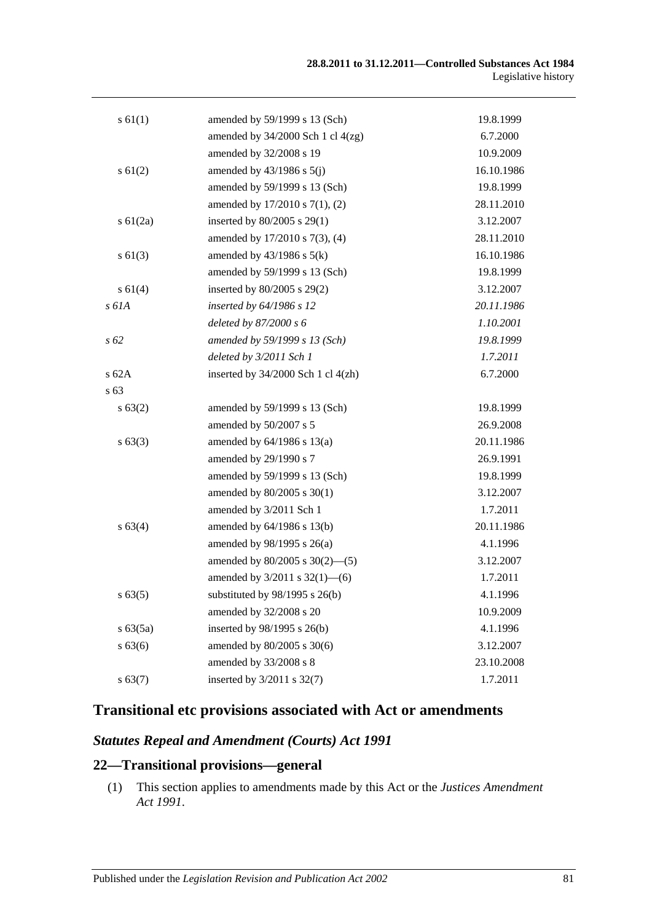| s 61(1)       | amended by 59/1999 s 13 (Sch)          | 19.8.1999  |
|---------------|----------------------------------------|------------|
|               | amended by $34/2000$ Sch 1 cl $4(zg)$  | 6.7.2000   |
|               | amended by 32/2008 s 19                | 10.9.2009  |
| $s \ 61(2)$   | amended by $43/1986$ s $5(j)$          | 16.10.1986 |
|               | amended by 59/1999 s 13 (Sch)          | 19.8.1999  |
|               | amended by 17/2010 s 7(1), (2)         | 28.11.2010 |
| $s \, 61(2a)$ | inserted by 80/2005 s 29(1)            | 3.12.2007  |
|               | amended by 17/2010 s 7(3), (4)         | 28.11.2010 |
| $s \ 61(3)$   | amended by $43/1986$ s $5(k)$          | 16.10.1986 |
|               | amended by 59/1999 s 13 (Sch)          | 19.8.1999  |
| s 61(4)       | inserted by $80/2005$ s $29(2)$        | 3.12.2007  |
| s 61A         | inserted by 64/1986 s 12               | 20.11.1986 |
|               | deleted by $87/2000 s 6$               | 1.10.2001  |
| $s\,62$       | amended by 59/1999 s 13 (Sch)          | 19.8.1999  |
|               | deleted by 3/2011 Sch 1                | 1.7.2011   |
| s 62A         | inserted by $34/2000$ Sch 1 cl $4(zh)$ | 6.7.2000   |
| s 63          |                                        |            |
| s 63(2)       | amended by 59/1999 s 13 (Sch)          | 19.8.1999  |
|               | amended by 50/2007 s 5                 | 26.9.2008  |
| s 63(3)       | amended by $64/1986$ s $13(a)$         | 20.11.1986 |
|               | amended by 29/1990 s 7                 | 26.9.1991  |
|               | amended by 59/1999 s 13 (Sch)          | 19.8.1999  |
|               | amended by $80/2005$ s $30(1)$         | 3.12.2007  |
|               | amended by 3/2011 Sch 1                | 1.7.2011   |
| s 63(4)       | amended by 64/1986 s 13(b)             | 20.11.1986 |
|               | amended by 98/1995 s 26(a)             | 4.1.1996   |
|               | amended by $80/2005$ s $30(2)$ —(5)    | 3.12.2007  |
|               | amended by $3/2011$ s $32(1)$ —(6)     | 1.7.2011   |
| $s\,63(5)$    | substituted by $98/1995$ s $26(b)$     | 4.1.1996   |
|               | amended by 32/2008 s 20                | 10.9.2009  |
| s 63(5a)      | inserted by 98/1995 s 26(b)            | 4.1.1996   |
| s 63(6)       | amended by 80/2005 s 30(6)             | 3.12.2007  |
|               | amended by 33/2008 s 8                 | 23.10.2008 |
| s 63(7)       | inserted by 3/2011 s 32(7)             | 1.7.2011   |

# **Transitional etc provisions associated with Act or amendments**

## *Statutes Repeal and Amendment (Courts) Act 1991*

### **22—Transitional provisions—general**

(1) This section applies to amendments made by this Act or the *[Justices Amendment](http://www.legislation.sa.gov.au/index.aspx?action=legref&type=act&legtitle=Justices%20Amendment%20Act%201991)  Act [1991](http://www.legislation.sa.gov.au/index.aspx?action=legref&type=act&legtitle=Justices%20Amendment%20Act%201991)*.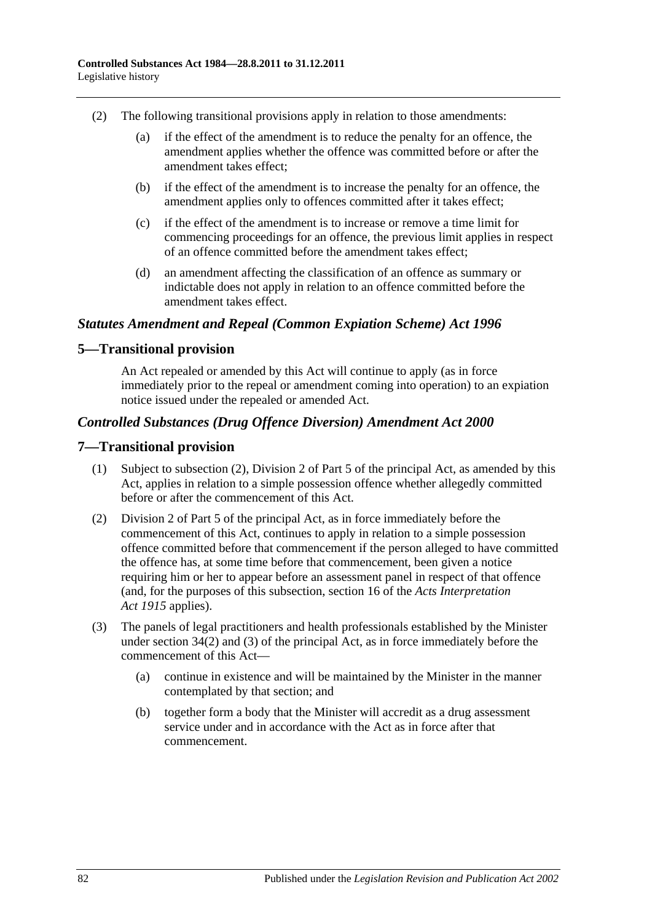- (2) The following transitional provisions apply in relation to those amendments:
	- (a) if the effect of the amendment is to reduce the penalty for an offence, the amendment applies whether the offence was committed before or after the amendment takes effect;
	- (b) if the effect of the amendment is to increase the penalty for an offence, the amendment applies only to offences committed after it takes effect;
	- (c) if the effect of the amendment is to increase or remove a time limit for commencing proceedings for an offence, the previous limit applies in respect of an offence committed before the amendment takes effect;
	- (d) an amendment affecting the classification of an offence as summary or indictable does not apply in relation to an offence committed before the amendment takes effect.

### *Statutes Amendment and Repeal (Common Expiation Scheme) Act 1996*

### **5—Transitional provision**

An Act repealed or amended by this Act will continue to apply (as in force immediately prior to the repeal or amendment coming into operation) to an expiation notice issued under the repealed or amended Act.

### *Controlled Substances (Drug Offence Diversion) Amendment Act 2000*

#### **7—Transitional provision**

- (1) Subject to subsection (2), Division 2 of Part 5 of the principal Act, as amended by this Act, applies in relation to a simple possession offence whether allegedly committed before or after the commencement of this Act.
- (2) Division 2 of Part 5 of the principal Act, as in force immediately before the commencement of this Act, continues to apply in relation to a simple possession offence committed before that commencement if the person alleged to have committed the offence has, at some time before that commencement, been given a notice requiring him or her to appear before an assessment panel in respect of that offence (and, for the purposes of this subsection, section 16 of the *[Acts Interpretation](http://www.legislation.sa.gov.au/index.aspx?action=legref&type=act&legtitle=Acts%20Interpretation%20Act%201915)  Act [1915](http://www.legislation.sa.gov.au/index.aspx?action=legref&type=act&legtitle=Acts%20Interpretation%20Act%201915)* applies).
- (3) The panels of legal practitioners and health professionals established by the Minister under section 34(2) and (3) of the principal Act, as in force immediately before the commencement of this Act—
	- (a) continue in existence and will be maintained by the Minister in the manner contemplated by that section; and
	- (b) together form a body that the Minister will accredit as a drug assessment service under and in accordance with the Act as in force after that commencement.